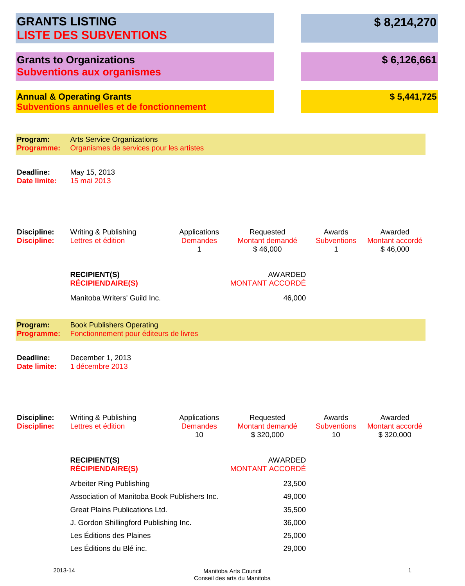|                                          | <b>GRANTS LISTING</b><br><b>LISTE DES SUBVENTIONS</b>                                     |                                       |                                           |                                    | \$8,214,270                             |
|------------------------------------------|-------------------------------------------------------------------------------------------|---------------------------------------|-------------------------------------------|------------------------------------|-----------------------------------------|
|                                          | <b>Grants to Organizations</b><br><b>Subventions aux organismes</b>                       |                                       |                                           |                                    | \$6,126,661                             |
|                                          | <b>Annual &amp; Operating Grants</b><br><b>Subventions annuelles et de fonctionnement</b> |                                       |                                           |                                    | \$5,441,725                             |
| Program:                                 | <b>Arts Service Organizations</b>                                                         |                                       |                                           |                                    |                                         |
| <b>Programme:</b>                        | Organismes de services pour les artistes                                                  |                                       |                                           |                                    |                                         |
| Deadline:<br>Date limite:                | May 15, 2013<br>15 mai 2013                                                               |                                       |                                           |                                    |                                         |
| <b>Discipline:</b><br><b>Discipline:</b> | Writing & Publishing<br>Lettres et édition                                                | Applications<br><b>Demandes</b><br>1  | Requested<br>Montant demandé<br>\$46,000  | Awards<br><b>Subventions</b><br>1  | Awarded<br>Montant accordé<br>\$46,000  |
|                                          | <b>RECIPIENT(S)</b><br><b>RÉCIPIENDAIRE(S)</b>                                            |                                       | AWARDED<br><b>MONTANT ACCORDÉ</b>         |                                    |                                         |
|                                          | Manitoba Writers' Guild Inc.                                                              |                                       | 46,000                                    |                                    |                                         |
| Program:<br><b>Programme:</b>            | <b>Book Publishers Operating</b><br>Fonctionnement pour éditeurs de livres                |                                       |                                           |                                    |                                         |
| Deadline:<br><b>Date limite:</b>         | December 1, 2013<br>1 décembre 2013                                                       |                                       |                                           |                                    |                                         |
| <b>Discipline:</b><br><b>Discipline:</b> | Writing & Publishing<br>Lettres et édition                                                | Applications<br><b>Demandes</b><br>10 | Requested<br>Montant demandé<br>\$320,000 | Awards<br><b>Subventions</b><br>10 | Awarded<br>Montant accordé<br>\$320,000 |
|                                          | <b>RECIPIENT(S)</b><br><b>RÉCIPIENDAIRE(S)</b>                                            |                                       | AWARDED<br><b>MONTANT ACCORDÉ</b>         |                                    |                                         |
|                                          | <b>Arbeiter Ring Publishing</b>                                                           |                                       | 23,500                                    |                                    |                                         |
|                                          | Association of Manitoba Book Publishers Inc.                                              |                                       | 49,000                                    |                                    |                                         |
|                                          | <b>Great Plains Publications Ltd.</b>                                                     |                                       | 35,500                                    |                                    |                                         |
|                                          | J. Gordon Shillingford Publishing Inc.                                                    |                                       | 36,000                                    |                                    |                                         |
|                                          | Les Éditions des Plaines                                                                  |                                       | 25,000                                    |                                    |                                         |
|                                          | Les Éditions du Blé inc.                                                                  |                                       | 29,000                                    |                                    |                                         |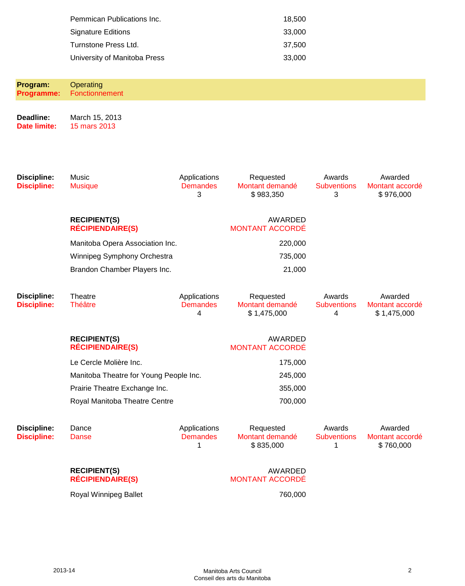| Pemmican Publications Inc.   | 18.500 |
|------------------------------|--------|
| Signature Editions           | 33,000 |
| Turnstone Press Ltd.         | 37.500 |
| University of Manitoba Press | 33,000 |

**Program: Programme: Operating** Fonctionnement **Deadline: Date limite:** March 15, 2013 15 mars 2013

| <b>Discipline:</b><br><b>Discipline:</b> | Music<br><b>Musique</b>                        | Applications<br><b>Demandes</b><br>3 | Requested<br>Montant demandé<br>\$983,350   | Awards<br><b>Subventions</b><br>3 | Awarded<br>Montant accordé<br>\$976,000   |
|------------------------------------------|------------------------------------------------|--------------------------------------|---------------------------------------------|-----------------------------------|-------------------------------------------|
|                                          | <b>RECIPIENT(S)</b><br><b>RÉCIPIENDAIRE(S)</b> |                                      | <b>AWARDED</b><br><b>MONTANT ACCORDÉ</b>    |                                   |                                           |
|                                          | Manitoba Opera Association Inc.                |                                      | 220,000                                     |                                   |                                           |
|                                          | Winnipeg Symphony Orchestra                    |                                      | 735,000                                     |                                   |                                           |
|                                          | Brandon Chamber Players Inc.                   |                                      | 21,000                                      |                                   |                                           |
| <b>Discipline:</b><br><b>Discipline:</b> | Theatre<br><b>Théâtre</b>                      | Applications<br><b>Demandes</b><br>4 | Requested<br>Montant demandé<br>\$1,475,000 | Awards<br><b>Subventions</b><br>4 | Awarded<br>Montant accordé<br>\$1,475,000 |
|                                          | <b>RECIPIENT(S)</b><br><b>RÉCIPIENDAIRE(S)</b> |                                      | AWARDED<br><b>MONTANT ACCORDÉ</b>           |                                   |                                           |
|                                          | Le Cercle Molière Inc.                         |                                      | 175,000                                     |                                   |                                           |
|                                          | Manitoba Theatre for Young People Inc.         |                                      | 245,000                                     |                                   |                                           |
|                                          | Prairie Theatre Exchange Inc.                  |                                      | 355,000                                     |                                   |                                           |
|                                          | Royal Manitoba Theatre Centre                  |                                      | 700,000                                     |                                   |                                           |
| <b>Discipline:</b><br><b>Discipline:</b> | Dance<br>Danse                                 | Applications<br><b>Demandes</b><br>1 | Requested<br>Montant demandé<br>\$835,000   | Awards<br><b>Subventions</b><br>1 | Awarded<br>Montant accordé<br>\$760,000   |
|                                          | <b>RECIPIENT(S)</b><br><b>RÉCIPIENDAIRE(S)</b> |                                      | <b>AWARDED</b><br><b>MONTANT ACCORDÉ</b>    |                                   |                                           |

# MONTANT ACCORDÉ

Royal Winnipeg Ballet 760,000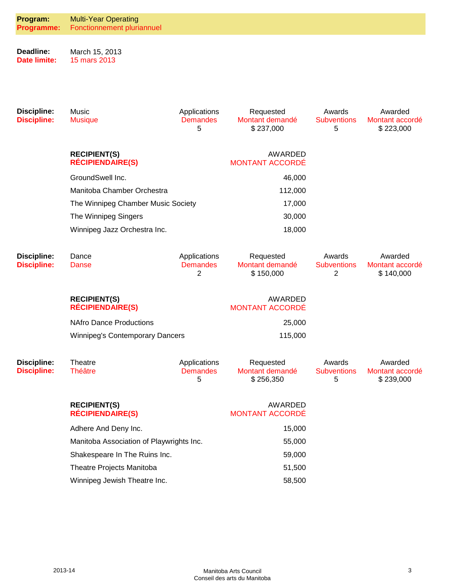| Program:<br><b>Programme:</b>            | <b>Multi-Year Operating</b><br>Fonctionnement pluriannuel |                                      |                                           |                                   |                                         |
|------------------------------------------|-----------------------------------------------------------|--------------------------------------|-------------------------------------------|-----------------------------------|-----------------------------------------|
| Deadline:<br><b>Date limite:</b>         | March 15, 2013<br>15 mars 2013                            |                                      |                                           |                                   |                                         |
| <b>Discipline:</b><br><b>Discipline:</b> | Music<br><b>Musique</b>                                   | Applications<br><b>Demandes</b><br>5 | Requested<br>Montant demandé<br>\$237,000 | Awards<br><b>Subventions</b><br>5 | Awarded<br>Montant accordé<br>\$223,000 |
|                                          | <b>RECIPIENT(S)</b><br><b>RÉCIPIENDAIRE(S)</b>            |                                      | <b>AWARDED</b><br><b>MONTANT ACCORDÉ</b>  |                                   |                                         |
|                                          | GroundSwell Inc.                                          |                                      | 46,000                                    |                                   |                                         |
|                                          | Manitoba Chamber Orchestra                                |                                      | 112,000                                   |                                   |                                         |
|                                          | The Winnipeg Chamber Music Society                        |                                      | 17,000                                    |                                   |                                         |
|                                          | The Winnipeg Singers                                      |                                      | 30,000                                    |                                   |                                         |
|                                          | Winnipeg Jazz Orchestra Inc.                              |                                      | 18,000                                    |                                   |                                         |
| <b>Discipline:</b><br><b>Discipline:</b> | Dance<br>Danse                                            | Applications<br><b>Demandes</b><br>2 | Requested<br>Montant demandé<br>\$150,000 | Awards<br><b>Subventions</b><br>2 | Awarded<br>Montant accordé<br>\$140,000 |
|                                          | <b>RECIPIENT(S)</b><br><b>RÉCIPIENDAIRE(S)</b>            |                                      | AWARDED<br><b>MONTANT ACCORDÉ</b>         |                                   |                                         |
|                                          | <b>NAfro Dance Productions</b>                            |                                      | 25,000                                    |                                   |                                         |
|                                          | <b>Winnipeg's Contemporary Dancers</b>                    |                                      | 115,000                                   |                                   |                                         |
| <b>Discipline:</b><br><b>Discipline:</b> | Theatre<br><b>Théâtre</b>                                 | Applications<br><b>Demandes</b><br>5 | Requested<br>Montant demandé<br>\$256,350 | Awards<br><b>Subventions</b><br>5 | Awarded<br>Montant accordé<br>\$239,000 |
|                                          | <b>RECIPIENT(S)</b><br><b>RÉCIPIENDAIRE(S)</b>            |                                      | <b>AWARDED</b><br><b>MONTANT ACCORDÉ</b>  |                                   |                                         |
|                                          | Adhere And Deny Inc.                                      |                                      | 15,000                                    |                                   |                                         |
|                                          | Manitoba Association of Playwrights Inc.                  |                                      | 55,000                                    |                                   |                                         |
|                                          | Shakespeare In The Ruins Inc.                             |                                      | 59,000                                    |                                   |                                         |
|                                          | Theatre Projects Manitoba                                 |                                      | 51,500                                    |                                   |                                         |
|                                          | Winnipeg Jewish Theatre Inc.                              |                                      | 58,500                                    |                                   |                                         |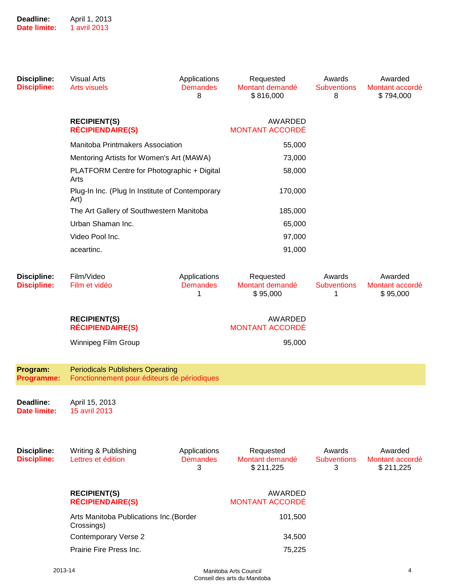| <b>Discipline:</b><br><b>Discipline:</b> | <b>Visual Arts</b><br><b>Arts visuels</b>                                                      | Applications<br><b>Demandes</b><br>8 | Requested<br>Montant demandé<br>\$816,000 | Awards<br><b>Subventions</b><br>8 | Awarded<br>Montant accordé<br>\$794,000 |
|------------------------------------------|------------------------------------------------------------------------------------------------|--------------------------------------|-------------------------------------------|-----------------------------------|-----------------------------------------|
|                                          | <b>RECIPIENT(S)</b><br><b>RÉCIPIENDAIRE(S)</b>                                                 |                                      | AWARDED<br><b>MONTANT ACCORDÉ</b>         |                                   |                                         |
|                                          | Manitoba Printmakers Association                                                               |                                      | 55,000                                    |                                   |                                         |
|                                          | Mentoring Artists for Women's Art (MAWA)<br>PLATFORM Centre for Photographic + Digital<br>Arts |                                      | 73,000                                    |                                   |                                         |
|                                          |                                                                                                |                                      | 58,000                                    |                                   |                                         |
|                                          | Plug-In Inc. (Plug In Institute of Contemporary<br>Art)                                        |                                      | 170,000                                   |                                   |                                         |
|                                          | The Art Gallery of Southwestern Manitoba                                                       |                                      | 185,000                                   |                                   |                                         |
|                                          | Urban Shaman Inc.                                                                              |                                      | 65,000                                    |                                   |                                         |
|                                          | Video Pool Inc.                                                                                |                                      | 97,000                                    |                                   |                                         |
|                                          | aceartinc.                                                                                     |                                      | 91,000                                    |                                   |                                         |
| <b>Discipline:</b><br><b>Discipline:</b> | Film/Video<br>Film et vidéo                                                                    | Applications<br><b>Demandes</b><br>1 | Requested<br>Montant demandé<br>\$95,000  | Awards<br><b>Subventions</b><br>1 | Awarded<br>Montant accordé<br>\$95,000  |
|                                          | <b>RECIPIENT(S)</b><br><b>RÉCIPIENDAIRE(S)</b>                                                 |                                      | AWARDED<br><b>MONTANT ACCORDÉ</b>         |                                   |                                         |
|                                          | Winnipeg Film Group                                                                            |                                      | 95,000                                    |                                   |                                         |
| Program:<br>Programme:                   | <b>Periodicals Publishers Operating</b><br>Fonctionnement pour éditeurs de périodiques         |                                      |                                           |                                   |                                         |
| Deadline:<br>Date limite:                | April 15, 2013<br>15 avril 2013                                                                |                                      |                                           |                                   |                                         |
| <b>Discipline:</b><br><b>Discipline:</b> | Writing & Publishing<br>Lettres et édition                                                     | Applications<br><b>Demandes</b><br>3 | Requested<br>Montant demandé<br>\$211,225 | Awards<br><b>Subventions</b><br>3 | Awarded<br>Montant accordé<br>\$211,225 |
|                                          | <b>RECIPIENT(S)</b><br><b>RÉCIPIENDAIRE(S)</b>                                                 |                                      | AWARDED<br><b>MONTANT ACCORDÉ</b>         |                                   |                                         |
|                                          | Arts Manitoba Publications Inc. (Border<br>Crossings)                                          |                                      | 101,500                                   |                                   |                                         |
|                                          | <b>Contemporary Verse 2</b>                                                                    |                                      | 34,500                                    |                                   |                                         |
|                                          | Prairie Fire Press Inc.                                                                        |                                      | 75,225                                    |                                   |                                         |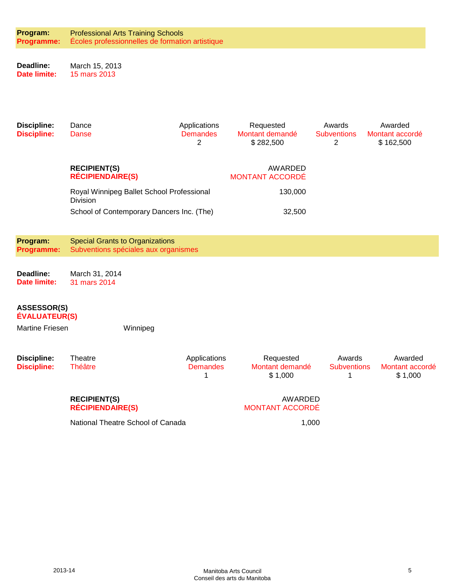| Program:<br>Programme:                     | <b>Professional Arts Training Schools</b><br>Écoles professionnelles de formation artistique |                                      |                                           |                                   |                                         |
|--------------------------------------------|----------------------------------------------------------------------------------------------|--------------------------------------|-------------------------------------------|-----------------------------------|-----------------------------------------|
| Deadline:<br><b>Date limite:</b>           | March 15, 2013<br>15 mars 2013                                                               |                                      |                                           |                                   |                                         |
| <b>Discipline:</b><br><b>Discipline:</b>   | Dance<br><b>Danse</b>                                                                        | Applications<br><b>Demandes</b><br>2 | Requested<br>Montant demandé<br>\$282,500 | Awards<br><b>Subventions</b><br>2 | Awarded<br>Montant accordé<br>\$162,500 |
|                                            | <b>RECIPIENT(S)</b><br><b>RÉCIPIENDAIRE(S)</b>                                               |                                      | AWARDED<br><b>MONTANT ACCORDÉ</b>         |                                   |                                         |
|                                            | Royal Winnipeg Ballet School Professional<br><b>Division</b>                                 |                                      | 130,000                                   |                                   |                                         |
|                                            | School of Contemporary Dancers Inc. (The)                                                    |                                      | 32,500                                    |                                   |                                         |
| Program:<br>Programme:                     | <b>Special Grants to Organizations</b><br>Subventions spéciales aux organismes               |                                      |                                           |                                   |                                         |
| Deadline:<br><b>Date limite:</b>           | March 31, 2014<br>31 mars 2014                                                               |                                      |                                           |                                   |                                         |
| <b>ASSESSOR(S)</b><br><b>ÉVALUATEUR(S)</b> |                                                                                              |                                      |                                           |                                   |                                         |
| <b>Martine Friesen</b>                     | Winnipeg                                                                                     |                                      |                                           |                                   |                                         |
| <b>Discipline:</b><br><b>Discipline:</b>   | Theatre<br><b>Théâtre</b>                                                                    | Applications<br><b>Demandes</b><br>1 | Requested<br>Montant demandé<br>\$1,000   | Awards<br><b>Subventions</b><br>1 | Awarded<br>Montant accordé<br>\$1,000   |
|                                            | <b>RECIPIENT(S)</b><br><b>RÉCIPIENDAIRE(S)</b>                                               |                                      | AWARDED<br><b>MONTANT ACCORDÉ</b>         |                                   |                                         |
|                                            | National Theatre School of Canada                                                            |                                      | 1,000                                     |                                   |                                         |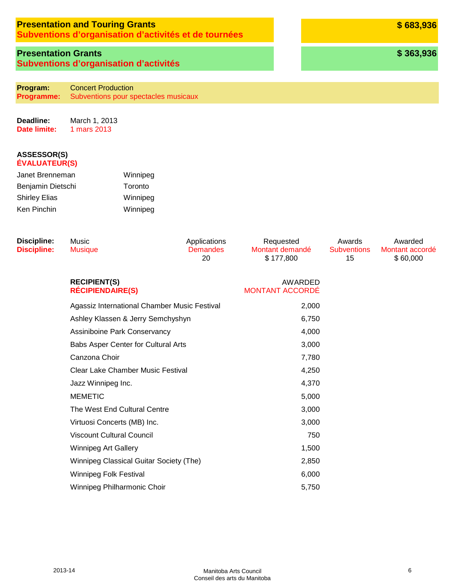# **Presentation and Touring Grants**

**Subventions d'organisation d'activités et de tournées**

# **Presentation Grants Subventions d'organisation d'activités**

**Program: Programme:** Concert Production Subventions pour spectacles musicaux

**Deadline: Date limite:** March 1, 2013 1 mars 2013

| Janet Brenneman      | Winnipeg |
|----------------------|----------|
| Benjamin Dietschi    | Toronto  |
| <b>Shirley Elias</b> | Winnipeg |
| Ken Pinchin          | Winnipeg |

| <b>Discipline:</b><br><b>Discipline:</b> | Music<br><b>Musique</b>                        | Applications<br><b>Demandes</b><br>20 | Requested<br>Montant demandé<br>\$177,800 | Awards<br><b>Subventions</b><br>15 | Awarded<br>Montant accordé<br>\$60,000 |
|------------------------------------------|------------------------------------------------|---------------------------------------|-------------------------------------------|------------------------------------|----------------------------------------|
|                                          | <b>RECIPIENT(S)</b><br><b>RÉCIPIENDAIRE(S)</b> |                                       | AWARDED<br><b>MONTANT ACCORDÉ</b>         |                                    |                                        |
|                                          | Agassiz International Chamber Music Festival   |                                       | 2,000                                     |                                    |                                        |
|                                          | Ashley Klassen & Jerry Semchyshyn              |                                       | 6,750                                     |                                    |                                        |
|                                          | Assiniboine Park Conservancy                   |                                       | 4,000                                     |                                    |                                        |
|                                          | Babs Asper Center for Cultural Arts            |                                       | 3,000                                     |                                    |                                        |
|                                          | Canzona Choir                                  |                                       | 7,780                                     |                                    |                                        |
|                                          | <b>Clear Lake Chamber Music Festival</b>       |                                       | 4,250                                     |                                    |                                        |
|                                          | Jazz Winnipeg Inc.                             |                                       | 4,370                                     |                                    |                                        |
|                                          | <b>MEMETIC</b>                                 |                                       | 5,000                                     |                                    |                                        |
|                                          | The West End Cultural Centre                   |                                       | 3,000                                     |                                    |                                        |
|                                          | Virtuosi Concerts (MB) Inc.                    |                                       | 3,000                                     |                                    |                                        |
|                                          | <b>Viscount Cultural Council</b>               |                                       | 750                                       |                                    |                                        |
|                                          | <b>Winnipeg Art Gallery</b>                    |                                       | 1,500                                     |                                    |                                        |
|                                          | Winnipeg Classical Guitar Society (The)        |                                       | 2,850                                     |                                    |                                        |
|                                          | Winnipeg Folk Festival                         |                                       | 6,000                                     |                                    |                                        |
|                                          | Winnipeg Philharmonic Choir                    |                                       | 5,750                                     |                                    |                                        |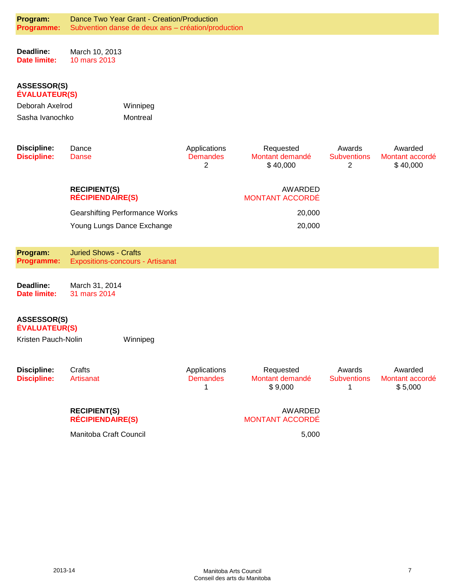| Program:<br>Programme:                     |                                                | Dance Two Year Grant - Creation/Production<br>Subvention danse de deux ans - création/production |                                      |                                          |                                                |                                        |
|--------------------------------------------|------------------------------------------------|--------------------------------------------------------------------------------------------------|--------------------------------------|------------------------------------------|------------------------------------------------|----------------------------------------|
| Deadline:<br><b>Date limite:</b>           | March 10, 2013<br>10 mars 2013                 |                                                                                                  |                                      |                                          |                                                |                                        |
| <b>ASSESSOR(S)</b><br><b>ÉVALUATEUR(S)</b> |                                                |                                                                                                  |                                      |                                          |                                                |                                        |
| Deborah Axelrod<br>Winnipeg                |                                                |                                                                                                  |                                      |                                          |                                                |                                        |
| Sasha Ivanochko                            |                                                | Montreal                                                                                         |                                      |                                          |                                                |                                        |
| <b>Discipline:</b><br><b>Discipline:</b>   | Dance<br>Danse                                 |                                                                                                  | Applications<br><b>Demandes</b><br>2 | Requested<br>Montant demandé<br>\$40,000 | Awards<br><b>Subventions</b><br>$\overline{2}$ | Awarded<br>Montant accordé<br>\$40,000 |
|                                            | <b>RECIPIENT(S)</b><br><b>RÉCIPIENDAIRE(S)</b> |                                                                                                  |                                      | AWARDED<br><b>MONTANT ACCORDÉ</b>        |                                                |                                        |
|                                            |                                                | <b>Gearshifting Performance Works</b>                                                            |                                      | 20,000                                   |                                                |                                        |
|                                            |                                                | Young Lungs Dance Exchange                                                                       |                                      | 20,000                                   |                                                |                                        |
|                                            |                                                |                                                                                                  |                                      |                                          |                                                |                                        |
| Program:<br><b>Programme:</b>              | <b>Juried Shows - Crafts</b>                   | <b>Expositions-concours - Artisanat</b>                                                          |                                      |                                          |                                                |                                        |
| Deadline:<br>Date limite:                  | March 31, 2014<br>31 mars 2014                 |                                                                                                  |                                      |                                          |                                                |                                        |
| <b>ASSESSOR(S)</b><br><b>ÉVALUATEUR(S)</b> |                                                |                                                                                                  |                                      |                                          |                                                |                                        |
| Kristen Pauch-Nolin                        |                                                | Winnipeg                                                                                         |                                      |                                          |                                                |                                        |
| <b>Discipline:</b><br><b>Discipline:</b>   | Crafts<br>Artisanat                            |                                                                                                  | Applications<br><b>Demandes</b><br>1 | Requested<br>Montant demandé<br>\$9,000  | Awards<br><b>Subventions</b><br>1              | Awarded<br>Montant accordé<br>\$5,000  |
|                                            | <b>RECIPIENT(S)</b><br><b>RÉCIPIENDAIRE(S)</b> |                                                                                                  |                                      | AWARDED<br><b>MONTANT ACCORDÉ</b>        |                                                |                                        |
|                                            | Manitoba Craft Council                         |                                                                                                  |                                      | 5,000                                    |                                                |                                        |
|                                            |                                                |                                                                                                  |                                      |                                          |                                                |                                        |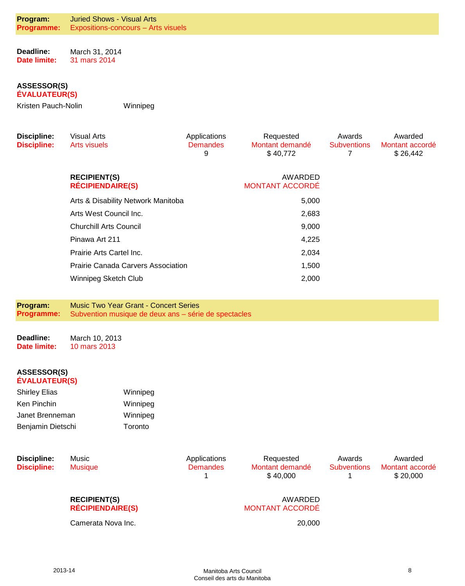**Deadline: Date limite:** March 31, 2014 31 mars 2014

#### **ASSESSOR(S) ÉVALUATEUR(S)**

Kristen Pauch-Nolin Winnipeg

**Discipline: Discipline:**  Visual Arts Arts visuels Applications **Demandes** 9 Requested Montant demandé \$ 40,772 Awards **Subventions** 7 Awarded Montant accordé \$ 26,442 **RECIPIENT(S) RÉCIPIENDAIRE(S)** AWARDED MONTANT ACCORDÉ Arts & Disability Network Manitoba 5,000 Arts West Council Inc. 2,683 Churchill Arts Council 9,000 Pinawa Art 211 4,225 Prairie Arts Cartel Inc. 2,034 Prairie Canada Carvers Association 1,500 Winnipeg Sketch Club 2,000

**Program: Programme:** Music Two Year Grant - Concert Series Subvention musique de deux ans – série de spectacles

**Deadline: Date limite:** March 10, 2013 10 mars 2013

#### **ASSESSOR(S) ÉVALUATEUR(S)**

| <b>Shirley Elias</b> | Winnipeg |
|----------------------|----------|
| Ken Pinchin          | Winnipeg |
| Janet Brenneman      | Winnipeg |
| Benjamin Dietschi    | Toronto  |

**Discipline: Discipline:**  Music Musique

Applications **Demandes** 1

Requested Montant demandé \$ 40,000

Awards **Subventions** 1

Awarded Montant accordé \$ 20,000

### **RECIPIENT(S) RÉCIPIENDAIRE(S)**

Camerata Nova Inc. 20,000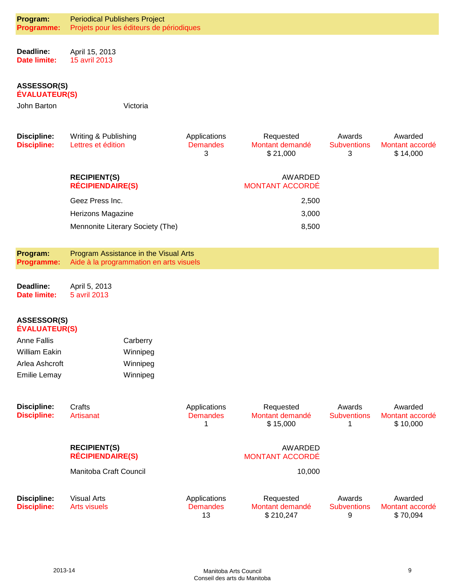| Program:<br>Programme:                     | <b>Periodical Publishers Project</b><br>Projets pour les éditeurs de périodiques |                                       |                                           |                              |                                        |
|--------------------------------------------|----------------------------------------------------------------------------------|---------------------------------------|-------------------------------------------|------------------------------|----------------------------------------|
|                                            |                                                                                  |                                       |                                           |                              |                                        |
| Deadline:<br>Date limite:                  | April 15, 2013<br>15 avril 2013                                                  |                                       |                                           |                              |                                        |
|                                            |                                                                                  |                                       |                                           |                              |                                        |
| <b>ASSESSOR(S)</b><br><b>ÉVALUATEUR(S)</b> |                                                                                  |                                       |                                           |                              |                                        |
| John Barton                                | Victoria                                                                         |                                       |                                           |                              |                                        |
|                                            |                                                                                  |                                       |                                           |                              |                                        |
| <b>Discipline:</b><br><b>Discipline:</b>   | Writing & Publishing<br>Lettres et édition                                       | Applications<br><b>Demandes</b>       | Requested<br>Montant demandé              | Awards<br><b>Subventions</b> | Awarded<br>Montant accordé             |
|                                            |                                                                                  | 3                                     | \$21,000                                  | 3                            | \$14,000                               |
|                                            | <b>RECIPIENT(S)</b>                                                              |                                       | AWARDED                                   |                              |                                        |
|                                            | <b>RÉCIPIENDAIRE(S)</b>                                                          |                                       | <b>MONTANT ACCORDÉ</b>                    |                              |                                        |
|                                            | Geez Press Inc.<br>Herizons Magazine                                             |                                       | 2,500<br>3,000                            |                              |                                        |
|                                            | Mennonite Literary Society (The)                                                 |                                       | 8,500                                     |                              |                                        |
|                                            |                                                                                  |                                       |                                           |                              |                                        |
| Program:<br><b>Programme:</b>              | Program Assistance in the Visual Arts<br>Aide à la programmation en arts visuels |                                       |                                           |                              |                                        |
|                                            |                                                                                  |                                       |                                           |                              |                                        |
|                                            |                                                                                  |                                       |                                           |                              |                                        |
| Deadline:<br>Date limite:                  | April 5, 2013<br>5 avril 2013                                                    |                                       |                                           |                              |                                        |
|                                            |                                                                                  |                                       |                                           |                              |                                        |
| <b>ASSESSOR(S)</b><br><b>ÉVALUATEUR(S)</b> |                                                                                  |                                       |                                           |                              |                                        |
| <b>Anne Fallis</b>                         | Carberry                                                                         |                                       |                                           |                              |                                        |
| <b>William Eakin</b>                       | Winnipeg                                                                         |                                       |                                           |                              |                                        |
| Arlea Ashcroft<br><b>Emilie Lemay</b>      | Winnipeg<br>Winnipeg                                                             |                                       |                                           |                              |                                        |
|                                            |                                                                                  |                                       |                                           |                              |                                        |
| <b>Discipline:</b>                         | Crafts                                                                           | Applications                          | Requested                                 | Awards                       | Awarded                                |
| <b>Discipline:</b>                         | <b>Artisanat</b>                                                                 | <b>Demandes</b><br>1                  | Montant demandé<br>\$15,000               | <b>Subventions</b><br>1      | Montant accordé<br>\$10,000            |
|                                            |                                                                                  |                                       |                                           |                              |                                        |
|                                            | <b>RECIPIENT(S)</b><br><b>RÉCIPIENDAIRE(S)</b>                                   |                                       | AWARDED<br><b>MONTANT ACCORDÉ</b>         |                              |                                        |
|                                            | Manitoba Craft Council                                                           |                                       | 10,000                                    |                              |                                        |
|                                            |                                                                                  |                                       |                                           | Awards                       |                                        |
| <b>Discipline:</b><br><b>Discipline:</b>   | <b>Visual Arts</b><br><b>Arts visuels</b>                                        | Applications<br><b>Demandes</b><br>13 | Requested<br>Montant demandé<br>\$210,247 | <b>Subventions</b><br>9      | Awarded<br>Montant accordé<br>\$70,094 |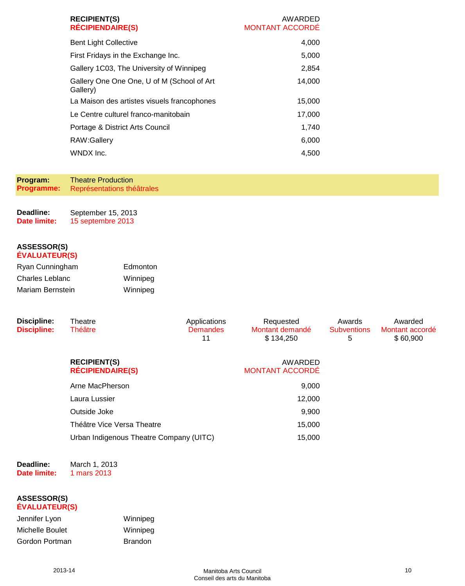| <b>RECIPIENT(S)</b><br><b>RÉCIPIENDAIRE(S)</b>         | AWARDED<br><b>MONTANT ACCORDÉ</b> |
|--------------------------------------------------------|-----------------------------------|
| <b>Bent Light Collective</b>                           | 4,000                             |
| First Fridays in the Exchange Inc.                     | 5,000                             |
| Gallery 1C03, The University of Winnipeg               | 2,854                             |
| Gallery One One One, U of M (School of Art<br>Gallery) | 14,000                            |
| La Maison des artistes visuels francophones            | 15,000                            |
| Le Centre culturel franco-manitobain                   | 17,000                            |
| Portage & District Arts Council                        | 1,740                             |
| RAW:Gallery                                            | 6,000                             |
| WNDX Inc.                                              | 4.500                             |

**Program: Programme:** Theatre Production Représentations théâtrales

**Deadline: Date limite:** September 15, 2013 15 septembre 2013

#### **ASSESSOR(S) ÉVALUATEUR(S)**

| Ryan Cunningham  | Edmonton |
|------------------|----------|
| Charles Leblanc  | Winnipeg |
| Mariam Bernstein | Winnipeg |

| <b>Discipline:</b><br><b>Discipline:</b> | Theatre<br><b>Théâtre</b>                      | Applications<br><b>Demandes</b><br>11 | Requested<br>Montant demandé<br>\$134,250 | Awards<br><b>Subventions</b><br>5 | Awarded<br>Montant accordé<br>\$60,900 |
|------------------------------------------|------------------------------------------------|---------------------------------------|-------------------------------------------|-----------------------------------|----------------------------------------|
|                                          | <b>RECIPIENT(S)</b><br><b>RÉCIPIENDAIRE(S)</b> |                                       | AWARDED<br><b>MONTANT ACCORDÉ</b>         |                                   |                                        |
|                                          | Arne MacPherson                                |                                       | 9,000                                     |                                   |                                        |
|                                          | Laura Lussier                                  |                                       | 12,000                                    |                                   |                                        |
|                                          | Outside Joke                                   |                                       | 9,900                                     |                                   |                                        |
|                                          | Théâtre Vice Versa Theatre                     |                                       | 15,000                                    |                                   |                                        |
|                                          | Urban Indigenous Theatre Company (UITC)        |                                       | 15,000                                    |                                   |                                        |
|                                          |                                                |                                       |                                           |                                   |                                        |

**Deadline: Date limite:**

#### March 1, 2013 1 mars 2013

| Jennifer Lyon   | Winnipeg       |
|-----------------|----------------|
| Michelle Boulet | Winnipeg       |
| Gordon Portman  | <b>Brandon</b> |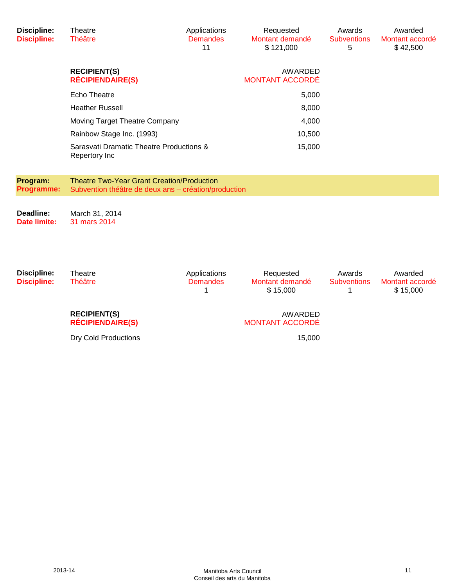| <b>Discipline:</b><br><b>Discipline:</b> | Theatre<br><b>Théâtre</b>                                                                                 | Applications<br><b>Demandes</b><br>11 | Requested<br>Montant demandé<br>\$121,000 | Awards<br><b>Subventions</b><br>5 | Awarded<br>Montant accordé<br>\$42,500 |
|------------------------------------------|-----------------------------------------------------------------------------------------------------------|---------------------------------------|-------------------------------------------|-----------------------------------|----------------------------------------|
|                                          | <b>RECIPIENT(S)</b><br><b>RÉCIPIENDAIRE(S)</b>                                                            |                                       | AWARDED<br><b>MONTANT ACCORDÉ</b>         |                                   |                                        |
|                                          | <b>Echo Theatre</b>                                                                                       |                                       | 5,000                                     |                                   |                                        |
|                                          | <b>Heather Russell</b>                                                                                    |                                       | 8,000                                     |                                   |                                        |
|                                          | Moving Target Theatre Company                                                                             |                                       | 4,000                                     |                                   |                                        |
|                                          | Rainbow Stage Inc. (1993)                                                                                 |                                       | 10,500                                    |                                   |                                        |
|                                          | Sarasvati Dramatic Theatre Productions &<br>Repertory Inc                                                 |                                       | 15,000                                    |                                   |                                        |
| Program:<br>Programme:                   | <b>Theatre Two-Year Grant Creation/Production</b><br>Subvention théâtre de deux ans – création/production |                                       |                                           |                                   |                                        |
| Deadline:<br>Date limite:                | March 31, 2014<br>31 mars 2014                                                                            |                                       |                                           |                                   |                                        |

| Discipline:<br><b>Discipline:</b> | Theatre<br><b>Théâtre</b>                      | Applications<br><b>Demandes</b> | Requested<br>Montant demandé<br>\$15,000 | Awards<br><b>Subventions</b> | Awarded<br>Montant accordé<br>\$15,000 |
|-----------------------------------|------------------------------------------------|---------------------------------|------------------------------------------|------------------------------|----------------------------------------|
|                                   | <b>RECIPIENT(S)</b><br><b>RÉCIPIENDAIRE(S)</b> |                                 | AWARDED<br><b>MONTANT ACCORDÉ</b>        |                              |                                        |
|                                   | <b>Dry Cold Productions</b>                    |                                 | 15,000                                   |                              |                                        |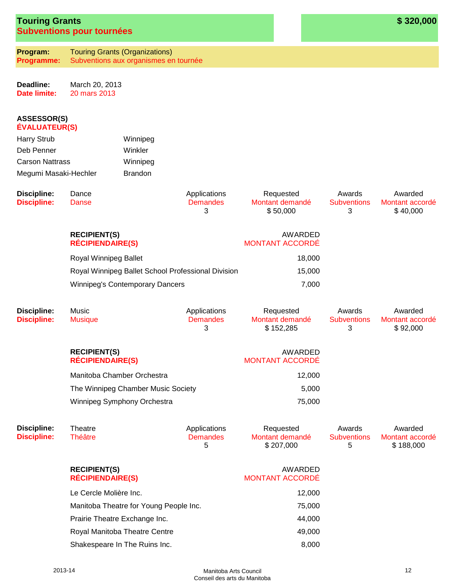| <b>Touring Grants</b>            |  |
|----------------------------------|--|
| <b>Subventions pour tournées</b> |  |

**Program: Programme:** Touring Grants (Organizations) Subventions aux organismes en tournée

**Deadline: Date limite:** March 20, 2013 20 mars 2013

#### **ASSESSOR(S) ÉVALUATEUR(S)**

| <b>Harry Strub</b>     | Winnipeg       |
|------------------------|----------------|
| Deb Penner             | Winkler        |
| <b>Carson Nattrass</b> | Winnipeg       |
| Megumi Masaki-Hechler  | <b>Brandon</b> |

| Discipline:<br><b>Discipline:</b> | Dance<br>Danse                                 | Applications<br><b>Demandes</b> | Requested<br>Montant demandé                       | Awards<br><b>Subventions</b> | Awarded<br>Montant accordé |
|-----------------------------------|------------------------------------------------|---------------------------------|----------------------------------------------------|------------------------------|----------------------------|
|                                   | <b>RECIPIENT(S)</b><br><b>RÉCIPIENDAIRE(S)</b> |                                 | \$50,000<br>3<br>AWARDED<br><b>MONTANT ACCORDÉ</b> |                              | \$40,000                   |
|                                   | Royal Winnipeg Ballet                          |                                 | 18,000                                             |                              |                            |

Royal Winnipeg Ballet School Professional Division 15,000 Winnipeg's Contemporary Dancers 7,000

| <b>Discipline:</b><br><b>Discipline:</b> | Music<br><b>Musique</b>                        | Applications<br><b>Demandes</b><br>3 | Requested<br>Montant demandé<br>\$152,285 | Awards<br><b>Subventions</b><br>3 | Awarded<br>Montant accordé<br>\$92,000 |
|------------------------------------------|------------------------------------------------|--------------------------------------|-------------------------------------------|-----------------------------------|----------------------------------------|
|                                          | <b>RECIPIENT(S)</b><br><b>RÉCIPIENDAIRE(S)</b> |                                      | AWARDED<br><b>MONTANT ACCORDÉ</b>         |                                   |                                        |
|                                          | Manitoba Chamber Orchestra                     |                                      | 12,000                                    |                                   |                                        |
|                                          | The Winnipeg Chamber Music Society             |                                      | 5,000                                     |                                   |                                        |
|                                          | Winnipeg Symphony Orchestra                    |                                      | 75,000                                    |                                   |                                        |

| Discipline:<br><b>Discipline:</b> | Theatre<br>Théâtre                                             | Applications<br><b>Demandes</b><br>5 | Requested<br>Montant demandé<br>\$207,000 | Awards<br><b>Subventions</b><br>5 | Awarded<br>Montant accordé<br>\$188,000 |
|-----------------------------------|----------------------------------------------------------------|--------------------------------------|-------------------------------------------|-----------------------------------|-----------------------------------------|
|                                   | <b>RECIPIENT(S)</b><br><b>RÉCIPIENDAIRE(S)</b>                 |                                      | AWARDED<br><b>MONTANT ACCORDE</b>         |                                   |                                         |
|                                   | Le Cercle Molière Inc.                                         |                                      | 12,000                                    |                                   |                                         |
|                                   | Manitoba Theatre for Young People Inc.                         |                                      | 75,000                                    |                                   |                                         |
|                                   | Prairie Theatre Exchange Inc.<br>Royal Manitoba Theatre Centre |                                      | 44.000                                    |                                   |                                         |
|                                   |                                                                |                                      | 49,000                                    |                                   |                                         |
|                                   | Shakespeare In The Ruins Inc.                                  |                                      | 8,000                                     |                                   |                                         |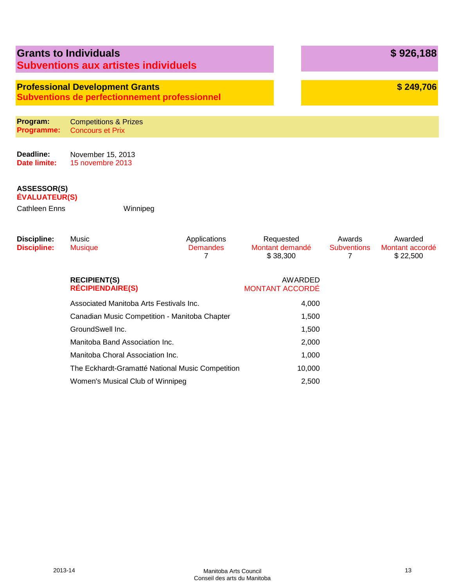|                                                                    | <b>Grants to Individuals</b><br><b>Subventions aux artistes individuels</b>                    |                                      |                                          |                                   | \$926,188                              |
|--------------------------------------------------------------------|------------------------------------------------------------------------------------------------|--------------------------------------|------------------------------------------|-----------------------------------|----------------------------------------|
|                                                                    | <b>Professional Development Grants</b><br><b>Subventions de perfectionnement professionnel</b> |                                      |                                          |                                   | \$249,706                              |
| Program:<br>Programme:                                             | <b>Competitions &amp; Prizes</b><br><b>Concours et Prix</b>                                    |                                      |                                          |                                   |                                        |
| Deadline:<br><b>Date limite:</b>                                   | November 15, 2013<br>15 novembre 2013                                                          |                                      |                                          |                                   |                                        |
| <b>ASSESSOR(S)</b><br><b>ÉVALUATEUR(S)</b><br><b>Cathleen Enns</b> | Winnipeg                                                                                       |                                      |                                          |                                   |                                        |
| <b>Discipline:</b><br><b>Discipline:</b>                           | Music<br><b>Musique</b>                                                                        | Applications<br><b>Demandes</b><br>7 | Requested<br>Montant demandé<br>\$38,300 | Awards<br><b>Subventions</b><br>7 | Awarded<br>Montant accordé<br>\$22,500 |
|                                                                    | <b>RECIPIENT(S)</b><br><b>RÉCIPIENDAIRE(S)</b>                                                 |                                      | <b>AWARDED</b><br><b>MONTANT ACCORDÉ</b> |                                   |                                        |
|                                                                    | Associated Manitoba Arts Festivals Inc.                                                        |                                      | 4,000                                    |                                   |                                        |
|                                                                    | Canadian Music Competition - Manitoba Chapter                                                  |                                      | 1,500                                    |                                   |                                        |
|                                                                    | GroundSwell Inc.                                                                               |                                      | 1,500                                    |                                   |                                        |
|                                                                    | Manitoba Band Association Inc.                                                                 |                                      | 2,000                                    |                                   |                                        |
|                                                                    | Manitoba Choral Association Inc.                                                               |                                      | 1,000                                    |                                   |                                        |
|                                                                    | The Eckhardt-Gramatté National Music Competition<br>Women's Musical Club of Winnipeg           |                                      | 10,000<br>2,500                          |                                   |                                        |
|                                                                    |                                                                                                |                                      |                                          |                                   |                                        |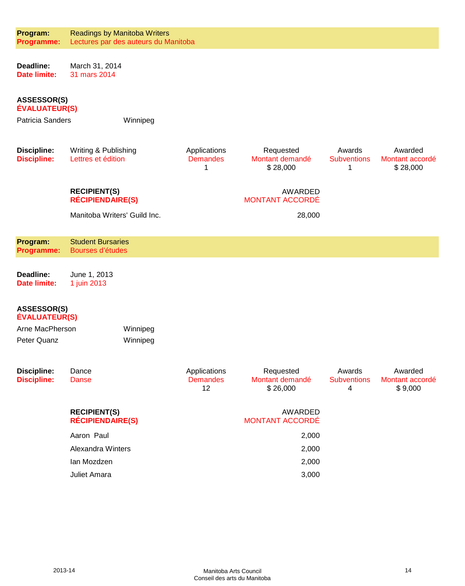| Program:<br><b>Programme:</b>              | <b>Readings by Manitoba Writers</b><br>Lectures par des auteurs du Manitoba |                                       |                                          |                                                |                                        |  |  |
|--------------------------------------------|-----------------------------------------------------------------------------|---------------------------------------|------------------------------------------|------------------------------------------------|----------------------------------------|--|--|
| Deadline:<br><b>Date limite:</b>           | March 31, 2014<br>31 mars 2014                                              |                                       |                                          |                                                |                                        |  |  |
|                                            | <b>ASSESSOR(S)</b><br><b>ÉVALUATEUR(S)</b>                                  |                                       |                                          |                                                |                                        |  |  |
| Patricia Sanders                           | Winnipeg                                                                    |                                       |                                          |                                                |                                        |  |  |
| <b>Discipline:</b><br><b>Discipline:</b>   | Writing & Publishing<br>Lettres et édition                                  | Applications<br><b>Demandes</b><br>1  | Requested<br>Montant demandé<br>\$28,000 | Awards<br><b>Subventions</b><br>1              | Awarded<br>Montant accordé<br>\$28,000 |  |  |
|                                            | <b>RECIPIENT(S)</b><br><b>RÉCIPIENDAIRE(S)</b>                              |                                       | AWARDED<br><b>MONTANT ACCORDÉ</b>        |                                                |                                        |  |  |
|                                            | Manitoba Writers' Guild Inc.                                                |                                       | 28,000                                   |                                                |                                        |  |  |
| Program:<br><b>Programme:</b>              | <b>Student Bursaries</b><br>Bourses d'études                                |                                       |                                          |                                                |                                        |  |  |
| Deadline:<br><b>Date limite:</b>           | June 1, 2013<br>1 juin 2013                                                 |                                       |                                          |                                                |                                        |  |  |
| <b>ASSESSOR(S)</b><br><b>ÉVALUATEUR(S)</b> |                                                                             |                                       |                                          |                                                |                                        |  |  |
| Arne MacPherson<br>Peter Quanz             | Winnipeg<br>Winnipeg                                                        |                                       |                                          |                                                |                                        |  |  |
| <b>Discipline:</b><br><b>Discipline:</b>   | Dance<br><b>Danse</b>                                                       | Applications<br><b>Demandes</b><br>12 | Requested<br>Montant demandé<br>\$26,000 | Awards<br><b>Subventions</b><br>$\overline{4}$ | Awarded<br>Montant accordé<br>\$9,000  |  |  |
|                                            | <b>RECIPIENT(S)</b><br><b>RÉCIPIENDAIRE(S)</b>                              |                                       | AWARDED<br><b>MONTANT ACCORDÉ</b>        |                                                |                                        |  |  |
|                                            | Aaron Paul                                                                  |                                       | 2,000                                    |                                                |                                        |  |  |
|                                            | <b>Alexandra Winters</b>                                                    |                                       | 2,000                                    |                                                |                                        |  |  |
|                                            | lan Mozdzen                                                                 |                                       | 2,000                                    |                                                |                                        |  |  |
|                                            | Juliet Amara                                                                |                                       | 3,000                                    |                                                |                                        |  |  |
|                                            |                                                                             |                                       |                                          |                                                |                                        |  |  |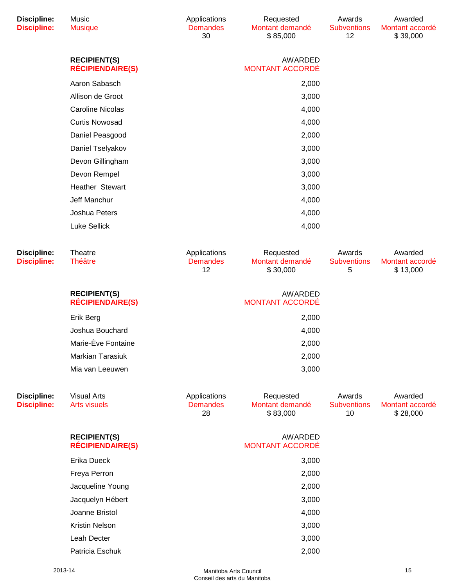| <b>Discipline:</b><br><b>Discipline:</b> | Music<br><b>Musique</b>                        | Applications<br><b>Demandes</b><br>30 | Requested<br>Montant demandé<br>\$85,000 | Awards<br><b>Subventions</b><br>12 | Awarded<br>Montant accordé<br>\$39,000 |
|------------------------------------------|------------------------------------------------|---------------------------------------|------------------------------------------|------------------------------------|----------------------------------------|
|                                          | <b>RECIPIENT(S)</b><br><b>RÉCIPIENDAIRE(S)</b> |                                       | AWARDED<br><b>MONTANT ACCORDÉ</b>        |                                    |                                        |
|                                          | Aaron Sabasch                                  |                                       | 2,000                                    |                                    |                                        |
|                                          | Allison de Groot                               |                                       | 3,000                                    |                                    |                                        |
|                                          | <b>Caroline Nicolas</b>                        |                                       | 4,000                                    |                                    |                                        |
|                                          | <b>Curtis Nowosad</b>                          |                                       | 4,000                                    |                                    |                                        |
|                                          | Daniel Peasgood                                |                                       | 2,000                                    |                                    |                                        |
|                                          | Daniel Tselyakov                               |                                       | 3,000                                    |                                    |                                        |
|                                          | Devon Gillingham                               |                                       | 3,000                                    |                                    |                                        |
|                                          | Devon Rempel                                   |                                       | 3,000                                    |                                    |                                        |
|                                          | Heather Stewart                                |                                       | 3,000                                    |                                    |                                        |
|                                          | Jeff Manchur                                   |                                       | 4,000                                    |                                    |                                        |
|                                          | Joshua Peters                                  |                                       | 4,000                                    |                                    |                                        |
|                                          | <b>Luke Sellick</b>                            |                                       | 4,000                                    |                                    |                                        |
| <b>Discipline:</b><br><b>Discipline:</b> | Theatre<br><b>Théâtre</b>                      | Applications<br><b>Demandes</b><br>12 | Requested<br>Montant demandé<br>\$30,000 | Awards<br><b>Subventions</b><br>5  | Awarded<br>Montant accordé<br>\$13,000 |
|                                          | <b>RECIPIENT(S)</b><br><b>RÉCIPIENDAIRE(S)</b> |                                       | <b>AWARDED</b><br><b>MONTANT ACCORDÉ</b> |                                    |                                        |
|                                          | Erik Berg                                      |                                       | 2,000                                    |                                    |                                        |
|                                          | Joshua Bouchard                                |                                       | 4,000                                    |                                    |                                        |
|                                          | Marie-Ève Fontaine                             |                                       | 2,000                                    |                                    |                                        |
|                                          | <b>Markian Tarasiuk</b>                        |                                       | 2,000                                    |                                    |                                        |
|                                          | Mia van Leeuwen                                |                                       | 3,000                                    |                                    |                                        |
| <b>Discipline:</b><br><b>Discipline:</b> | <b>Visual Arts</b><br><b>Arts visuels</b>      | Applications<br><b>Demandes</b><br>28 | Requested<br>Montant demandé<br>\$83,000 | Awards<br><b>Subventions</b><br>10 | Awarded<br>Montant accordé<br>\$28,000 |
|                                          | <b>RECIPIENT(S)</b><br><b>RÉCIPIENDAIRE(S)</b> |                                       | AWARDED<br><b>MONTANT ACCORDÉ</b>        |                                    |                                        |
|                                          | Erika Dueck                                    |                                       | 3,000                                    |                                    |                                        |
|                                          | Freya Perron                                   |                                       | 2,000                                    |                                    |                                        |
|                                          | Jacqueline Young                               |                                       | 2,000                                    |                                    |                                        |
|                                          | Jacquelyn Hébert                               |                                       | 3,000                                    |                                    |                                        |
|                                          | Joanne Bristol                                 |                                       | 4,000                                    |                                    |                                        |
|                                          | <b>Kristin Nelson</b>                          |                                       | 3,000                                    |                                    |                                        |
|                                          | Leah Decter                                    |                                       | 3,000                                    |                                    |                                        |
|                                          | Patricia Eschuk                                |                                       | 2,000                                    |                                    |                                        |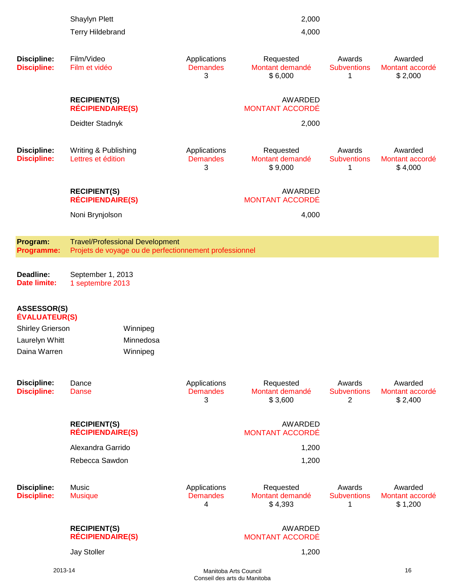|                                            | Shaylyn Plett                                  |                                                                                                  |                                      | 2,000                                   |                                   |                                       |
|--------------------------------------------|------------------------------------------------|--------------------------------------------------------------------------------------------------|--------------------------------------|-----------------------------------------|-----------------------------------|---------------------------------------|
|                                            | <b>Terry Hildebrand</b>                        |                                                                                                  |                                      | 4,000                                   |                                   |                                       |
| <b>Discipline:</b><br><b>Discipline:</b>   | Film/Video<br>Film et vidéo                    |                                                                                                  | Applications<br><b>Demandes</b>      | Requested<br>Montant demandé            | Awards<br><b>Subventions</b>      | Awarded<br>Montant accordé            |
|                                            |                                                |                                                                                                  | 3                                    | \$6,000                                 | 1                                 | \$2,000                               |
|                                            | <b>RECIPIENT(S)</b><br><b>RÉCIPIENDAIRE(S)</b> |                                                                                                  |                                      | AWARDED<br><b>MONTANT ACCORDÉ</b>       |                                   |                                       |
|                                            | Deidter Stadnyk                                |                                                                                                  |                                      | 2,000                                   |                                   |                                       |
| <b>Discipline:</b><br><b>Discipline:</b>   | Writing & Publishing<br>Lettres et édition     |                                                                                                  | Applications<br><b>Demandes</b><br>3 | Requested<br>Montant demandé<br>\$9,000 | Awards<br><b>Subventions</b><br>1 | Awarded<br>Montant accordé<br>\$4,000 |
|                                            | <b>RECIPIENT(S)</b><br><b>RÉCIPIENDAIRE(S)</b> |                                                                                                  |                                      | AWARDED<br><b>MONTANT ACCORDÉ</b>       |                                   |                                       |
|                                            | Noni Brynjolson                                |                                                                                                  |                                      | 4,000                                   |                                   |                                       |
| Program:<br><b>Programme:</b>              |                                                | <b>Travel/Professional Development</b><br>Projets de voyage ou de perfectionnement professionnel |                                      |                                         |                                   |                                       |
| Deadline:<br><b>Date limite:</b>           | September 1, 2013<br>1 septembre 2013          |                                                                                                  |                                      |                                         |                                   |                                       |
| <b>ASSESSOR(S)</b><br><b>ÉVALUATEUR(S)</b> |                                                |                                                                                                  |                                      |                                         |                                   |                                       |
| <b>Shirley Grierson</b>                    |                                                | Winnipeg                                                                                         |                                      |                                         |                                   |                                       |
| Laurelyn Whitt                             |                                                | Minnedosa                                                                                        |                                      |                                         |                                   |                                       |
| Daina Warren                               |                                                | Winnipeg                                                                                         |                                      |                                         |                                   |                                       |
| <b>Discipline:</b><br><b>Discipline:</b>   | Dance<br>Danse                                 |                                                                                                  | Applications<br><b>Demandes</b><br>3 | Requested<br>Montant demandé<br>\$3,600 | Awards<br><b>Subventions</b><br>2 | Awarded<br>Montant accordé<br>\$2,400 |
|                                            | <b>RECIPIENT(S)</b><br><b>RÉCIPIENDAIRE(S)</b> |                                                                                                  |                                      | AWARDED<br><b>MONTANT ACCORDÉ</b>       |                                   |                                       |
|                                            | Alexandra Garrido                              |                                                                                                  |                                      | 1,200                                   |                                   |                                       |
|                                            | Rebecca Sawdon                                 |                                                                                                  |                                      | 1,200                                   |                                   |                                       |
| <b>Discipline:</b><br><b>Discipline:</b>   | Music<br><b>Musique</b>                        |                                                                                                  | Applications<br><b>Demandes</b><br>4 | Requested<br>Montant demandé<br>\$4,393 | Awards<br><b>Subventions</b><br>1 | Awarded<br>Montant accordé<br>\$1,200 |
|                                            | <b>RECIPIENT(S)</b><br><b>RÉCIPIENDAIRE(S)</b> |                                                                                                  |                                      | AWARDED<br><b>MONTANT ACCORDÉ</b>       |                                   |                                       |
|                                            | <b>Jay Stoller</b>                             |                                                                                                  |                                      | 1,200                                   |                                   |                                       |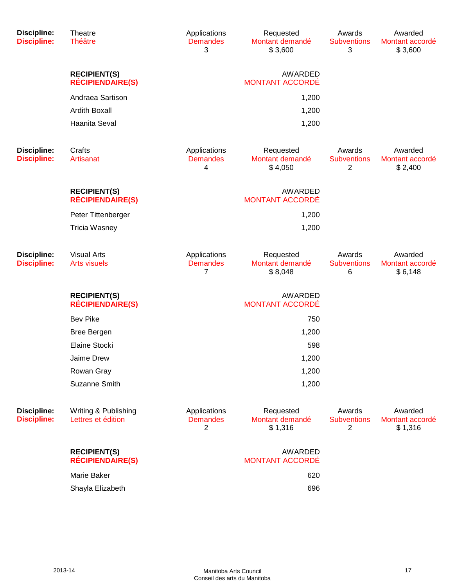| <b>Discipline:</b><br><b>Discipline:</b> | Theatre<br><b>Théâtre</b>                      | Applications<br><b>Demandes</b><br>3 | Requested<br>Montant demandé<br>\$3,600 | Awards<br><b>Subventions</b><br>3 | Awarded<br>Montant accordé<br>\$3,600 |
|------------------------------------------|------------------------------------------------|--------------------------------------|-----------------------------------------|-----------------------------------|---------------------------------------|
|                                          | <b>RECIPIENT(S)</b><br><b>RÉCIPIENDAIRE(S)</b> |                                      | AWARDED<br><b>MONTANT ACCORDÉ</b>       |                                   |                                       |
|                                          | Andraea Sartison                               |                                      | 1,200                                   |                                   |                                       |
|                                          | <b>Ardith Boxall</b>                           |                                      | 1,200                                   |                                   |                                       |
|                                          | Haanita Seval                                  |                                      | 1,200                                   |                                   |                                       |
| <b>Discipline:</b><br><b>Discipline:</b> | Crafts<br>Artisanat                            | Applications<br><b>Demandes</b><br>4 | Requested<br>Montant demandé<br>\$4,050 | Awards<br><b>Subventions</b><br>2 | Awarded<br>Montant accordé<br>\$2,400 |
|                                          | <b>RECIPIENT(S)</b><br><b>RÉCIPIENDAIRE(S)</b> |                                      | AWARDED<br><b>MONTANT ACCORDÉ</b>       |                                   |                                       |
|                                          | Peter Tittenberger                             |                                      | 1,200                                   |                                   |                                       |
|                                          | <b>Tricia Wasney</b>                           |                                      | 1,200                                   |                                   |                                       |
| <b>Discipline:</b><br><b>Discipline:</b> | <b>Visual Arts</b><br><b>Arts visuels</b>      | Applications<br><b>Demandes</b><br>7 | Requested<br>Montant demandé<br>\$8,048 | Awards<br><b>Subventions</b><br>6 | Awarded<br>Montant accordé<br>\$6,148 |
|                                          | <b>RECIPIENT(S)</b><br><b>RÉCIPIENDAIRE(S)</b> |                                      | AWARDED<br><b>MONTANT ACCORDÉ</b>       |                                   |                                       |
|                                          | <b>Bev Pike</b>                                |                                      | 750                                     |                                   |                                       |
|                                          | <b>Bree Bergen</b>                             |                                      | 1,200                                   |                                   |                                       |
|                                          | Elaine Stocki                                  |                                      | 598                                     |                                   |                                       |
|                                          | Jaime Drew                                     |                                      | 1,200                                   |                                   |                                       |
|                                          | Rowan Gray                                     |                                      | 1,200                                   |                                   |                                       |
|                                          | Suzanne Smith                                  |                                      | 1,200                                   |                                   |                                       |
| Discipline:<br><b>Discipline:</b>        | Writing & Publishing<br>Lettres et édition     | Applications<br><b>Demandes</b><br>2 | Requested<br>Montant demandé<br>\$1,316 | Awards<br><b>Subventions</b><br>2 | Awarded<br>Montant accordé<br>\$1,316 |
|                                          | <b>RECIPIENT(S)</b><br><b>RÉCIPIENDAIRE(S)</b> |                                      | AWARDED<br>MONTANT ACCORDÉ              |                                   |                                       |
|                                          | Marie Baker                                    |                                      | 620                                     |                                   |                                       |
|                                          | Shayla Elizabeth                               |                                      | 696                                     |                                   |                                       |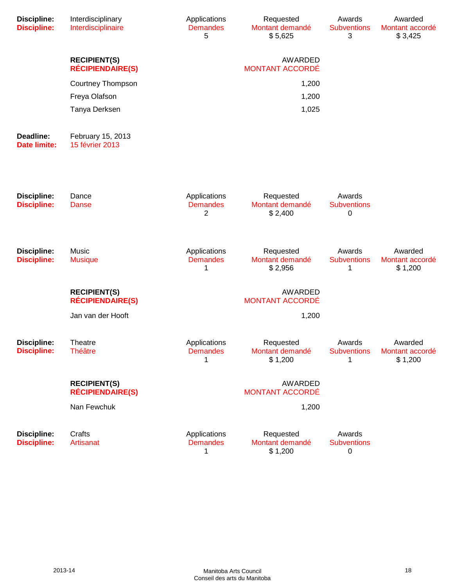| <b>Discipline:</b><br><b>Discipline:</b> | Interdisciplinary<br>Interdisciplinaire        | Applications<br><b>Demandes</b><br>5 | Requested<br>Montant demandé<br>\$5,625 | Awards<br><b>Subventions</b><br>3 | Awarded<br>Montant accordé<br>\$3,425 |
|------------------------------------------|------------------------------------------------|--------------------------------------|-----------------------------------------|-----------------------------------|---------------------------------------|
|                                          | <b>RECIPIENT(S)</b><br><b>RÉCIPIENDAIRE(S)</b> |                                      | AWARDED<br><b>MONTANT ACCORDÉ</b>       |                                   |                                       |
|                                          | <b>Courtney Thompson</b>                       |                                      | 1,200                                   |                                   |                                       |
|                                          | Freya Olafson                                  |                                      | 1,200                                   |                                   |                                       |
|                                          | Tanya Derksen                                  |                                      | 1,025                                   |                                   |                                       |
| Deadline:<br><b>Date limite:</b>         | February 15, 2013<br>15 février 2013           |                                      |                                         |                                   |                                       |
| <b>Discipline:</b><br><b>Discipline:</b> | Dance<br><b>Danse</b>                          | Applications<br><b>Demandes</b><br>2 | Requested<br>Montant demandé<br>\$2,400 | Awards<br><b>Subventions</b><br>0 |                                       |
| <b>Discipline:</b><br><b>Discipline:</b> | Music<br><b>Musique</b>                        | Applications<br><b>Demandes</b><br>1 | Requested<br>Montant demandé<br>\$2,956 | Awards<br><b>Subventions</b><br>1 | Awarded<br>Montant accordé<br>\$1,200 |
|                                          | <b>RECIPIENT(S)</b><br><b>RÉCIPIENDAIRE(S)</b> |                                      | AWARDED<br><b>MONTANT ACCORDÉ</b>       |                                   |                                       |
|                                          | Jan van der Hooft                              |                                      | 1,200                                   |                                   |                                       |
| <b>Discipline:</b><br><b>Discipline:</b> | Theatre<br><b>Théâtre</b>                      | Applications<br><b>Demandes</b><br>1 | Requested<br>Montant demandé<br>\$1,200 | Awards<br><b>Subventions</b><br>1 | Awarded<br>Montant accordé<br>\$1,200 |
|                                          | <b>RECIPIENT(S)</b><br><b>RÉCIPIENDAIRE(S)</b> |                                      | AWARDED<br><b>MONTANT ACCORDÉ</b>       |                                   |                                       |
|                                          | Nan Fewchuk                                    |                                      | 1,200                                   |                                   |                                       |
| <b>Discipline:</b><br><b>Discipline:</b> | Crafts<br>Artisanat                            | Applications<br><b>Demandes</b><br>1 | Requested<br>Montant demandé<br>\$1,200 | Awards<br><b>Subventions</b><br>0 |                                       |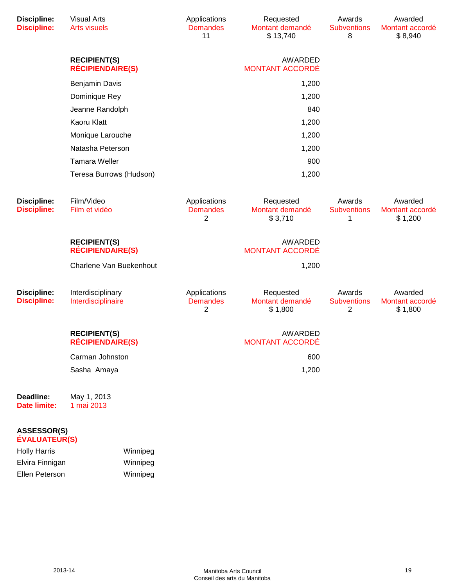| <b>Discipline:</b><br><b>Discipline:</b> | <b>Visual Arts</b><br><b>Arts visuels</b>      | Applications<br><b>Demandes</b><br>11 | Requested<br>Montant demandé<br>\$13,740 | Awards<br><b>Subventions</b><br>8 | Awarded<br>Montant accordé<br>\$8,940 |
|------------------------------------------|------------------------------------------------|---------------------------------------|------------------------------------------|-----------------------------------|---------------------------------------|
|                                          | <b>RECIPIENT(S)</b><br><b>RÉCIPIENDAIRE(S)</b> |                                       | <b>AWARDED</b><br><b>MONTANT ACCORDÉ</b> |                                   |                                       |
|                                          | <b>Benjamin Davis</b>                          |                                       | 1,200                                    |                                   |                                       |
|                                          | Dominique Rey                                  |                                       | 1,200                                    |                                   |                                       |
|                                          | Jeanne Randolph                                |                                       | 840                                      |                                   |                                       |
|                                          | Kaoru Klatt                                    |                                       | 1,200                                    |                                   |                                       |
|                                          | Monique Larouche                               |                                       | 1,200                                    |                                   |                                       |
|                                          | Natasha Peterson                               |                                       | 1,200                                    |                                   |                                       |
|                                          | <b>Tamara Weller</b>                           |                                       | 900                                      |                                   |                                       |
|                                          | Teresa Burrows (Hudson)                        |                                       | 1,200                                    |                                   |                                       |
| <b>Discipline:</b><br><b>Discipline:</b> | Film/Video<br>Film et vidéo                    | Applications<br><b>Demandes</b><br>2  | Requested<br>Montant demandé<br>\$3,710  | Awards<br><b>Subventions</b><br>1 | Awarded<br>Montant accordé<br>\$1,200 |
|                                          | <b>RECIPIENT(S)</b><br><b>RÉCIPIENDAIRE(S)</b> |                                       | <b>AWARDED</b><br><b>MONTANT ACCORDÉ</b> |                                   |                                       |
|                                          | Charlene Van Buekenhout                        |                                       | 1,200                                    |                                   |                                       |
| <b>Discipline:</b><br><b>Discipline:</b> | Interdisciplinary<br>Interdisciplinaire        | Applications<br><b>Demandes</b><br>2  | Requested<br>Montant demandé<br>\$1,800  | Awards<br><b>Subventions</b><br>2 | Awarded<br>Montant accordé<br>\$1,800 |
|                                          | <b>RECIPIENT(S)</b><br><b>RÉCIPIENDAIRE(S)</b> |                                       | AWARDED<br><b>MONTANT ACCORDÉ</b>        |                                   |                                       |
|                                          | Carman Johnston                                |                                       | 600                                      |                                   |                                       |
|                                          | Sasha Amaya                                    |                                       | 1,200                                    |                                   |                                       |
| Deadline:<br><b>Date limite:</b>         | May 1, 2013<br>1 mai 2013                      |                                       |                                          |                                   |                                       |
| ASSESSOR(S)<br><b>ÉVALUATEUR(S)</b>      |                                                |                                       |                                          |                                   |                                       |

| <b>Holly Harris</b> | Winnipeg |
|---------------------|----------|
| Elvira Finnigan     | Winnipeg |
| Ellen Peterson      | Winnipeg |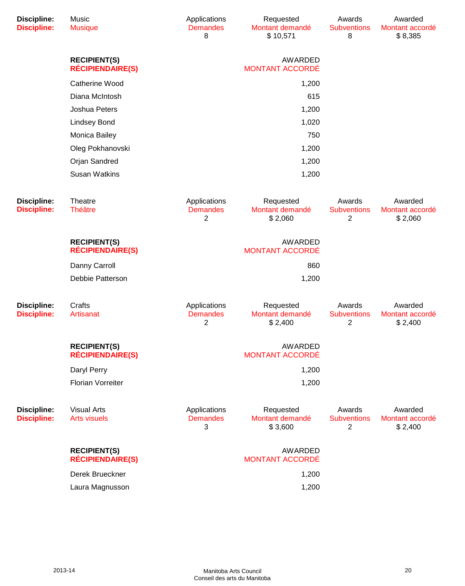| <b>Discipline:</b><br><b>Discipline:</b> | <b>Music</b><br><b>Musique</b>                 | Applications<br><b>Demandes</b><br>8              | Requested<br>Montant demandé<br>\$10,571 | Awards<br><b>Subventions</b><br>8              | Awarded<br>Montant accordé<br>\$8,385 |
|------------------------------------------|------------------------------------------------|---------------------------------------------------|------------------------------------------|------------------------------------------------|---------------------------------------|
|                                          | <b>RECIPIENT(S)</b><br><b>RÉCIPIENDAIRE(S)</b> |                                                   | AWARDED<br><b>MONTANT ACCORDÉ</b>        |                                                |                                       |
|                                          | Catherine Wood                                 |                                                   | 1,200                                    |                                                |                                       |
|                                          | Diana McIntosh                                 |                                                   | 615                                      |                                                |                                       |
|                                          | Joshua Peters                                  |                                                   | 1,200                                    |                                                |                                       |
|                                          | <b>Lindsey Bond</b>                            |                                                   | 1,020                                    |                                                |                                       |
|                                          | Monica Bailey                                  |                                                   | 750                                      |                                                |                                       |
|                                          | Oleg Pokhanovski                               |                                                   | 1,200                                    |                                                |                                       |
|                                          | Orjan Sandred                                  |                                                   | 1,200                                    |                                                |                                       |
|                                          | <b>Susan Watkins</b>                           |                                                   | 1,200                                    |                                                |                                       |
| <b>Discipline:</b><br><b>Discipline:</b> | Theatre<br><b>Théâtre</b>                      | Applications<br><b>Demandes</b><br>$\overline{2}$ | Requested<br>Montant demandé<br>\$2,060  | Awards<br><b>Subventions</b><br>$\overline{c}$ | Awarded<br>Montant accordé<br>\$2,060 |
|                                          | <b>RECIPIENT(S)</b><br><b>RÉCIPIENDAIRE(S)</b> |                                                   | AWARDED<br><b>MONTANT ACCORDÉ</b>        |                                                |                                       |
|                                          | Danny Carroll                                  |                                                   | 860                                      |                                                |                                       |
|                                          | Debbie Patterson                               |                                                   | 1,200                                    |                                                |                                       |
| <b>Discipline:</b><br><b>Discipline:</b> | Crafts<br>Artisanat                            | Applications<br><b>Demandes</b><br>2              | Requested<br>Montant demandé<br>\$2,400  | Awards<br><b>Subventions</b><br>$\overline{c}$ | Awarded<br>Montant accordé<br>\$2,400 |
|                                          | <b>RECIPIENT(S)</b><br><b>RÉCIPIENDAIRE(S)</b> |                                                   | AWARDED<br><b>MONTANT ACCORDÉ</b>        |                                                |                                       |
|                                          | Daryl Perry                                    |                                                   | 1,200                                    |                                                |                                       |
|                                          | <b>Florian Vorreiter</b>                       |                                                   | 1,200                                    |                                                |                                       |
| <b>Discipline:</b><br><b>Discipline:</b> | <b>Visual Arts</b><br><b>Arts visuels</b>      | Applications<br><b>Demandes</b><br>3              | Requested<br>Montant demandé<br>\$3,600  | Awards<br><b>Subventions</b><br>2              | Awarded<br>Montant accordé<br>\$2,400 |
|                                          | <b>RECIPIENT(S)</b><br><b>RÉCIPIENDAIRE(S)</b> |                                                   | AWARDED<br>MONTANT ACCORDÉ               |                                                |                                       |
|                                          | Derek Brueckner                                |                                                   | 1,200                                    |                                                |                                       |
|                                          | Laura Magnusson                                |                                                   | 1,200                                    |                                                |                                       |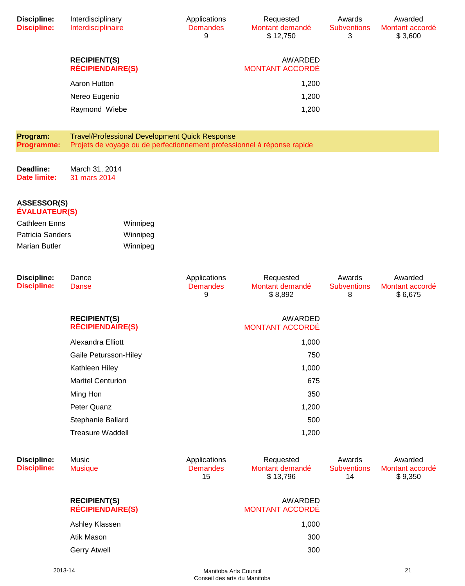| <b>Discipline:</b><br><b>Discipline:</b>   | Interdisciplinary<br>Interdisciplinaire        |          | Applications<br><b>Demandes</b><br>9                  | Requested<br>Montant demandé<br>\$12,750                                | Awards<br><b>Subventions</b><br>3  | Awarded<br>Montant accordé<br>\$3,600 |
|--------------------------------------------|------------------------------------------------|----------|-------------------------------------------------------|-------------------------------------------------------------------------|------------------------------------|---------------------------------------|
|                                            | <b>RECIPIENT(S)</b><br><b>RÉCIPIENDAIRE(S)</b> |          |                                                       | AWARDED<br><b>MONTANT ACCORDÉ</b>                                       |                                    |                                       |
|                                            | Aaron Hutton                                   |          |                                                       | 1,200                                                                   |                                    |                                       |
|                                            | Nereo Eugenio                                  |          |                                                       | 1,200                                                                   |                                    |                                       |
|                                            | Raymond Wiebe                                  |          |                                                       | 1,200                                                                   |                                    |                                       |
| Program:<br>Programme:                     |                                                |          | <b>Travel/Professional Development Quick Response</b> | Projets de voyage ou de perfectionnement professionnel à réponse rapide |                                    |                                       |
| Deadline:<br><b>Date limite:</b>           | March 31, 2014<br>31 mars 2014                 |          |                                                       |                                                                         |                                    |                                       |
| <b>ASSESSOR(S)</b><br><b>ÉVALUATEUR(S)</b> |                                                |          |                                                       |                                                                         |                                    |                                       |
| <b>Cathleen Enns</b>                       |                                                | Winnipeg |                                                       |                                                                         |                                    |                                       |
| <b>Patricia Sanders</b>                    |                                                | Winnipeg |                                                       |                                                                         |                                    |                                       |
| <b>Marian Butler</b>                       |                                                | Winnipeg |                                                       |                                                                         |                                    |                                       |
| <b>Discipline:</b><br><b>Discipline:</b>   | Dance<br>Danse                                 |          | Applications<br><b>Demandes</b><br>9                  | Requested<br>Montant demandé<br>\$8,892                                 | Awards<br><b>Subventions</b><br>8  | Awarded<br>Montant accordé<br>\$6,675 |
|                                            | <b>RECIPIENT(S)</b><br><b>RÉCIPIENDAIRE(S)</b> |          |                                                       | AWARDED<br><b>MONTANT ACCORDÉ</b>                                       |                                    |                                       |
|                                            | Alexandra Elliott                              |          |                                                       | 1,000                                                                   |                                    |                                       |
|                                            | Gaile Petursson-Hiley                          |          |                                                       | 750                                                                     |                                    |                                       |
|                                            | Kathleen Hiley                                 |          |                                                       | 1,000                                                                   |                                    |                                       |
|                                            | <b>Maritel Centurion</b>                       |          |                                                       | 675                                                                     |                                    |                                       |
|                                            | Ming Hon                                       |          |                                                       | 350                                                                     |                                    |                                       |
|                                            | Peter Quanz                                    |          |                                                       | 1,200                                                                   |                                    |                                       |
|                                            | Stephanie Ballard                              |          |                                                       | 500                                                                     |                                    |                                       |
|                                            | <b>Treasure Waddell</b>                        |          |                                                       | 1,200                                                                   |                                    |                                       |
| <b>Discipline:</b><br><b>Discipline:</b>   | Music<br><b>Musique</b>                        |          | Applications<br><b>Demandes</b><br>15                 | Requested<br>Montant demandé<br>\$13,796                                | Awards<br><b>Subventions</b><br>14 | Awarded<br>Montant accordé<br>\$9,350 |
|                                            | <b>RECIPIENT(S)</b><br><b>RÉCIPIENDAIRE(S)</b> |          |                                                       | AWARDED<br><b>MONTANT ACCORDÉ</b>                                       |                                    |                                       |
|                                            |                                                |          |                                                       |                                                                         |                                    |                                       |
|                                            | Ashley Klassen                                 |          |                                                       | 1,000                                                                   |                                    |                                       |

Gerry Atwell 300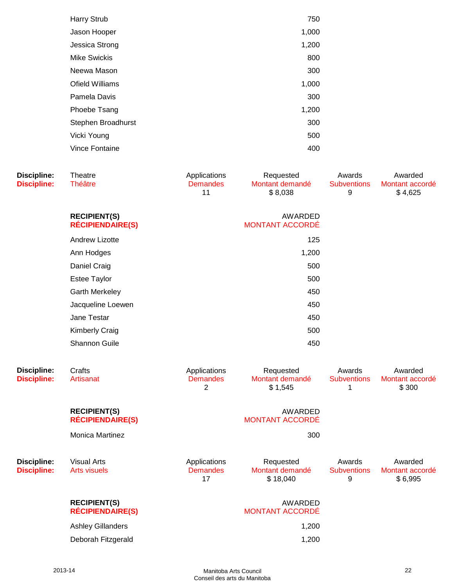| <b>Harry Strub</b>  | 750   |
|---------------------|-------|
| Jason Hooper        | 1,000 |
| Jessica Strong      | 1,200 |
| <b>Mike Swickis</b> | 800   |
| Neewa Mason         | 300   |
| Ofield Williams     | 1,000 |
| Pamela Davis        | 300   |
| Phoebe Tsang        | 1,200 |
| Stephen Broadhurst  | 300   |
| Vicki Young         | 500   |
| Vince Fontaine      | 400   |
|                     |       |

| <b>Discipline:</b><br><b>Discipline:</b> | Theatre<br><b>Théâtre</b>                      | Applications<br><b>Demandes</b><br>11             | Requested<br>Montant demandé<br>\$8,038  | Awards<br><b>Subventions</b><br>9 | Awarded<br>Montant accordé<br>\$4,625 |
|------------------------------------------|------------------------------------------------|---------------------------------------------------|------------------------------------------|-----------------------------------|---------------------------------------|
|                                          | <b>RECIPIENT(S)</b><br><b>RÉCIPIENDAIRE(S)</b> |                                                   | AWARDED<br><b>MONTANT ACCORDÉ</b>        |                                   |                                       |
|                                          | <b>Andrew Lizotte</b>                          |                                                   | 125                                      |                                   |                                       |
|                                          | Ann Hodges                                     |                                                   | 1,200                                    |                                   |                                       |
|                                          | Daniel Craig                                   |                                                   | 500                                      |                                   |                                       |
|                                          | <b>Estee Taylor</b>                            |                                                   | 500                                      |                                   |                                       |
|                                          | <b>Garth Merkeley</b>                          |                                                   | 450                                      |                                   |                                       |
|                                          | Jacqueline Loewen                              |                                                   | 450                                      |                                   |                                       |
|                                          | Jane Testar                                    |                                                   | 450                                      |                                   |                                       |
|                                          | <b>Kimberly Craig</b>                          |                                                   | 500                                      |                                   |                                       |
|                                          | Shannon Guile                                  |                                                   | 450                                      |                                   |                                       |
| <b>Discipline:</b><br><b>Discipline:</b> | Crafts<br>Artisanat                            | Applications<br><b>Demandes</b><br>$\overline{2}$ | Requested<br>Montant demandé<br>\$1,545  | Awards<br><b>Subventions</b><br>1 | Awarded<br>Montant accordé<br>\$300   |
|                                          | <b>RECIPIENT(S)</b><br><b>RÉCIPIENDAIRE(S)</b> |                                                   | AWARDED<br><b>MONTANT ACCORDÉ</b>        |                                   |                                       |
|                                          | <b>Monica Martinez</b>                         |                                                   | 300                                      |                                   |                                       |
| <b>Discipline:</b><br><b>Discipline:</b> | <b>Visual Arts</b><br><b>Arts visuels</b>      | Applications<br><b>Demandes</b><br>17             | Requested<br>Montant demandé<br>\$18,040 | Awards<br><b>Subventions</b><br>9 | Awarded<br>Montant accordé<br>\$6,995 |
|                                          | <b>RECIPIENT(S)</b><br><b>RÉCIPIENDAIRE(S)</b> |                                                   | AWARDED<br><b>MONTANT ACCORDÉ</b>        |                                   |                                       |
|                                          | <b>Ashley Gillanders</b>                       |                                                   | 1,200                                    |                                   |                                       |
|                                          | Deborah Fitzgerald                             |                                                   | 1,200                                    |                                   |                                       |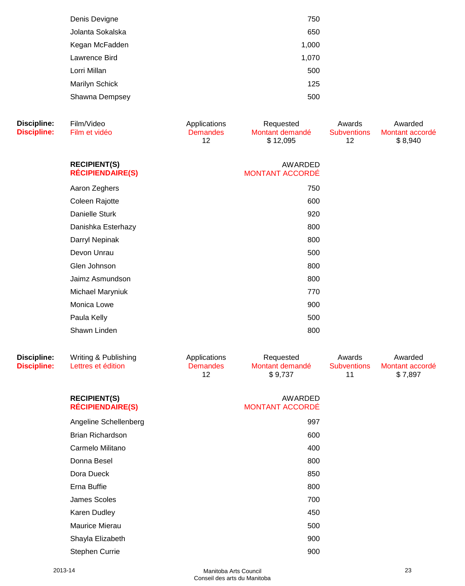| Denis Devigne    | 750   |  |
|------------------|-------|--|
| Jolanta Sokalska | 650   |  |
| Kegan McFadden   | 1,000 |  |
| Lawrence Bird    | 1,070 |  |
| Lorri Millan     | 500   |  |
| Marilyn Schick   | 125   |  |
| Shawna Dempsey   | 500   |  |
|                  |       |  |

**Discipline:**

| Discipline:<br><b>Discipline:</b> | Film/Video<br>Film et vidéo                    | Applications<br><b>Demandes</b><br>12 | Requested<br>Montant demandé<br>\$12,095 | Awards<br><b>Subventions</b><br>12 | Awarded<br>Montant accordé<br>\$8,940 |
|-----------------------------------|------------------------------------------------|---------------------------------------|------------------------------------------|------------------------------------|---------------------------------------|
|                                   | <b>RECIPIENT(S)</b><br><b>RÉCIPIENDAIRE(S)</b> |                                       | AWARDED<br><b>MONTANT ACCORDÉ</b>        |                                    |                                       |
|                                   | Aaron Zeghers                                  |                                       | 750                                      |                                    |                                       |
|                                   | Coleen Rajotte                                 |                                       | 600                                      |                                    |                                       |
|                                   | Danielle Sturk                                 |                                       | 920                                      |                                    |                                       |
|                                   | Danishka Esterhazy                             |                                       | 800                                      |                                    |                                       |
|                                   | Darryl Nepinak                                 |                                       | 800                                      |                                    |                                       |
|                                   | Devon Unrau                                    |                                       | 500                                      |                                    |                                       |
|                                   | Glen Johnson                                   |                                       | 800                                      |                                    |                                       |
|                                   | Jaimz Asmundson                                |                                       | 800                                      |                                    |                                       |
|                                   | Michael Maryniuk                               |                                       | 770                                      |                                    |                                       |
|                                   | Monica Lowe                                    |                                       | 900                                      |                                    |                                       |
|                                   | Paula Kelly                                    |                                       | 500                                      |                                    |                                       |
|                                   | Shawn Linden                                   |                                       | 800                                      |                                    |                                       |

| Discipline:<br><b>Discipline:</b> | Writing & Publishing<br>Lettres et édition     | Applications<br><b>Demandes</b><br>12 | Requested<br>Montant demandé<br>\$9,737 | Awards<br><b>Subventions</b><br>11 | Awarded<br>Montant accordé<br>\$7,897 |
|-----------------------------------|------------------------------------------------|---------------------------------------|-----------------------------------------|------------------------------------|---------------------------------------|
|                                   | <b>RECIPIENT(S)</b><br><b>RÉCIPIENDAIRE(S)</b> |                                       | AWARDED<br><b>MONTANT ACCORDÉ</b>       |                                    |                                       |
|                                   | Angeline Schellenberg                          |                                       | 997                                     |                                    |                                       |
|                                   | <b>Brian Richardson</b>                        |                                       | 600                                     |                                    |                                       |
|                                   | Carmelo Militano                               |                                       | 400                                     |                                    |                                       |
|                                   | Donna Besel                                    |                                       | 800                                     |                                    |                                       |
|                                   | Dora Dueck                                     |                                       | 850                                     |                                    |                                       |
|                                   | Erna Buffie                                    |                                       | 800                                     |                                    |                                       |
|                                   | James Scoles                                   |                                       | 700                                     |                                    |                                       |
|                                   | Karen Dudley                                   |                                       | 450                                     |                                    |                                       |
|                                   | <b>Maurice Mierau</b>                          |                                       | 500                                     |                                    |                                       |
|                                   | Shayla Elizabeth                               |                                       | 900                                     |                                    |                                       |

Stephen Currie 900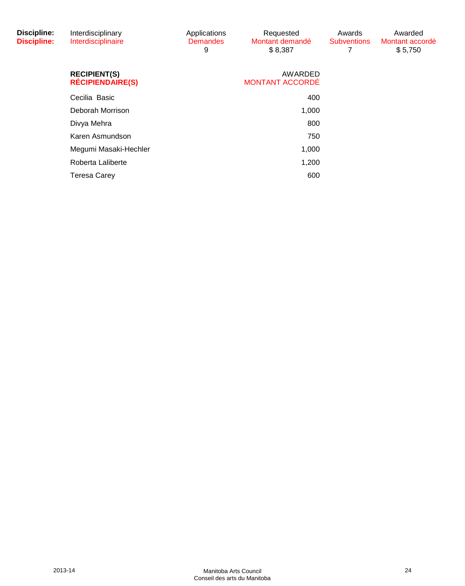| <b>Discipline:</b><br><b>Discipline:</b> | Interdisciplinary<br>Interdisciplinaire        | Applications<br><b>Demandes</b><br>9 | Requested<br>Montant demandé<br>\$8,387 | Awards<br><b>Subventions</b> | Awarded<br>Montant accordé<br>\$5,750 |
|------------------------------------------|------------------------------------------------|--------------------------------------|-----------------------------------------|------------------------------|---------------------------------------|
|                                          | <b>RECIPIENT(S)</b><br><b>RÉCIPIENDAIRE(S)</b> |                                      | AWARDED<br><b>MONTANT ACCORDÉ</b>       |                              |                                       |
|                                          | Cecilia Basic                                  |                                      | 400                                     |                              |                                       |
|                                          | Deborah Morrison                               |                                      | 1,000                                   |                              |                                       |
|                                          | Divya Mehra                                    |                                      | 800                                     |                              |                                       |
|                                          | Karen Asmundson                                |                                      | 750                                     |                              |                                       |
|                                          | Megumi Masaki-Hechler                          |                                      | 1,000                                   |                              |                                       |
|                                          | Roberta Laliberte                              |                                      | 1,200                                   |                              |                                       |
|                                          | <b>Teresa Carey</b>                            |                                      | 600                                     |                              |                                       |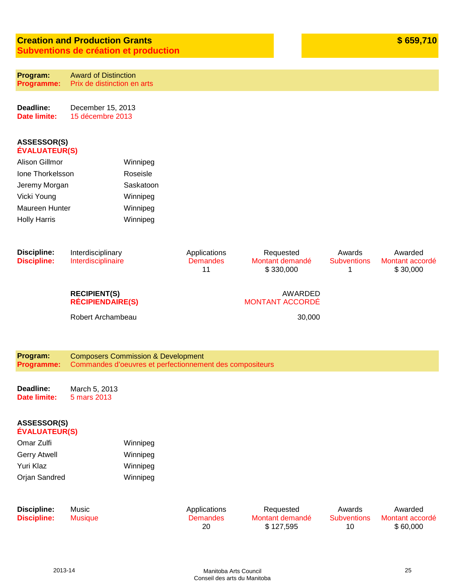# **Creation and Production Grants Subventions de création et production**

**Program: Programme:** Award of Distinction Prix de distinction en arts

**Deadline: Date limite:** December 15, 2013 15 décembre 2013

#### **ASSESSOR(S) ÉVALUATEUR(S)**

| Alison Gillmor      | Winnipeg  |
|---------------------|-----------|
| Jone Thorkelsson    | Roseisle  |
| Jeremy Morgan       | Saskatoon |
| Vicki Young         | Winnipeg  |
| Maureen Hunter      | Winnipeg  |
| <b>Holly Harris</b> | Winnipeg  |

| Discipline:<br><b>Discipline:</b> | Interdisciplinary<br>Interdisciplinaire                                                                   | Applications<br><b>Demandes</b><br>11 | Requested<br>Montant demandé<br>\$330,000 | Awards<br><b>Subventions</b> | Awarded<br>Montant accordé<br>\$30,000 |
|-----------------------------------|-----------------------------------------------------------------------------------------------------------|---------------------------------------|-------------------------------------------|------------------------------|----------------------------------------|
|                                   | <b>RECIPIENT(S)</b><br><b>RÉCIPIENDAIRE(S)</b>                                                            |                                       | AWARDED<br><b>MONTANT ACCORDÉ</b>         |                              |                                        |
|                                   | Robert Archambeau                                                                                         |                                       | 30,000                                    |                              |                                        |
|                                   |                                                                                                           |                                       |                                           |                              |                                        |
| Program:<br>Programme:            | <b>Composers Commission &amp; Development</b><br>Commandes d'oeuvres et perfectionnement des compositeurs |                                       |                                           |                              |                                        |
| Deadline:<br>Date limite:         | March 5, 2013<br>5 mars 2013                                                                              |                                       |                                           |                              |                                        |

#### **ASSESSOR(S) ÉVALUATEUR(S)**

| Omar Zulfi    | Winnipeg |
|---------------|----------|
| Gerry Atwell  | Winnipeg |
| Yuri Klaz     | Winnipeg |
| Orjan Sandred | Winnipeg |

| <b>Discipline:</b> |  |
|--------------------|--|
| <b>Discipline:</b> |  |

Music Musique Applications **Demandes** 20

Requested Montant demandé \$ 127,595

Awards **Subventions** 10

Awarded Montant accordé \$ 60,000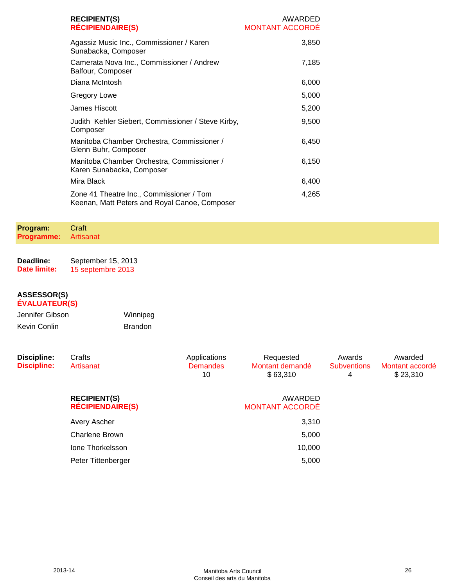| <b>RECIPIENT(S)</b><br><b>RÉCIPIENDAIRE(S)</b>                                            | AWARDED<br><b>MONTANT ACCORDE</b> |
|-------------------------------------------------------------------------------------------|-----------------------------------|
| Agassiz Music Inc., Commissioner / Karen<br>Sunabacka, Composer                           | 3,850                             |
| Camerata Nova Inc., Commissioner / Andrew<br>Balfour, Composer                            | 7,185                             |
| Diana McIntosh                                                                            | 6,000                             |
| Gregory Lowe                                                                              | 5,000                             |
| James Hiscott                                                                             | 5,200                             |
| Judith Kehler Siebert, Commissioner / Steve Kirby,<br>Composer                            | 9,500                             |
| Manitoba Chamber Orchestra, Commissioner /<br>Glenn Buhr, Composer                        | 6,450                             |
| Manitoba Chamber Orchestra, Commissioner /<br>Karen Sunabacka, Composer                   | 6,150                             |
| Mira Black                                                                                | 6,400                             |
| Zone 41 Theatre Inc., Commissioner / Tom<br>Keenan, Matt Peters and Royal Canoe, Composer | 4,265                             |

#### **Program: Programme: Craft** Artisanat

**Deadline: Date limite:** September 15, 2013 15 septembre 2013

| Jennifer Gibson | Winnipeg       |
|-----------------|----------------|
| Kevin Conlin    | <b>Brandon</b> |

| <b>Discipline:</b><br><b>Discipline:</b> | Crafts<br>Artisanat                            | Applications<br><b>Demandes</b><br>10 | Requested<br>Montant demandé<br>\$63,310 | Awards<br><b>Subventions</b><br>4 | Awarded<br>Montant accordé<br>\$23,310 |
|------------------------------------------|------------------------------------------------|---------------------------------------|------------------------------------------|-----------------------------------|----------------------------------------|
|                                          | <b>RECIPIENT(S)</b><br><b>RÉCIPIENDAIRE(S)</b> |                                       | AWARDED<br><b>MONTANT ACCORDÉ</b>        |                                   |                                        |
|                                          | Avery Ascher                                   |                                       | 3,310                                    |                                   |                                        |
|                                          | Charlene Brown                                 |                                       | 5,000                                    |                                   |                                        |
|                                          | Ione Thorkelsson                               |                                       | 10,000                                   |                                   |                                        |
|                                          | Peter Tittenberger                             |                                       | 5,000                                    |                                   |                                        |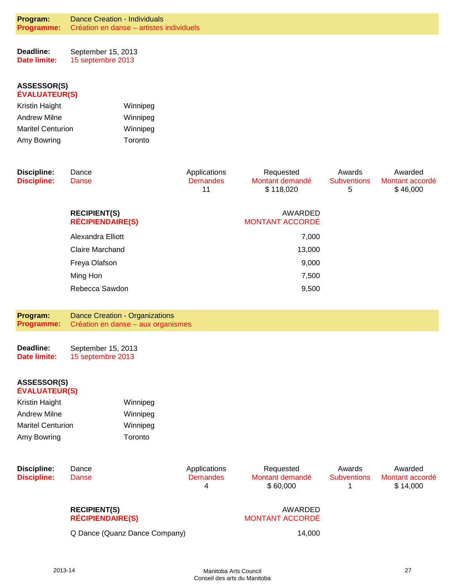**Deadline: Date limite:** September 15, 2013 15 septembre 2013

#### **ASSESSOR(S) ÉVALUATEUR(S)**

| Kristin Haight           | Winnipeg |
|--------------------------|----------|
| <b>Andrew Milne</b>      | Winnipeg |
| <b>Maritel Centurion</b> | Winnipeg |
| Amy Bowring              | Toronto  |

| <b>Discipline:</b><br><b>Discipline:</b> | Dance<br>Danse                                 | Applications<br><b>Demandes</b><br>11 | Requested<br>Montant demandé<br>\$118,020 | Awards<br><b>Subventions</b><br>5 | Awarded<br>Montant accordé<br>\$46,000 |
|------------------------------------------|------------------------------------------------|---------------------------------------|-------------------------------------------|-----------------------------------|----------------------------------------|
|                                          | <b>RECIPIENT(S)</b><br><b>RÉCIPIENDAIRE(S)</b> |                                       | AWARDED<br><b>MONTANT ACCORDÉ</b>         |                                   |                                        |
|                                          | Alexandra Elliott                              |                                       | 7,000                                     |                                   |                                        |
|                                          | <b>Claire Marchand</b>                         |                                       | 13,000                                    |                                   |                                        |
|                                          | Freya Olafson                                  |                                       | 9,000                                     |                                   |                                        |
|                                          | Ming Hon                                       |                                       | 7,500                                     |                                   |                                        |
|                                          | Rebecca Sawdon                                 |                                       | 9,500                                     |                                   |                                        |

**Program: Programme:** Dance Creation - Organizations Création en danse – aux organismes

**Deadline: Date limite:** September 15, 2013 15 septembre 2013

#### **ASSESSOR(S) ÉVALUATEUR(S)**

| Winnipeg |
|----------|
| Winnipeg |
| Winnipeg |
| Toronto  |
|          |

| <b>Discipline:</b> | Dance |
|--------------------|-------|
| <b>Discipline:</b> | Danse |

Applications **Demandes** 4

Requested Montant demandé \$ 60,000

Awards **Subventions** 1

Awarded Montant accordé \$ 14,000

#### **RECIPIENT(S) RÉCIPIENDAIRE(S)**

Q Dance (Quanz Dance Company) 14,000

#### AWARDED MONTANT ACCORDÉ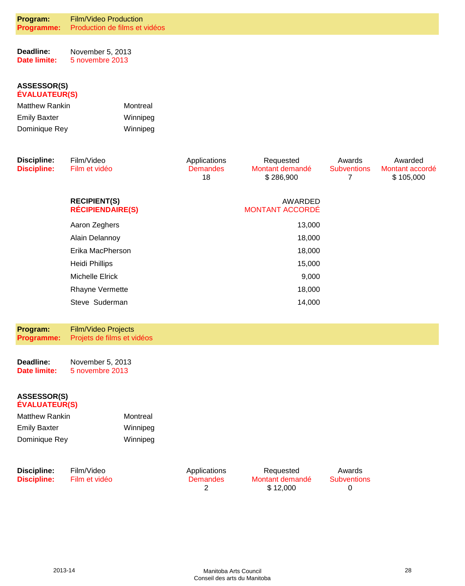| Program:   | <b>Film/Video Production</b>  |
|------------|-------------------------------|
| Programme: | Production de films et vidéos |

**Deadline: Date limite:** November 5, 2013 5 novembre 2013

#### **ASSESSOR(S) ÉVALUATEUR(S)**

| <b>Matthew Rankin</b> | Montreal |
|-----------------------|----------|
| <b>Emily Baxter</b>   | Winnipeg |
| Dominique Rey         | Winnipeg |

| Discipline:<br><b>Discipline:</b> | Film/Video<br>Film et vidéo                    | Applications<br><b>Demandes</b><br>18 | Requested<br>Montant demandé<br>\$286,900 | Awards<br><b>Subventions</b> | Awarded<br>Montant accordé<br>\$105,000 |
|-----------------------------------|------------------------------------------------|---------------------------------------|-------------------------------------------|------------------------------|-----------------------------------------|
|                                   | <b>RECIPIENT(S)</b><br><b>RÉCIPIENDAIRE(S)</b> |                                       | AWARDED<br><b>MONTANT ACCORDÉ</b>         |                              |                                         |
|                                   | Aaron Zeghers                                  |                                       | 13,000                                    |                              |                                         |
|                                   | Alain Delannoy                                 |                                       | 18,000                                    |                              |                                         |
|                                   | Erika MacPherson                               |                                       | 18,000                                    |                              |                                         |
|                                   | <b>Heidi Phillips</b>                          |                                       | 15,000                                    |                              |                                         |
|                                   | Michelle Elrick                                |                                       | 9,000                                     |                              |                                         |
|                                   | <b>Rhayne Vermette</b>                         |                                       | 18,000                                    |                              |                                         |
|                                   | Steve Suderman                                 |                                       | 14,000                                    |                              |                                         |

| Program:          | <b>Film/Video Projects</b> |
|-------------------|----------------------------|
| <b>Programme:</b> | Projets de films et vidéos |

| Deadline:    | November 5, 2013 |
|--------------|------------------|
| Date limite: | 5 novembre 2013  |

#### **ASSESSOR(S) ÉVALUATEUR(S)**

| <b>Matthew Rankin</b> | Montreal |
|-----------------------|----------|
| <b>Emily Baxter</b>   | Winnipeg |
| Dominique Rey         | Winnipeg |

| Discipline:        | Film/Video    | Applications    |
|--------------------|---------------|-----------------|
| <b>Discipline:</b> | Film et vidéo | <b>Demandes</b> |
|                    |               |                 |

Requested Montant demandé \$ 12,000

Awards **Subventions** 0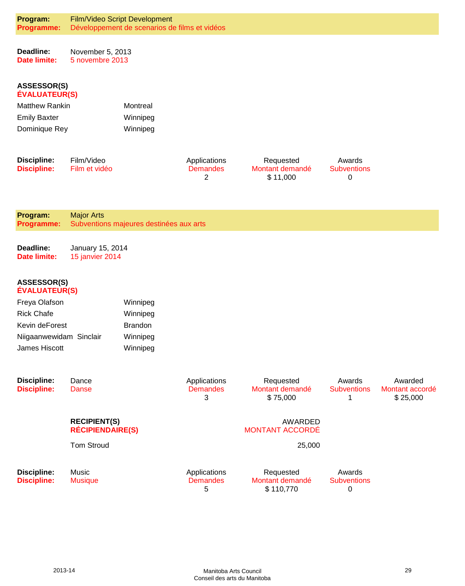| Program:<br>Programme:                     |                                                | Film/Video Script Development<br>Développement de scenarios de films et vidéos |                                      |                                           |                                   |                                        |
|--------------------------------------------|------------------------------------------------|--------------------------------------------------------------------------------|--------------------------------------|-------------------------------------------|-----------------------------------|----------------------------------------|
| Deadline:<br><b>Date limite:</b>           | November 5, 2013<br>5 novembre 2013            |                                                                                |                                      |                                           |                                   |                                        |
| <b>ASSESSOR(S)</b><br><b>ÉVALUATEUR(S)</b> |                                                |                                                                                |                                      |                                           |                                   |                                        |
| <b>Matthew Rankin</b>                      |                                                | Montreal                                                                       |                                      |                                           |                                   |                                        |
| <b>Emily Baxter</b>                        |                                                | Winnipeg                                                                       |                                      |                                           |                                   |                                        |
| Dominique Rey                              |                                                | Winnipeg                                                                       |                                      |                                           |                                   |                                        |
| <b>Discipline:</b><br><b>Discipline:</b>   | Film/Video<br>Film et vidéo                    |                                                                                | Applications<br><b>Demandes</b><br>2 | Requested<br>Montant demandé<br>\$11,000  | Awards<br><b>Subventions</b><br>0 |                                        |
| Program:<br>Programme:                     | <b>Major Arts</b>                              | Subventions majeures destinées aux arts                                        |                                      |                                           |                                   |                                        |
| Deadline:<br><b>Date limite:</b>           | January 15, 2014<br>15 janvier 2014            |                                                                                |                                      |                                           |                                   |                                        |
| <b>ASSESSOR(S)</b><br><b>ÉVALUATEUR(S)</b> |                                                |                                                                                |                                      |                                           |                                   |                                        |
| Freya Olafson                              |                                                | Winnipeg                                                                       |                                      |                                           |                                   |                                        |
| <b>Rick Chafe</b>                          |                                                | Winnipeg                                                                       |                                      |                                           |                                   |                                        |
| Kevin deForest                             |                                                | <b>Brandon</b>                                                                 |                                      |                                           |                                   |                                        |
| Niigaanwewidam Sinclair<br>James Hiscott   |                                                | Winnipeg<br>Winnipeg                                                           |                                      |                                           |                                   |                                        |
| <b>Discipline:</b><br><b>Discipline:</b>   | Dance<br><b>Danse</b>                          |                                                                                | Applications<br><b>Demandes</b><br>3 | Requested<br>Montant demandé<br>\$75,000  | Awards<br><b>Subventions</b><br>1 | Awarded<br>Montant accordé<br>\$25,000 |
|                                            | <b>RECIPIENT(S)</b><br><b>RÉCIPIENDAIRE(S)</b> |                                                                                |                                      | <b>AWARDED</b><br><b>MONTANT ACCORDÉ</b>  |                                   |                                        |
|                                            | <b>Tom Stroud</b>                              |                                                                                |                                      | 25,000                                    |                                   |                                        |
| <b>Discipline:</b><br><b>Discipline:</b>   | Music<br><b>Musique</b>                        |                                                                                | Applications<br><b>Demandes</b><br>5 | Requested<br>Montant demandé<br>\$110,770 | Awards<br><b>Subventions</b><br>0 |                                        |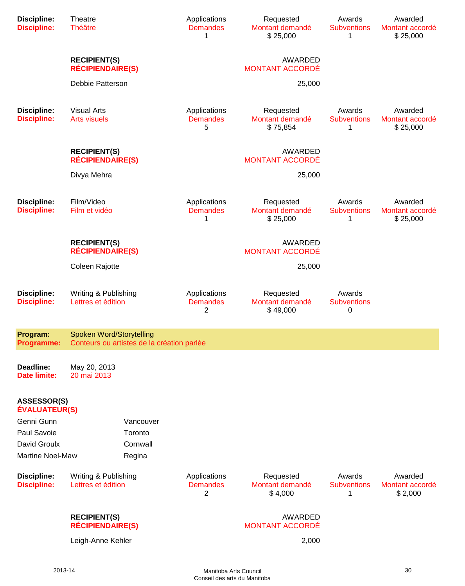| <b>Discipline:</b><br><b>Discipline:</b>   | Theatre<br><b>Théâtre</b>                      |                                                       | Applications<br><b>Demandes</b><br>1 | Requested<br>Montant demandé<br>\$25,000 | Awards<br><b>Subventions</b><br>1 | Awarded<br>Montant accordé<br>\$25,000 |
|--------------------------------------------|------------------------------------------------|-------------------------------------------------------|--------------------------------------|------------------------------------------|-----------------------------------|----------------------------------------|
|                                            | <b>RECIPIENT(S)</b><br><b>RÉCIPIENDAIRE(S)</b> |                                                       |                                      | <b>AWARDED</b><br><b>MONTANT ACCORDÉ</b> |                                   |                                        |
|                                            | Debbie Patterson                               |                                                       |                                      | 25,000                                   |                                   |                                        |
| <b>Discipline:</b><br><b>Discipline:</b>   | <b>Visual Arts</b><br><b>Arts visuels</b>      |                                                       | Applications<br><b>Demandes</b><br>5 | Requested<br>Montant demandé<br>\$75,854 | Awards<br><b>Subventions</b><br>1 | Awarded<br>Montant accordé<br>\$25,000 |
|                                            | <b>RECIPIENT(S)</b><br><b>RÉCIPIENDAIRE(S)</b> |                                                       |                                      | AWARDED<br><b>MONTANT ACCORDÉ</b>        |                                   |                                        |
|                                            | Divya Mehra                                    |                                                       |                                      | 25,000                                   |                                   |                                        |
| <b>Discipline:</b><br><b>Discipline:</b>   | Film/Video<br>Film et vidéo                    |                                                       | Applications<br><b>Demandes</b><br>1 | Requested<br>Montant demandé<br>\$25,000 | Awards<br><b>Subventions</b><br>1 | Awarded<br>Montant accordé<br>\$25,000 |
|                                            | <b>RECIPIENT(S)</b><br><b>RÉCIPIENDAIRE(S)</b> |                                                       |                                      | <b>AWARDED</b><br><b>MONTANT ACCORDÉ</b> |                                   |                                        |
|                                            | Coleen Rajotte                                 |                                                       |                                      | 25,000                                   |                                   |                                        |
| <b>Discipline:</b><br><b>Discipline:</b>   | Writing & Publishing<br>Lettres et édition     |                                                       | Applications<br><b>Demandes</b><br>2 | Requested<br>Montant demandé<br>\$49,000 | Awards<br><b>Subventions</b><br>0 |                                        |
| Program:                                   | Spoken Word/Storytelling                       | Programme: Conteurs ou artistes de la création parlée |                                      |                                          |                                   |                                        |
| Deadline:<br><b>Date limite:</b>           | May 20, 2013<br>20 mai 2013                    |                                                       |                                      |                                          |                                   |                                        |
| <b>ASSESSOR(S)</b><br><b>ÉVALUATEUR(S)</b> |                                                |                                                       |                                      |                                          |                                   |                                        |
| Genni Gunn                                 |                                                | Vancouver                                             |                                      |                                          |                                   |                                        |
| Paul Savoie                                |                                                | Toronto                                               |                                      |                                          |                                   |                                        |
| David Groulx                               |                                                | Cornwall                                              |                                      |                                          |                                   |                                        |
| <b>Martine Noel-Maw</b>                    |                                                | Regina                                                |                                      |                                          |                                   |                                        |
| <b>Discipline:</b><br><b>Discipline:</b>   | Writing & Publishing<br>Lettres et édition     |                                                       | Applications<br><b>Demandes</b><br>2 | Requested<br>Montant demandé<br>\$4,000  | Awards<br><b>Subventions</b><br>1 | Awarded<br>Montant accordé<br>\$2,000  |
|                                            | <b>RECIPIENT(S)</b><br><b>RÉCIPIENDAIRE(S)</b> |                                                       |                                      | <b>AWARDED</b><br><b>MONTANT ACCORDÉ</b> |                                   |                                        |
|                                            | Leigh-Anne Kehler                              |                                                       |                                      | 2,000                                    |                                   |                                        |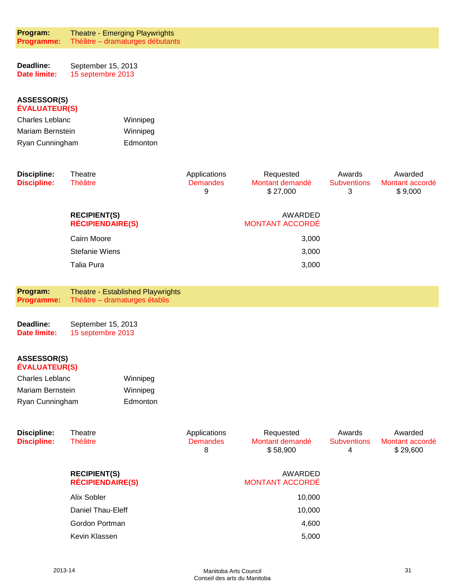**Program: Programme:** Theatre - Emerging Playwrights Théâtre – dramaturges débutants

| Deadline:    | September 15, 2013 |
|--------------|--------------------|
| Date limite: | 15 septembre 2013  |

#### **ASSESSOR(S) ÉVALUATEUR(S)**

| Charles Leblanc  | Winnipeg |
|------------------|----------|
| Mariam Bernstein | Winnipeg |
| Ryan Cunningham  | Edmonton |

| <b>Discipline:</b><br><b>Discipline:</b> | Theatre<br><b>Théâtre</b>                      | Applications<br><b>Demandes</b><br>9 | Requested<br>Montant demandé<br>\$27,000 | Awards<br><b>Subventions</b><br>3 | Awarded<br>Montant accordé<br>\$9,000 |
|------------------------------------------|------------------------------------------------|--------------------------------------|------------------------------------------|-----------------------------------|---------------------------------------|
|                                          | <b>RECIPIENT(S)</b><br><b>RÉCIPIENDAIRE(S)</b> |                                      | AWARDED<br><b>MONTANT ACCORDÉ</b>        |                                   |                                       |
|                                          | Cairn Moore                                    |                                      | 3,000                                    |                                   |                                       |
|                                          | <b>Stefanie Wiens</b>                          |                                      | 3,000                                    |                                   |                                       |
|                                          | Talia Pura                                     |                                      | 3,000                                    |                                   |                                       |

**Program: Programme:** Theatre - Established Playwrights Théâtre – dramaturges établis

| Deadline:    | September 15, 2013 |
|--------------|--------------------|
| Date limite: | 15 septembre 2013  |

| Charles Leblanc  | Winnipeg |
|------------------|----------|
| Mariam Bernstein | Winnipeg |
| Ryan Cunningham  | Edmonton |

| Discipline:<br><b>Discipline:</b> | Theatre<br><b>Théâtre</b>                      | Applications<br><b>Demandes</b><br>8 | Requested<br>Montant demandé<br>\$58,900 | Awards<br><b>Subventions</b><br>4 | Awarded<br>Montant accordé<br>\$29,600 |
|-----------------------------------|------------------------------------------------|--------------------------------------|------------------------------------------|-----------------------------------|----------------------------------------|
|                                   | <b>RECIPIENT(S)</b><br><b>RÉCIPIENDAIRE(S)</b> |                                      | AWARDED<br><b>MONTANT ACCORDÉ</b>        |                                   |                                        |
|                                   | Alix Sobler                                    |                                      | 10,000                                   |                                   |                                        |
|                                   | Daniel Thau-Eleff                              |                                      | 10,000                                   |                                   |                                        |
|                                   | Gordon Portman                                 |                                      | 4,600                                    |                                   |                                        |
|                                   | Kevin Klassen                                  |                                      | 5,000                                    |                                   |                                        |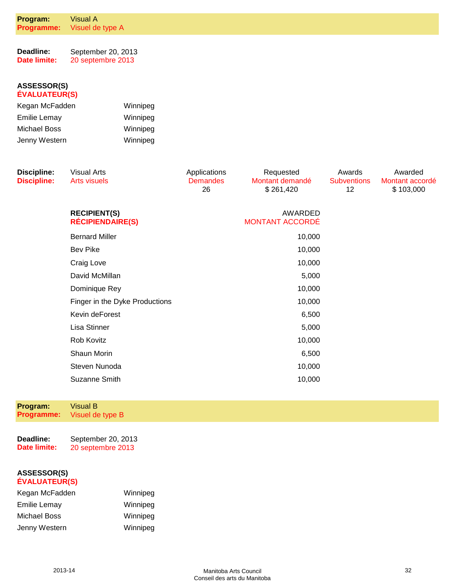| Program:<br>Programme:                     | <b>Visual A</b><br>Visuel de type A            |                                       |                                           |                                    |                                         |
|--------------------------------------------|------------------------------------------------|---------------------------------------|-------------------------------------------|------------------------------------|-----------------------------------------|
| Deadline:<br><b>Date limite:</b>           | September 20, 2013<br>20 septembre 2013        |                                       |                                           |                                    |                                         |
| <b>ASSESSOR(S)</b><br><b>ÉVALUATEUR(S)</b> |                                                |                                       |                                           |                                    |                                         |
| Kegan McFadden<br>Winnipeg                 |                                                |                                       |                                           |                                    |                                         |
| <b>Emilie Lemay</b>                        | Winnipeg                                       |                                       |                                           |                                    |                                         |
| <b>Michael Boss</b>                        | Winnipeg                                       |                                       |                                           |                                    |                                         |
| Jenny Western                              | Winnipeg                                       |                                       |                                           |                                    |                                         |
| <b>Discipline:</b><br><b>Discipline:</b>   | <b>Visual Arts</b><br><b>Arts visuels</b>      | Applications<br><b>Demandes</b><br>26 | Requested<br>Montant demandé<br>\$261,420 | Awards<br><b>Subventions</b><br>12 | Awarded<br>Montant accordé<br>\$103,000 |
|                                            | <b>RECIPIENT(S)</b><br><b>RÉCIPIENDAIRE(S)</b> |                                       | AWARDED<br><b>MONTANT ACCORDÉ</b>         |                                    |                                         |
|                                            | <b>Bernard Miller</b>                          |                                       | 10,000                                    |                                    |                                         |
|                                            | <b>Bev Pike</b>                                |                                       | 10,000                                    |                                    |                                         |
|                                            | Craig Love                                     |                                       | 10,000                                    |                                    |                                         |
|                                            | David McMillan                                 |                                       | 5,000                                     |                                    |                                         |
|                                            | Dominique Rey                                  |                                       | 10,000                                    |                                    |                                         |
|                                            | Finger in the Dyke Productions                 |                                       | 10,000                                    |                                    |                                         |
|                                            | Kevin deForest                                 |                                       | 6,500                                     |                                    |                                         |
|                                            | Lisa Stinner                                   |                                       | 5,000                                     |                                    |                                         |
|                                            | Rob Kovitz                                     |                                       | 10,000                                    |                                    |                                         |
|                                            | Shaun Morin                                    |                                       | 6,500                                     |                                    |                                         |
|                                            | Steven Nunoda                                  |                                       | 10,000                                    |                                    |                                         |
|                                            | Suzanne Smith                                  |                                       | 10,000                                    |                                    |                                         |
|                                            |                                                |                                       |                                           |                                    |                                         |
| Program:<br>Programme:                     | <b>Visual B</b><br>Visuel de type B            |                                       |                                           |                                    |                                         |

**Deadline: Date limite:** September 20, 2013 20 septembre 2013

| Kegan McFadden      | Winnipeg |
|---------------------|----------|
| <b>Emilie Lemay</b> | Winnipeg |
| Michael Boss        | Winnipeg |
| Jenny Western       | Winnipeg |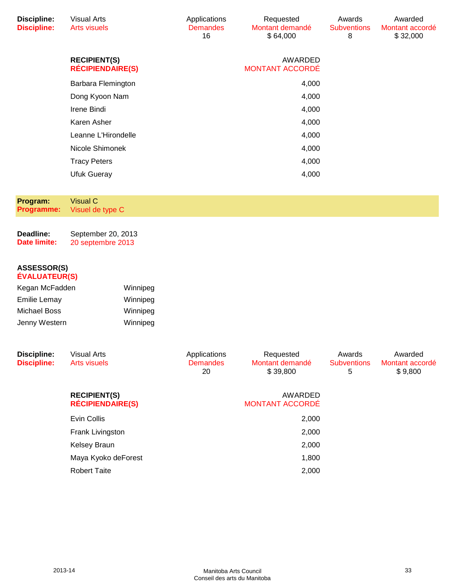| <b>Discipline:</b><br><b>Discipline:</b>   | <b>Visual Arts</b><br><b>Arts visuels</b>      |          | Applications<br><b>Demandes</b><br>16 | Requested<br>Montant demandé<br>\$64,000 | Awards<br><b>Subventions</b><br>8 | Awarded<br>Montant accordé<br>\$32,000 |
|--------------------------------------------|------------------------------------------------|----------|---------------------------------------|------------------------------------------|-----------------------------------|----------------------------------------|
|                                            | <b>RECIPIENT(S)</b><br><b>RÉCIPIENDAIRE(S)</b> |          |                                       | <b>AWARDED</b><br><b>MONTANT ACCORDÉ</b> |                                   |                                        |
|                                            | Barbara Flemington                             |          |                                       | 4,000                                    |                                   |                                        |
|                                            | Dong Kyoon Nam                                 |          |                                       | 4,000                                    |                                   |                                        |
|                                            | Irene Bindi                                    |          |                                       | 4,000                                    |                                   |                                        |
|                                            | Karen Asher                                    |          |                                       | 4,000                                    |                                   |                                        |
|                                            | Leanne L'Hirondelle                            |          |                                       | 4,000                                    |                                   |                                        |
|                                            | Nicole Shimonek                                |          |                                       | 4,000                                    |                                   |                                        |
|                                            | <b>Tracy Peters</b>                            |          |                                       | 4,000                                    |                                   |                                        |
|                                            | <b>Ufuk Gueray</b>                             |          |                                       | 4,000                                    |                                   |                                        |
|                                            |                                                |          |                                       |                                          |                                   |                                        |
| Program:<br><b>Programme:</b>              | <b>Visual C</b><br>Visuel de type C            |          |                                       |                                          |                                   |                                        |
| Deadline:                                  | September 20, 2013                             |          |                                       |                                          |                                   |                                        |
| <b>Date limite:</b>                        | 20 septembre 2013                              |          |                                       |                                          |                                   |                                        |
| <b>ASSESSOR(S)</b><br><b>ÉVALUATEUR(S)</b> |                                                |          |                                       |                                          |                                   |                                        |
| Kegan McFadden                             |                                                | Winnipeg |                                       |                                          |                                   |                                        |
| <b>Emilie Lemay</b>                        |                                                | Winnipeg |                                       |                                          |                                   |                                        |
| <b>Michael Boss</b>                        |                                                | Winnipeg |                                       |                                          |                                   |                                        |
| Jenny Western                              |                                                | Winnipeg |                                       |                                          |                                   |                                        |
| <b>Discipline:</b><br><b>Discipline:</b>   | <b>Visual Arts</b><br><b>Arts visuels</b>      |          | Applications<br><b>Demandes</b><br>20 | Requested<br>Montant demandé<br>\$39,800 | Awards<br><b>Subventions</b><br>5 | Awarded<br>Montant accordé<br>\$9,800  |
|                                            | <b>RECIPIENT(S)</b><br><b>RÉCIPIENDAIRE(S)</b> |          |                                       | <b>AWARDED</b><br><b>MONTANT ACCORDÉ</b> |                                   |                                        |
|                                            | Evin Collis                                    |          |                                       | 2,000                                    |                                   |                                        |
|                                            | Frank Livingston                               |          |                                       | 2,000                                    |                                   |                                        |
|                                            | Kelsey Braun                                   |          |                                       | 2,000                                    |                                   |                                        |
|                                            | Maya Kyoko deForest                            |          |                                       | 1,800                                    |                                   |                                        |
|                                            | <b>Robert Taite</b>                            |          |                                       | 2,000                                    |                                   |                                        |
|                                            |                                                |          |                                       |                                          |                                   |                                        |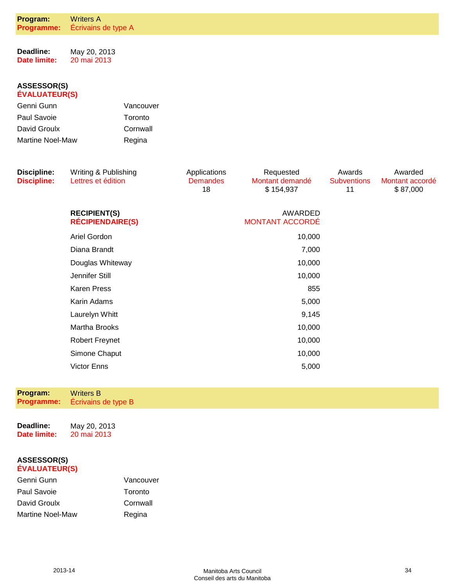| Program:<br><b>Programme:</b>              | <b>Writers A</b><br>Écrivains de type A |           |                       |                        |                          |                 |
|--------------------------------------------|-----------------------------------------|-----------|-----------------------|------------------------|--------------------------|-----------------|
|                                            |                                         |           |                       |                        |                          |                 |
| Deadline:<br><b>Date limite:</b>           | May 20, 2013<br>20 mai 2013             |           |                       |                        |                          |                 |
|                                            |                                         |           |                       |                        |                          |                 |
| <b>ASSESSOR(S)</b><br><b>ÉVALUATEUR(S)</b> |                                         |           |                       |                        |                          |                 |
| Genni Gunn                                 |                                         | Vancouver |                       |                        |                          |                 |
| Paul Savoie                                |                                         | Toronto   |                       |                        |                          |                 |
| David Groulx                               |                                         | Cornwall  |                       |                        |                          |                 |
| Martine Noel-Maw                           |                                         | Regina    |                       |                        |                          |                 |
|                                            |                                         |           |                       |                        |                          |                 |
| <b>Discipline:</b>                         | Writing & Publishing                    |           | Applications          | Requested              | Awards                   | Awarded         |
| <b>Discipline:</b>                         | Lettres et édition                      |           | <b>Demandes</b><br>18 | Montant demandé        | <b>Subventions</b><br>11 | Montant accordé |
|                                            |                                         |           |                       | \$154,937              |                          | \$87,000        |
|                                            | <b>RECIPIENT(S)</b>                     |           |                       | AWARDED                |                          |                 |
|                                            | <b>RÉCIPIENDAIRE(S)</b>                 |           |                       | <b>MONTANT ACCORDÉ</b> |                          |                 |
|                                            | Ariel Gordon                            |           |                       | 10,000                 |                          |                 |
|                                            | Diana Brandt                            |           |                       | 7,000                  |                          |                 |
|                                            | Douglas Whiteway                        |           |                       | 10,000                 |                          |                 |
|                                            | Jennifer Still                          |           |                       | 10,000                 |                          |                 |
|                                            | <b>Karen Press</b>                      |           |                       | 855                    |                          |                 |
|                                            | Karin Adams                             |           |                       | 5,000                  |                          |                 |
|                                            | Laurelyn Whitt                          |           |                       | 9,145                  |                          |                 |
|                                            | Martha Brooks                           |           |                       | 10,000                 |                          |                 |
|                                            | <b>Robert Freynet</b>                   |           |                       | 10,000                 |                          |                 |
|                                            | Simone Chaput                           |           |                       | 10,000                 |                          |                 |
|                                            | <b>Victor Enns</b>                      |           |                       | 5,000                  |                          |                 |
|                                            |                                         |           |                       |                        |                          |                 |
| Program:                                   | <b>Writers B</b>                        |           |                       |                        |                          |                 |
| Programme:                                 | Écrivains de type B                     |           |                       |                        |                          |                 |
|                                            |                                         |           |                       |                        |                          |                 |
| Deadline:<br><b>Date limite:</b>           | May 20, 2013<br>20 mai 2013             |           |                       |                        |                          |                 |

| Genni Gunn       | Vancouver |
|------------------|-----------|
| Paul Savoie      | Toronto   |
| David Groulx     | Cornwall  |
| Martine Noel-Maw | Regina    |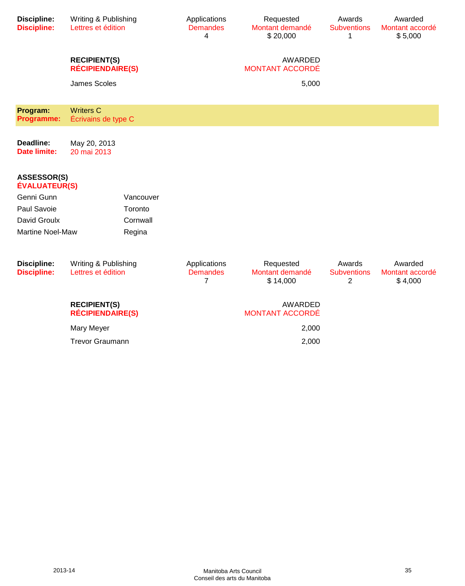| <b>Discipline:</b><br><b>Discipline:</b>   | Writing & Publishing<br>Lettres et édition     |           | Applications<br><b>Demandes</b><br>4 | Requested<br>Montant demandé<br>\$20,000 | Awards<br><b>Subventions</b><br>1 | Awarded<br>Montant accordé<br>\$5,000 |
|--------------------------------------------|------------------------------------------------|-----------|--------------------------------------|------------------------------------------|-----------------------------------|---------------------------------------|
|                                            | <b>RECIPIENT(S)</b><br><b>RÉCIPIENDAIRE(S)</b> |           |                                      | AWARDED<br><b>MONTANT ACCORDÉ</b>        |                                   |                                       |
|                                            | <b>James Scoles</b>                            |           |                                      | 5,000                                    |                                   |                                       |
| Program:<br>Programme:                     | <b>Writers C</b><br>Écrivains de type C        |           |                                      |                                          |                                   |                                       |
| Deadline:<br><b>Date limite:</b>           | May 20, 2013<br>20 mai 2013                    |           |                                      |                                          |                                   |                                       |
| <b>ASSESSOR(S)</b><br><b>ÉVALUATEUR(S)</b> |                                                |           |                                      |                                          |                                   |                                       |
| Genni Gunn                                 |                                                | Vancouver |                                      |                                          |                                   |                                       |
| Paul Savoie                                |                                                | Toronto   |                                      |                                          |                                   |                                       |
| David Groulx                               |                                                | Cornwall  |                                      |                                          |                                   |                                       |
| Martine Noel-Maw                           |                                                | Regina    |                                      |                                          |                                   |                                       |
| <b>Discipline:</b><br><b>Discipline:</b>   | Writing & Publishing<br>Lettres et édition     |           | Applications<br><b>Demandes</b><br>7 | Requested<br>Montant demandé<br>\$14,000 | Awards<br><b>Subventions</b><br>2 | Awarded<br>Montant accordé<br>\$4,000 |
|                                            | <b>RECIPIENT(S)</b><br><b>RÉCIPIENDAIRE(S)</b> |           |                                      | AWARDED<br><b>MONTANT ACCORDÉ</b>        |                                   |                                       |
|                                            | Mary Meyer                                     |           |                                      | 2,000                                    |                                   |                                       |
|                                            | <b>Trevor Graumann</b>                         |           | 2,000                                |                                          |                                   |                                       |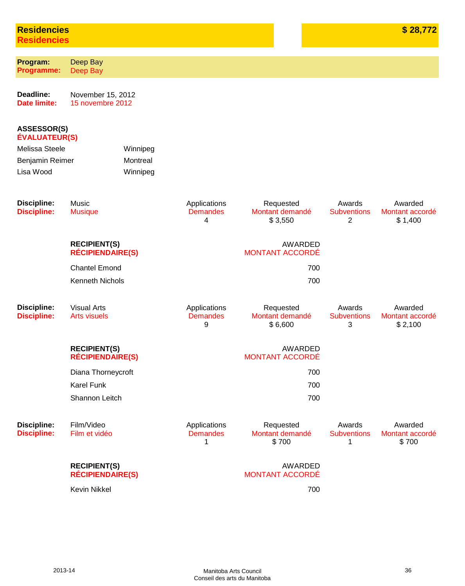# **Residencies Residencies**

| Program:<br><b>Programme:</b>            | Deep Bay<br>Deep Bay                           |          |                                      |                                         |                                   |                                       |
|------------------------------------------|------------------------------------------------|----------|--------------------------------------|-----------------------------------------|-----------------------------------|---------------------------------------|
| Deadline:<br><b>Date limite:</b>         | November 15, 2012<br>15 novembre 2012          |          |                                      |                                         |                                   |                                       |
| ASSESSOR(S)<br><b>ÉVALUATEUR(S)</b>      |                                                |          |                                      |                                         |                                   |                                       |
| Melissa Steele                           |                                                | Winnipeg |                                      |                                         |                                   |                                       |
| Montreal<br>Benjamin Reimer              |                                                |          |                                      |                                         |                                   |                                       |
| Lisa Wood                                |                                                | Winnipeg |                                      |                                         |                                   |                                       |
| <b>Discipline:</b><br><b>Discipline:</b> | Music<br><b>Musique</b>                        |          | Applications<br><b>Demandes</b><br>4 | Requested<br>Montant demandé<br>\$3,550 | Awards<br><b>Subventions</b><br>2 | Awarded<br>Montant accordé<br>\$1,400 |
|                                          | <b>RECIPIENT(S)</b><br><b>RÉCIPIENDAIRE(S)</b> |          |                                      | AWARDED<br><b>MONTANT ACCORDÉ</b>       |                                   |                                       |
|                                          | <b>Chantel Emond</b>                           |          |                                      | 700                                     |                                   |                                       |
|                                          | Kenneth Nichols                                |          |                                      | 700                                     |                                   |                                       |
| <b>Discipline:</b><br><b>Discipline:</b> | <b>Visual Arts</b><br><b>Arts visuels</b>      |          | Applications<br><b>Demandes</b><br>9 | Requested<br>Montant demandé<br>\$6,600 | Awards<br><b>Subventions</b><br>3 | Awarded<br>Montant accordé<br>\$2,100 |
|                                          | <b>RECIPIENT(S)</b><br><b>RÉCIPIENDAIRE(S)</b> |          |                                      | AWARDED<br><b>MONTANT ACCORDÉ</b>       |                                   |                                       |
|                                          | Diana Thorneycroft                             |          |                                      | 700                                     |                                   |                                       |
|                                          | Karel Funk                                     |          |                                      | 700                                     |                                   |                                       |
|                                          | Shannon Leitch                                 |          |                                      | 700                                     |                                   |                                       |
| <b>Discipline:</b><br><b>Discipline:</b> | Film/Video<br>Film et vidéo                    |          | Applications<br><b>Demandes</b><br>1 | Requested<br>Montant demandé<br>\$700   | Awards<br><b>Subventions</b><br>1 | Awarded<br>Montant accordé<br>\$700   |
|                                          | <b>RECIPIENT(S)</b><br><b>RÉCIPIENDAIRE(S)</b> |          |                                      | AWARDED<br><b>MONTANT ACCORDÉ</b>       |                                   |                                       |
|                                          | Kevin Nikkel                                   |          |                                      | 700                                     |                                   |                                       |
|                                          |                                                |          |                                      |                                         |                                   |                                       |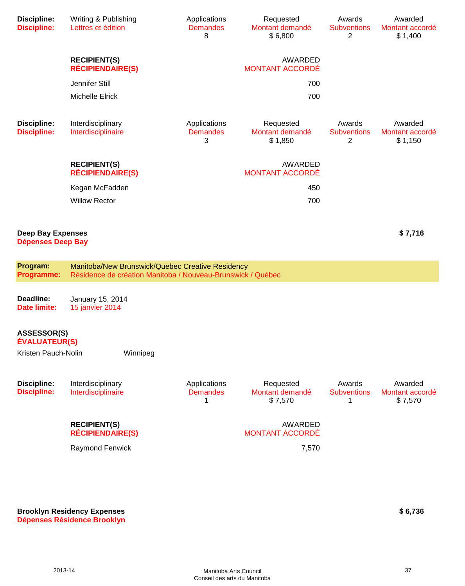| <b>Discipline:</b><br><b>Discipline:</b>             | Writing & Publishing<br>Lettres et édition                                                                      | Applications<br><b>Demandes</b><br>8 | Requested<br>Montant demandé<br>\$6,800 | Awards<br><b>Subventions</b><br>$\overline{2}$ | Awarded<br>Montant accordé<br>\$1,400 |
|------------------------------------------------------|-----------------------------------------------------------------------------------------------------------------|--------------------------------------|-----------------------------------------|------------------------------------------------|---------------------------------------|
|                                                      | <b>RECIPIENT(S)</b><br><b>RÉCIPIENDAIRE(S)</b>                                                                  |                                      | AWARDED<br><b>MONTANT ACCORDÉ</b>       |                                                |                                       |
|                                                      | Jennifer Still                                                                                                  |                                      | 700                                     |                                                |                                       |
|                                                      | Michelle Elrick                                                                                                 |                                      | 700                                     |                                                |                                       |
| <b>Discipline:</b><br><b>Discipline:</b>             | Interdisciplinary<br>Interdisciplinaire                                                                         | Applications<br><b>Demandes</b><br>3 | Requested<br>Montant demandé<br>\$1,850 | Awards<br><b>Subventions</b><br>2              | Awarded<br>Montant accordé<br>\$1,150 |
|                                                      | <b>RECIPIENT(S)</b><br><b>RÉCIPIENDAIRE(S)</b>                                                                  |                                      | AWARDED<br><b>MONTANT ACCORDÉ</b>       |                                                |                                       |
|                                                      | Kegan McFadden                                                                                                  |                                      | 450                                     |                                                |                                       |
|                                                      | <b>Willow Rector</b>                                                                                            |                                      | 700                                     |                                                |                                       |
|                                                      |                                                                                                                 |                                      |                                         |                                                |                                       |
| <b>Deep Bay Expenses</b><br><b>Dépenses Deep Bay</b> |                                                                                                                 |                                      |                                         |                                                | \$7,716                               |
| Program:<br>Programme:                               | Manitoba/New Brunswick/Quebec Creative Residency<br>Résidence de création Manitoba / Nouveau-Brunswick / Québec |                                      |                                         |                                                |                                       |
| Deadline:<br>Date limite:                            | January 15, 2014<br>15 janvier 2014                                                                             |                                      |                                         |                                                |                                       |
| ASSESSOR(S)<br><b>ÉVALUATEUR(S)</b>                  |                                                                                                                 |                                      |                                         |                                                |                                       |
| Kristen Pauch-Nolin                                  | Winnipeg                                                                                                        |                                      |                                         |                                                |                                       |
| <b>Discipline:</b><br><b>Discipline:</b>             | Interdisciplinary<br>Interdisciplinaire                                                                         | Applications<br><b>Demandes</b><br>1 | Requested<br>Montant demandé<br>\$7,570 | Awards<br><b>Subventions</b><br>1              | Awarded<br>Montant accordé<br>\$7,570 |
|                                                      | <b>RECIPIENT(S)</b><br><b>RÉCIPIENDAIRE(S)</b>                                                                  |                                      | AWARDED<br><b>MONTANT ACCORDÉ</b>       |                                                |                                       |
|                                                      |                                                                                                                 |                                      |                                         |                                                |                                       |
|                                                      | Raymond Fenwick                                                                                                 |                                      | 7,570                                   |                                                |                                       |

#### **Brooklyn Residency Expenses Dépenses Résidence Brooklyn**

**\$ 6,736**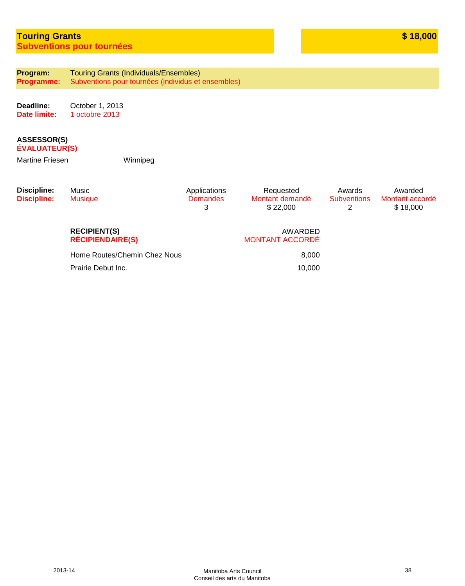# **Touring Grants Subventions pour tournées**

**Program: Programme:** Touring Grants (Individuals/Ensembles) Subventions pour tournées (individus et ensembles)

**Deadline: Date limite:** October 1, 2013 1 octobre 2013

#### **ASSESSOR(S) ÉVALUATEUR(S)**

Martine Friesen Winnipeg

| Discipline:<br><b>Discipline:</b> | Music<br><b>Musique</b>                        | Applications<br><b>Demandes</b><br>3 | Requested<br>Montant demandé<br>\$22,000 | Awards<br><b>Subventions</b><br>2 | Awarded<br>Montant accordé<br>\$18,000 |
|-----------------------------------|------------------------------------------------|--------------------------------------|------------------------------------------|-----------------------------------|----------------------------------------|
|                                   | <b>RECIPIENT(S)</b><br><b>RÉCIPIENDAIRE(S)</b> |                                      | AWARDED<br><b>MONTANT ACCORDÉ</b>        |                                   |                                        |
|                                   | Home Routes/Chemin Chez Nous                   |                                      | 8,000                                    |                                   |                                        |
|                                   | Prairie Debut Inc.                             |                                      | 10,000                                   |                                   |                                        |
|                                   |                                                |                                      |                                          |                                   |                                        |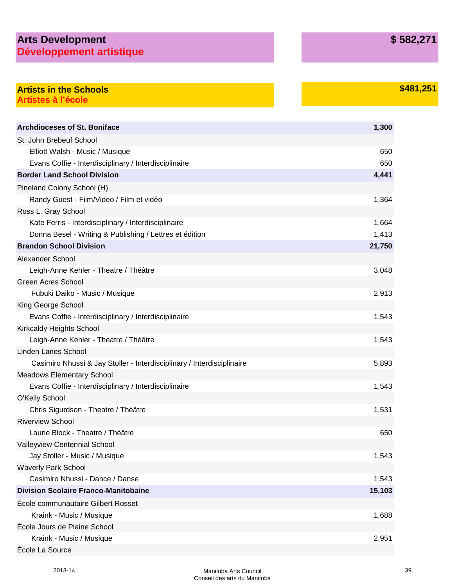# **Arts Development Développement artistique**

# **Artists in the Schools by the Schools and the Schools by the Schools by the Schools \$481,251 Artistes à l'école**

| <b>Archdioceses of St. Boniface</b>                                    | 1,300  |
|------------------------------------------------------------------------|--------|
| St. John Brebeuf School                                                |        |
| Elliott Walsh - Music / Musique                                        | 650    |
| Evans Coffie - Interdisciplinary / Interdisciplinaire                  | 650    |
| <b>Border Land School Division</b>                                     | 4,441  |
| Pineland Colony School (H)                                             |        |
| Randy Guest - Film/Video / Film et vidéo                               | 1,364  |
| Ross L. Gray School                                                    |        |
| Kate Ferris - Interdisciplinary / Interdisciplinaire                   | 1,664  |
| Donna Besel - Writing & Publishing / Lettres et édition                | 1,413  |
| <b>Brandon School Division</b>                                         | 21,750 |
| Alexander School                                                       |        |
| Leigh-Anne Kehler - Theatre / Théâtre                                  | 3,048  |
| <b>Green Acres School</b>                                              |        |
| Fubuki Daiko - Music / Musique                                         | 2,913  |
| King George School                                                     |        |
| Evans Coffie - Interdisciplinary / Interdisciplinaire                  | 1,543  |
| <b>Kirkcaldy Heights School</b>                                        |        |
| Leigh-Anne Kehler - Theatre / Théâtre                                  | 1,543  |
| Linden Lanes School                                                    |        |
| Casimiro Nhussi & Jay Stoller - Interdisciplinary / Interdisciplinaire | 5,893  |
| <b>Meadows Elementary School</b>                                       |        |
| Evans Coffie - Interdisciplinary / Interdisciplinaire                  | 1,543  |
| <b>O'Kelly School</b>                                                  |        |
| Chris Sigurdson - Theatre / Théâtre                                    | 1,531  |
| <b>Riverview School</b>                                                |        |
| Laurie Block - Theatre / Théâtre                                       | 650    |
| Valleyview Centennial School                                           |        |
| Jay Stoller - Music / Musique                                          | 1,543  |
| <b>Waverly Park School</b>                                             |        |
| Casimiro Nhussi - Dance / Danse                                        | 1,543  |
| <b>Division Scolaire Franco-Manitobaine</b>                            | 15,103 |
| École communautaire Gilbert Rosset                                     |        |
| Kraink - Music / Musique                                               | 1,688  |
| École Jours de Plaine School                                           |        |
| Kraink - Music / Musique                                               | 2,951  |
| École La Source                                                        |        |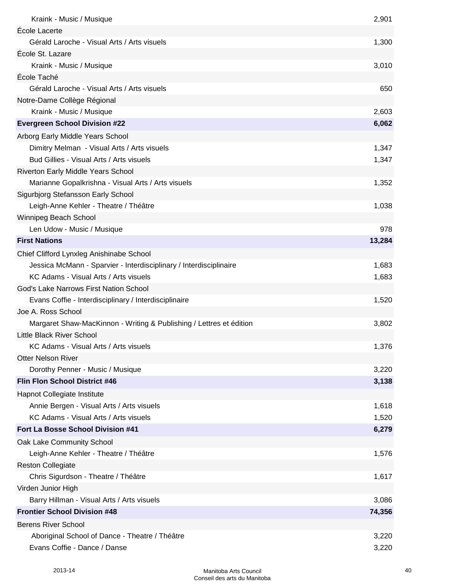| Kraink - Music / Musique                                            | 2,901  |
|---------------------------------------------------------------------|--------|
| École Lacerte                                                       |        |
| Gérald Laroche - Visual Arts / Arts visuels                         | 1,300  |
| École St. Lazare                                                    |        |
| Kraink - Music / Musique                                            | 3,010  |
| École Taché                                                         |        |
| Gérald Laroche - Visual Arts / Arts visuels                         | 650    |
| Notre-Dame Collège Régional                                         |        |
| Kraink - Music / Musique                                            | 2,603  |
| <b>Evergreen School Division #22</b>                                | 6,062  |
| Arborg Early Middle Years School                                    |        |
| Dimitry Melman - Visual Arts / Arts visuels                         | 1,347  |
| Bud Gillies - Visual Arts / Arts visuels                            | 1,347  |
| Riverton Early Middle Years School                                  |        |
| Marianne Gopalkrishna - Visual Arts / Arts visuels                  | 1,352  |
| Sigurbjorg Stefansson Early School                                  |        |
| Leigh-Anne Kehler - Theatre / Théâtre                               | 1,038  |
| Winnipeg Beach School                                               |        |
| Len Udow - Music / Musique                                          | 978    |
| <b>First Nations</b>                                                | 13,284 |
| Chief Clifford Lynxleg Anishinabe School                            |        |
| Jessica McMann - Sparvier - Interdisciplinary / Interdisciplinaire  | 1,683  |
| KC Adams - Visual Arts / Arts visuels                               | 1,683  |
| God's Lake Narrows First Nation School                              |        |
| Evans Coffie - Interdisciplinary / Interdisciplinaire               | 1,520  |
| Joe A. Ross School                                                  |        |
| Margaret Shaw-MacKinnon - Writing & Publishing / Lettres et édition | 3,802  |
| Little Black River School                                           |        |
| KC Adams - Visual Arts / Arts visuels                               | 1,376  |
| <b>Otter Nelson River</b>                                           |        |
| Dorothy Penner - Music / Musique                                    | 3,220  |
| Flin Flon School District #46                                       | 3,138  |
| Hapnot Collegiate Institute                                         |        |
| Annie Bergen - Visual Arts / Arts visuels                           | 1,618  |
| KC Adams - Visual Arts / Arts visuels                               | 1,520  |
| Fort La Bosse School Division #41                                   | 6,279  |
| Oak Lake Community School                                           |        |
| Leigh-Anne Kehler - Theatre / Théâtre                               | 1,576  |
| <b>Reston Collegiate</b>                                            |        |
| Chris Sigurdson - Theatre / Théâtre                                 | 1,617  |
| Virden Junior High                                                  |        |
| Barry Hillman - Visual Arts / Arts visuels                          | 3,086  |
| <b>Frontier School Division #48</b>                                 | 74,356 |
| <b>Berens River School</b>                                          |        |
| Aboriginal School of Dance - Theatre / Théâtre                      | 3,220  |
| Evans Coffie - Dance / Danse                                        | 3,220  |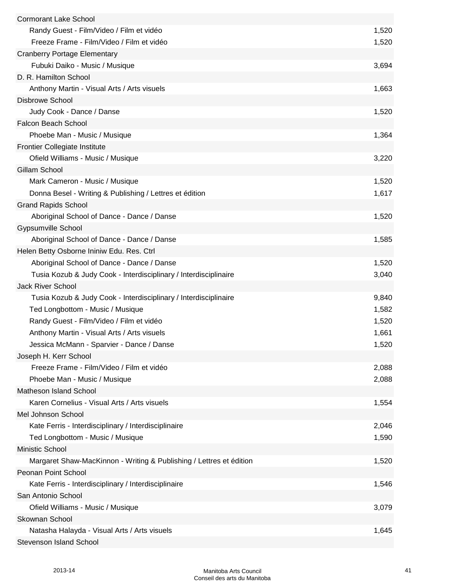| <b>Cormorant Lake School</b>                                        |       |
|---------------------------------------------------------------------|-------|
| Randy Guest - Film/Video / Film et vidéo                            | 1,520 |
| Freeze Frame - Film/Video / Film et vidéo                           | 1,520 |
| <b>Cranberry Portage Elementary</b>                                 |       |
| Fubuki Daiko - Music / Musique                                      | 3,694 |
| D. R. Hamilton School                                               |       |
| Anthony Martin - Visual Arts / Arts visuels                         | 1,663 |
| <b>Disbrowe School</b>                                              |       |
| Judy Cook - Dance / Danse                                           | 1,520 |
| Falcon Beach School                                                 |       |
| Phoebe Man - Music / Musique                                        | 1,364 |
| <b>Frontier Collegiate Institute</b>                                |       |
| Ofield Williams - Music / Musique                                   | 3,220 |
| Gillam School                                                       |       |
| Mark Cameron - Music / Musique                                      | 1,520 |
| Donna Besel - Writing & Publishing / Lettres et édition             | 1,617 |
| <b>Grand Rapids School</b>                                          |       |
| Aboriginal School of Dance - Dance / Danse                          | 1,520 |
| <b>Gypsumville School</b>                                           |       |
| Aboriginal School of Dance - Dance / Danse                          | 1,585 |
| Helen Betty Osborne Ininiw Edu. Res. Ctrl                           |       |
| Aboriginal School of Dance - Dance / Danse                          | 1,520 |
|                                                                     |       |
| Tusia Kozub & Judy Cook - Interdisciplinary / Interdisciplinaire    | 3,040 |
| <b>Jack River School</b>                                            |       |
| Tusia Kozub & Judy Cook - Interdisciplinary / Interdisciplinaire    | 9,840 |
| Ted Longbottom - Music / Musique                                    | 1,582 |
| Randy Guest - Film/Video / Film et vidéo                            | 1,520 |
| Anthony Martin - Visual Arts / Arts visuels                         | 1,661 |
| Jessica McMann - Sparvier - Dance / Danse                           | 1,520 |
| Joseph H. Kerr School                                               |       |
| Freeze Frame - Film/Video / Film et vidéo                           | 2,088 |
| Phoebe Man - Music / Musique                                        | 2,088 |
| <b>Matheson Island School</b>                                       |       |
| Karen Cornelius - Visual Arts / Arts visuels                        | 1,554 |
| Mel Johnson School                                                  |       |
| Kate Ferris - Interdisciplinary / Interdisciplinaire                | 2,046 |
| Ted Longbottom - Music / Musique                                    | 1,590 |
| Ministic School                                                     |       |
| Margaret Shaw-MacKinnon - Writing & Publishing / Lettres et édition | 1,520 |
| Peonan Point School                                                 |       |
| Kate Ferris - Interdisciplinary / Interdisciplinaire                | 1,546 |
| San Antonio School                                                  |       |
| Ofield Williams - Music / Musique                                   | 3,079 |
| Skownan School                                                      |       |
| Natasha Halayda - Visual Arts / Arts visuels                        | 1,645 |
| Stevenson Island School                                             |       |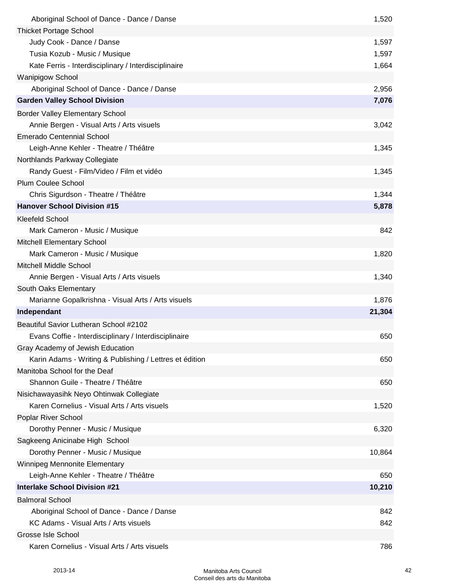| Aboriginal School of Dance - Dance / Danse              | 1,520  |
|---------------------------------------------------------|--------|
| <b>Thicket Portage School</b>                           |        |
| Judy Cook - Dance / Danse                               | 1,597  |
| Tusia Kozub - Music / Musique                           | 1,597  |
| Kate Ferris - Interdisciplinary / Interdisciplinaire    | 1,664  |
| <b>Wanipigow School</b>                                 |        |
| Aboriginal School of Dance - Dance / Danse              | 2,956  |
| <b>Garden Valley School Division</b>                    | 7,076  |
| <b>Border Valley Elementary School</b>                  |        |
| Annie Bergen - Visual Arts / Arts visuels               | 3,042  |
| <b>Emerado Centennial School</b>                        |        |
| Leigh-Anne Kehler - Theatre / Théâtre                   | 1,345  |
| Northlands Parkway Collegiate                           |        |
| Randy Guest - Film/Video / Film et vidéo                | 1,345  |
| <b>Plum Coulee School</b>                               |        |
| Chris Sigurdson - Theatre / Théâtre                     | 1,344  |
| <b>Hanover School Division #15</b>                      | 5,878  |
| <b>Kleefeld School</b>                                  |        |
| Mark Cameron - Music / Musique                          | 842    |
| Mitchell Elementary School                              |        |
| Mark Cameron - Music / Musique                          | 1,820  |
| <b>Mitchell Middle School</b>                           |        |
| Annie Bergen - Visual Arts / Arts visuels               | 1,340  |
| South Oaks Elementary                                   |        |
| Marianne Gopalkrishna - Visual Arts / Arts visuels      | 1,876  |
| Independant                                             | 21,304 |
| Beautiful Savior Lutheran School #2102                  |        |
| Evans Coffie - Interdisciplinary / Interdisciplinaire   | 650    |
| Gray Academy of Jewish Education                        |        |
| Karin Adams - Writing & Publishing / Lettres et édition | 650    |
| Manitoba School for the Deaf                            |        |
| Shannon Guile - Theatre / Théâtre                       | 650    |
| Nisichawayasihk Neyo Ohtinwak Collegiate                |        |
| Karen Cornelius - Visual Arts / Arts visuels            | 1,520  |
| Poplar River School                                     |        |
| Dorothy Penner - Music / Musique                        | 6,320  |
| Sagkeeng Anicinabe High School                          |        |
| Dorothy Penner - Music / Musique                        | 10,864 |
| Winnipeg Mennonite Elementary                           |        |
| Leigh-Anne Kehler - Theatre / Théâtre                   | 650    |
| <b>Interlake School Division #21</b>                    | 10,210 |
| <b>Balmoral School</b>                                  |        |
| Aboriginal School of Dance - Dance / Danse              | 842    |
| KC Adams - Visual Arts / Arts visuels                   | 842    |
| Grosse Isle School                                      |        |
| Karen Cornelius - Visual Arts / Arts visuels            | 786    |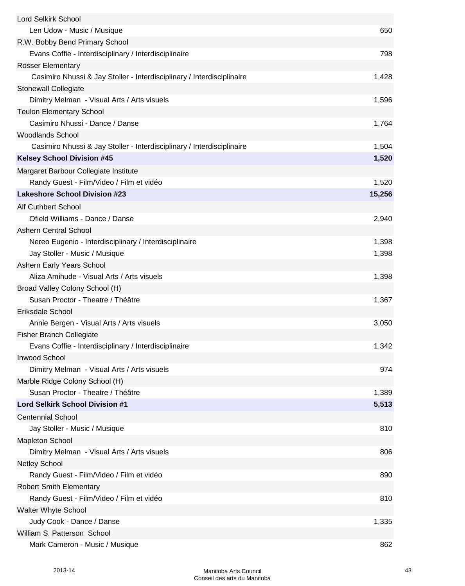| Lord Selkirk School                                                    |        |
|------------------------------------------------------------------------|--------|
| Len Udow - Music / Musique                                             | 650    |
| R.W. Bobby Bend Primary School                                         |        |
| Evans Coffie - Interdisciplinary / Interdisciplinaire                  | 798    |
| <b>Rosser Elementary</b>                                               |        |
| Casimiro Nhussi & Jay Stoller - Interdisciplinary / Interdisciplinaire | 1,428  |
| <b>Stonewall Collegiate</b>                                            |        |
| Dimitry Melman - Visual Arts / Arts visuels                            | 1,596  |
| <b>Teulon Elementary School</b>                                        |        |
| Casimiro Nhussi - Dance / Danse                                        | 1,764  |
| <b>Woodlands School</b>                                                |        |
| Casimiro Nhussi & Jay Stoller - Interdisciplinary / Interdisciplinaire | 1,504  |
| <b>Kelsey School Division #45</b>                                      | 1,520  |
| Margaret Barbour Collegiate Institute                                  |        |
| Randy Guest - Film/Video / Film et vidéo                               | 1,520  |
| <b>Lakeshore School Division #23</b>                                   | 15,256 |
| <b>Alf Cuthbert School</b>                                             |        |
| Ofield Williams - Dance / Danse                                        | 2,940  |
| <b>Ashern Central School</b>                                           |        |
| Nereo Eugenio - Interdisciplinary / Interdisciplinaire                 | 1,398  |
| Jay Stoller - Music / Musique                                          | 1,398  |
| Ashern Early Years School                                              |        |
| Aliza Amihude - Visual Arts / Arts visuels                             | 1,398  |
| Broad Valley Colony School (H)                                         |        |
| Susan Proctor - Theatre / Théâtre                                      | 1,367  |
| Eriksdale School                                                       |        |
| Annie Bergen - Visual Arts / Arts visuels                              | 3,050  |
| <b>Fisher Branch Collegiate</b>                                        |        |
| Evans Coffie - Interdisciplinary / Interdisciplinaire                  | 1,342  |
| <b>Inwood School</b>                                                   |        |
| Dimitry Melman - Visual Arts / Arts visuels                            | 974    |
| Marble Ridge Colony School (H)                                         |        |
| Susan Proctor - Theatre / Théâtre                                      | 1,389  |
| Lord Selkirk School Division #1                                        | 5,513  |
| <b>Centennial School</b>                                               |        |
| Jay Stoller - Music / Musique                                          | 810    |
| <b>Mapleton School</b>                                                 |        |
| Dimitry Melman - Visual Arts / Arts visuels                            | 806    |
| <b>Netley School</b>                                                   |        |
| Randy Guest - Film/Video / Film et vidéo                               | 890    |
| <b>Robert Smith Elementary</b>                                         |        |
| Randy Guest - Film/Video / Film et vidéo                               | 810    |
| Walter Whyte School                                                    |        |
| Judy Cook - Dance / Danse                                              | 1,335  |
| William S. Patterson School                                            |        |
| Mark Cameron - Music / Musique                                         | 862    |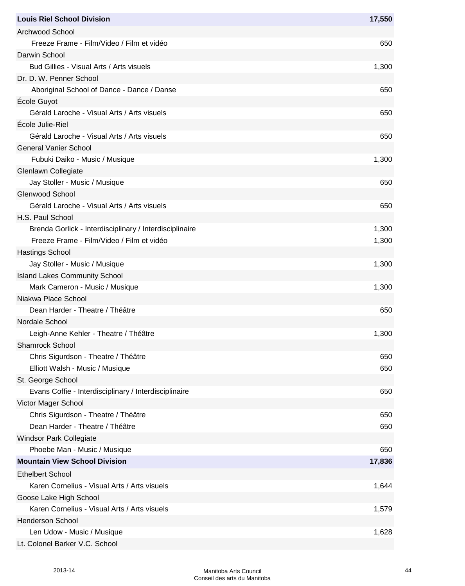| <b>Louis Riel School Division</b>                       | 17,550 |
|---------------------------------------------------------|--------|
| <b>Archwood School</b>                                  |        |
| Freeze Frame - Film/Video / Film et vidéo               | 650    |
| Darwin School                                           |        |
| Bud Gillies - Visual Arts / Arts visuels                | 1,300  |
| Dr. D. W. Penner School                                 |        |
| Aboriginal School of Dance - Dance / Danse              | 650    |
| Ecole Guyot                                             |        |
| Gérald Laroche - Visual Arts / Arts visuels             | 650    |
| École Julie-Riel                                        |        |
| Gérald Laroche - Visual Arts / Arts visuels             | 650    |
| <b>General Vanier School</b>                            |        |
| Fubuki Daiko - Music / Musique                          | 1,300  |
| Glenlawn Collegiate                                     |        |
| Jay Stoller - Music / Musique                           | 650    |
| Glenwood School                                         |        |
| Gérald Laroche - Visual Arts / Arts visuels             | 650    |
| H.S. Paul School                                        |        |
| Brenda Gorlick - Interdisciplinary / Interdisciplinaire | 1,300  |
| Freeze Frame - Film/Video / Film et vidéo               | 1,300  |
| <b>Hastings School</b>                                  |        |
| Jay Stoller - Music / Musique                           | 1,300  |
| <b>Island Lakes Community School</b>                    |        |
| Mark Cameron - Music / Musique                          | 1,300  |
| Niakwa Place School                                     |        |
| Dean Harder - Theatre / Théâtre                         | 650    |
| Nordale School                                          |        |
| Leigh-Anne Kehler - Theatre / Théâtre                   | 1,300  |
| Shamrock School                                         |        |
| Chris Sigurdson - Theatre / Théâtre                     | 650    |
| Elliott Walsh - Music / Musique                         | 650    |
| St. George School                                       |        |
| Evans Coffie - Interdisciplinary / Interdisciplinaire   | 650    |
| Victor Mager School                                     |        |
| Chris Sigurdson - Theatre / Théâtre                     | 650    |
| Dean Harder - Theatre / Théâtre                         | 650    |
| <b>Windsor Park Collegiate</b>                          |        |
| Phoebe Man - Music / Musique                            | 650    |
| <b>Mountain View School Division</b>                    | 17,836 |
| <b>Ethelbert School</b>                                 |        |
| Karen Cornelius - Visual Arts / Arts visuels            | 1,644  |
| Goose Lake High School                                  |        |
| Karen Cornelius - Visual Arts / Arts visuels            | 1,579  |
| <b>Henderson School</b>                                 |        |
| Len Udow - Music / Musique                              | 1,628  |
| Lt. Colonel Barker V.C. School                          |        |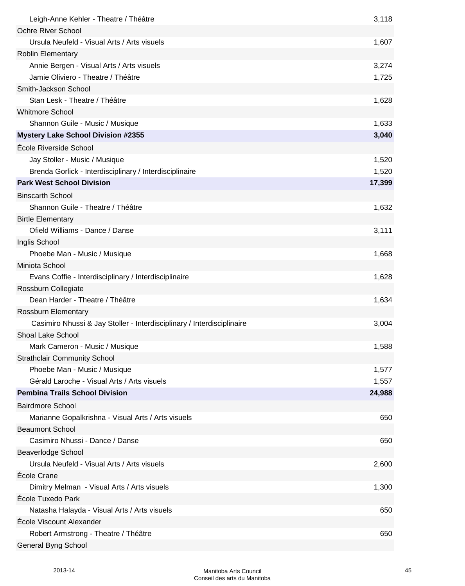| Leigh-Anne Kehler - Theatre / Théâtre                                        | 3,118  |
|------------------------------------------------------------------------------|--------|
| <b>Ochre River School</b>                                                    |        |
| Ursula Neufeld - Visual Arts / Arts visuels                                  | 1,607  |
| <b>Roblin Elementary</b>                                                     |        |
| Annie Bergen - Visual Arts / Arts visuels                                    | 3,274  |
| Jamie Oliviero - Theatre / Théâtre                                           | 1,725  |
| Smith-Jackson School                                                         |        |
| Stan Lesk - Theatre / Théâtre                                                | 1,628  |
| <b>Whitmore School</b>                                                       |        |
| Shannon Guile - Music / Musique                                              | 1,633  |
| <b>Mystery Lake School Division #2355</b>                                    | 3,040  |
| École Riverside School                                                       |        |
| Jay Stoller - Music / Musique                                                | 1,520  |
| Brenda Gorlick - Interdisciplinary / Interdisciplinaire                      | 1,520  |
| <b>Park West School Division</b>                                             | 17,399 |
| <b>Binscarth School</b>                                                      |        |
| Shannon Guile - Theatre / Théâtre                                            | 1,632  |
| <b>Birtle Elementary</b>                                                     |        |
| Ofield Williams - Dance / Danse                                              | 3,111  |
| Inglis School                                                                |        |
| Phoebe Man - Music / Musique                                                 | 1,668  |
| Miniota School                                                               |        |
| Evans Coffie - Interdisciplinary / Interdisciplinaire                        | 1,628  |
| Rossburn Collegiate                                                          |        |
| Dean Harder - Theatre / Théâtre                                              | 1,634  |
| Rossburn Elementary                                                          |        |
| Casimiro Nhussi & Jay Stoller - Interdisciplinary / Interdisciplinaire       | 3,004  |
| Shoal Lake School                                                            |        |
| Mark Cameron - Music / Musique                                               | 1,588  |
| <b>Strathclair Community School</b>                                          |        |
| Phoebe Man - Music / Musique                                                 | 1,577  |
| Gérald Laroche - Visual Arts / Arts visuels                                  | 1,557  |
| <b>Pembina Trails School Division</b>                                        | 24,988 |
| <b>Bairdmore School</b>                                                      |        |
|                                                                              | 650    |
| Marianne Gopalkrishna - Visual Arts / Arts visuels<br><b>Beaumont School</b> |        |
| Casimiro Nhussi - Dance / Danse                                              | 650    |
|                                                                              |        |
| Beaverlodge School<br>Ursula Neufeld - Visual Arts / Arts visuels            |        |
| École Crane                                                                  | 2,600  |
|                                                                              |        |
| Dimitry Melman - Visual Arts / Arts visuels<br>École Tuxedo Park             | 1,300  |
|                                                                              |        |
| Natasha Halayda - Visual Arts / Arts visuels                                 | 650    |
| École Viscount Alexander                                                     |        |
| Robert Armstrong - Theatre / Théâtre                                         | 650    |
| General Byng School                                                          |        |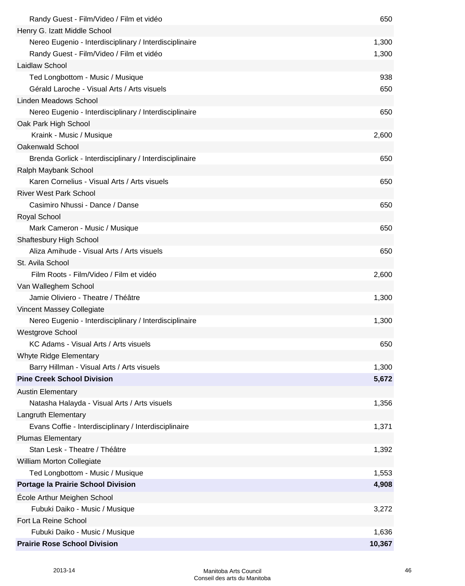| Randy Guest - Film/Video / Film et vidéo                | 650    |
|---------------------------------------------------------|--------|
| Henry G. Izatt Middle School                            |        |
| Nereo Eugenio - Interdisciplinary / Interdisciplinaire  | 1,300  |
| Randy Guest - Film/Video / Film et vidéo                | 1,300  |
| Laidlaw School                                          |        |
| Ted Longbottom - Music / Musique                        | 938    |
| Gérald Laroche - Visual Arts / Arts visuels             | 650    |
| <b>Linden Meadows School</b>                            |        |
| Nereo Eugenio - Interdisciplinary / Interdisciplinaire  | 650    |
| Oak Park High School                                    |        |
| Kraink - Music / Musique                                | 2,600  |
| Oakenwald School                                        |        |
| Brenda Gorlick - Interdisciplinary / Interdisciplinaire | 650    |
| Ralph Maybank School                                    |        |
| Karen Cornelius - Visual Arts / Arts visuels            | 650    |
| <b>River West Park School</b>                           |        |
| Casimiro Nhussi - Dance / Danse                         | 650    |
| Royal School                                            |        |
| Mark Cameron - Music / Musique                          | 650    |
| <b>Shaftesbury High School</b>                          |        |
| Aliza Amihude - Visual Arts / Arts visuels              | 650    |
| St. Avila School                                        |        |
| Film Roots - Film/Video / Film et vidéo                 | 2,600  |
| Van Walleghem School                                    |        |
| Jamie Oliviero - Theatre / Théâtre                      | 1,300  |
| <b>Vincent Massey Collegiate</b>                        |        |
| Nereo Eugenio - Interdisciplinary / Interdisciplinaire  | 1,300  |
| <b>Westgrove School</b>                                 |        |
| KC Adams - Visual Arts / Arts visuels                   | 650    |
| Whyte Ridge Elementary                                  |        |
| Barry Hillman - Visual Arts / Arts visuels              | 1,300  |
| <b>Pine Creek School Division</b>                       | 5,672  |
| <b>Austin Elementary</b>                                |        |
| Natasha Halayda - Visual Arts / Arts visuels            | 1,356  |
| Langruth Elementary                                     |        |
| Evans Coffie - Interdisciplinary / Interdisciplinaire   | 1,371  |
| <b>Plumas Elementary</b>                                |        |
| Stan Lesk - Theatre / Théâtre                           | 1,392  |
| William Morton Collegiate                               |        |
| Ted Longbottom - Music / Musique                        | 1,553  |
| Portage la Prairie School Division                      | 4,908  |
| <b>École Arthur Meighen School</b>                      |        |
| Fubuki Daiko - Music / Musique                          | 3,272  |
| Fort La Reine School                                    |        |
| Fubuki Daiko - Music / Musique                          | 1,636  |
| <b>Prairie Rose School Division</b>                     | 10,367 |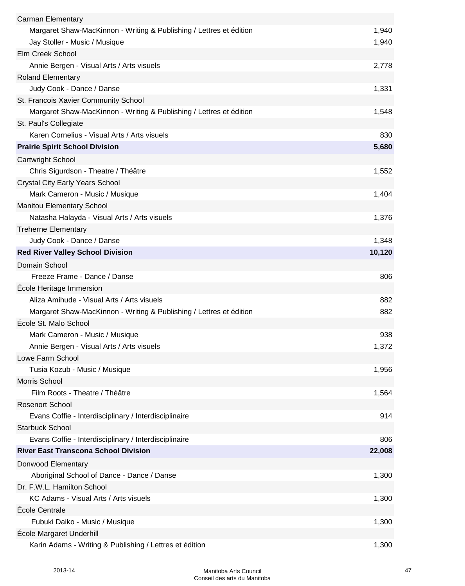| Carman Elementary                                                   |        |
|---------------------------------------------------------------------|--------|
| Margaret Shaw-MacKinnon - Writing & Publishing / Lettres et édition | 1,940  |
| Jay Stoller - Music / Musique                                       | 1,940  |
| Elm Creek School                                                    |        |
| Annie Bergen - Visual Arts / Arts visuels                           | 2,778  |
| <b>Roland Elementary</b>                                            |        |
| Judy Cook - Dance / Danse                                           | 1,331  |
| St. Francois Xavier Community School                                |        |
| Margaret Shaw-MacKinnon - Writing & Publishing / Lettres et édition | 1,548  |
| St. Paul's Collegiate                                               |        |
| Karen Cornelius - Visual Arts / Arts visuels                        | 830    |
| <b>Prairie Spirit School Division</b>                               | 5,680  |
| <b>Cartwright School</b>                                            |        |
| Chris Sigurdson - Theatre / Théâtre                                 | 1,552  |
| <b>Crystal City Early Years School</b>                              |        |
| Mark Cameron - Music / Musique                                      | 1,404  |
| <b>Manitou Elementary School</b>                                    |        |
| Natasha Halayda - Visual Arts / Arts visuels                        | 1,376  |
| <b>Treherne Elementary</b>                                          |        |
| Judy Cook - Dance / Danse                                           | 1,348  |
| <b>Red River Valley School Division</b>                             | 10,120 |
| Domain School                                                       |        |
| Freeze Frame - Dance / Danse                                        | 806    |
| École Heritage Immersion                                            |        |
| Aliza Amihude - Visual Arts / Arts visuels                          | 882    |
| Margaret Shaw-MacKinnon - Writing & Publishing / Lettres et édition | 882    |
| École St. Malo School                                               |        |
| Mark Cameron - Music / Musique                                      | 938    |
| Annie Bergen - Visual Arts / Arts visuels                           | 1,372  |
| Lowe Farm School                                                    |        |
| Tusia Kozub - Music / Musique                                       | 1,956  |
| Morris School                                                       |        |
| Film Roots - Theatre / Théâtre                                      | 1,564  |
| <b>Rosenort School</b>                                              |        |
| Evans Coffie - Interdisciplinary / Interdisciplinaire               | 914    |
| <b>Starbuck School</b>                                              |        |
| Evans Coffie - Interdisciplinary / Interdisciplinaire               | 806    |
| <b>River East Transcona School Division</b>                         | 22,008 |
| Donwood Elementary                                                  |        |
| Aboriginal School of Dance - Dance / Danse                          | 1,300  |
| Dr. F.W.L. Hamilton School                                          |        |
| KC Adams - Visual Arts / Arts visuels                               | 1,300  |
| École Centrale                                                      |        |
| Fubuki Daiko - Music / Musique                                      | 1,300  |
| École Margaret Underhill                                            |        |
| Karin Adams - Writing & Publishing / Lettres et édition             | 1,300  |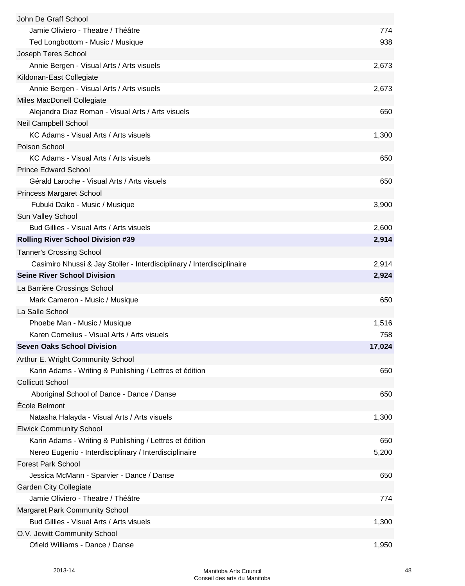| John De Graff School                                                   |        |
|------------------------------------------------------------------------|--------|
| Jamie Oliviero - Theatre / Théâtre                                     | 774    |
| Ted Longbottom - Music / Musique                                       | 938    |
| Joseph Teres School                                                    |        |
| Annie Bergen - Visual Arts / Arts visuels                              | 2,673  |
| Kildonan-East Collegiate                                               |        |
| Annie Bergen - Visual Arts / Arts visuels                              | 2,673  |
| Miles MacDonell Collegiate                                             |        |
| Alejandra Diaz Roman - Visual Arts / Arts visuels                      | 650    |
| <b>Neil Campbell School</b>                                            |        |
| KC Adams - Visual Arts / Arts visuels                                  | 1,300  |
| Polson School                                                          |        |
| KC Adams - Visual Arts / Arts visuels                                  | 650    |
| <b>Prince Edward School</b>                                            |        |
| Gérald Laroche - Visual Arts / Arts visuels                            | 650    |
| <b>Princess Margaret School</b>                                        |        |
| Fubuki Daiko - Music / Musique                                         | 3,900  |
| Sun Valley School                                                      |        |
| Bud Gillies - Visual Arts / Arts visuels                               | 2,600  |
| <b>Rolling River School Division #39</b>                               | 2,914  |
| <b>Tanner's Crossing School</b>                                        |        |
| Casimiro Nhussi & Jay Stoller - Interdisciplinary / Interdisciplinaire | 2,914  |
| <b>Seine River School Division</b>                                     | 2,924  |
| La Barrière Crossings School                                           |        |
| Mark Cameron - Music / Musique                                         | 650    |
| La Salle School                                                        |        |
| Phoebe Man - Music / Musique                                           | 1,516  |
| Karen Cornelius - Visual Arts / Arts visuels                           | 758    |
| <b>Seven Oaks School Division</b>                                      | 17,024 |
| Arthur E. Wright Community School                                      |        |
| Karin Adams - Writing & Publishing / Lettres et édition                | 650    |
| <b>Collicutt School</b>                                                |        |
| Aboriginal School of Dance - Dance / Danse                             | 650    |
| École Belmont                                                          |        |
| Natasha Halayda - Visual Arts / Arts visuels                           | 1,300  |
| <b>Elwick Community School</b>                                         |        |
| Karin Adams - Writing & Publishing / Lettres et édition                | 650    |
| Nereo Eugenio - Interdisciplinary / Interdisciplinaire                 | 5,200  |
| <b>Forest Park School</b>                                              |        |
| Jessica McMann - Sparvier - Dance / Danse                              | 650    |
| <b>Garden City Collegiate</b>                                          |        |
| Jamie Oliviero - Theatre / Théâtre                                     | 774    |
| <b>Margaret Park Community School</b>                                  |        |
| Bud Gillies - Visual Arts / Arts visuels                               | 1,300  |
| O.V. Jewitt Community School                                           |        |
| Ofield Williams - Dance / Danse                                        | 1,950  |
|                                                                        |        |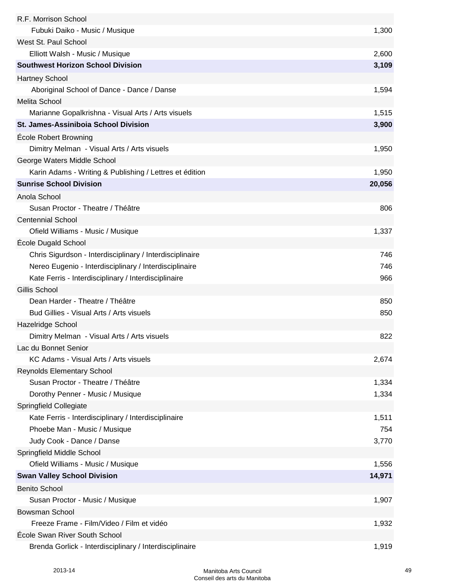| R.F. Morrison School                                     |        |
|----------------------------------------------------------|--------|
| Fubuki Daiko - Music / Musique                           | 1,300  |
| West St. Paul School                                     |        |
| Elliott Walsh - Music / Musique                          | 2,600  |
| <b>Southwest Horizon School Division</b>                 | 3,109  |
| <b>Hartney School</b>                                    |        |
| Aboriginal School of Dance - Dance / Danse               | 1,594  |
| Melita School                                            |        |
| Marianne Gopalkrishna - Visual Arts / Arts visuels       | 1,515  |
| St. James-Assiniboia School Division                     | 3,900  |
| <b>École Robert Browning</b>                             |        |
| Dimitry Melman - Visual Arts / Arts visuels              | 1,950  |
| George Waters Middle School                              |        |
| Karin Adams - Writing & Publishing / Lettres et édition  | 1,950  |
| <b>Sunrise School Division</b>                           | 20,056 |
| Anola School                                             |        |
| Susan Proctor - Theatre / Théâtre                        | 806    |
| <b>Centennial School</b>                                 |        |
| Ofield Williams - Music / Musique                        | 1,337  |
| <b>École Dugald School</b>                               |        |
| Chris Sigurdson - Interdisciplinary / Interdisciplinaire | 746    |
| Nereo Eugenio - Interdisciplinary / Interdisciplinaire   | 746    |
| Kate Ferris - Interdisciplinary / Interdisciplinaire     | 966    |
| Gillis School                                            |        |
| Dean Harder - Theatre / Théâtre                          | 850    |
| Bud Gillies - Visual Arts / Arts visuels                 | 850    |
| Hazelridge School                                        |        |
| Dimitry Melman - Visual Arts / Arts visuels              | 822    |
| Lac du Bonnet Senior                                     |        |
| KC Adams - Visual Arts / Arts visuels                    | 2,674  |
| <b>Reynolds Elementary School</b>                        |        |
| Susan Proctor - Theatre / Théâtre                        | 1,334  |
| Dorothy Penner - Music / Musique                         | 1,334  |
| Springfield Collegiate                                   |        |
| Kate Ferris - Interdisciplinary / Interdisciplinaire     | 1,511  |
| Phoebe Man - Music / Musique                             | 754    |
| Judy Cook - Dance / Danse                                | 3,770  |
| Springfield Middle School                                |        |
| Ofield Williams - Music / Musique                        | 1,556  |
| <b>Swan Valley School Division</b>                       | 14,971 |
| <b>Benito School</b>                                     |        |
| Susan Proctor - Music / Musique                          | 1,907  |
| <b>Bowsman School</b>                                    |        |
| Freeze Frame - Film/Video / Film et vidéo                | 1,932  |
| École Swan River South School                            |        |
| Brenda Gorlick - Interdisciplinary / Interdisciplinaire  | 1,919  |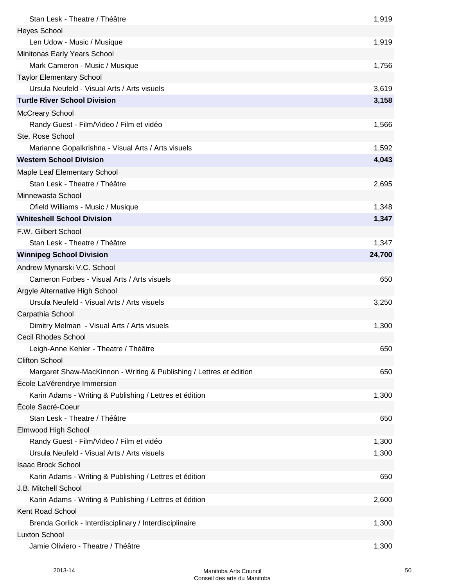| Stan Lesk - Theatre / Théâtre                                       | 1,919  |
|---------------------------------------------------------------------|--------|
| <b>Heyes School</b>                                                 |        |
| Len Udow - Music / Musique                                          | 1,919  |
| Minitonas Early Years School                                        |        |
| Mark Cameron - Music / Musique                                      | 1,756  |
| <b>Taylor Elementary School</b>                                     |        |
| Ursula Neufeld - Visual Arts / Arts visuels                         | 3,619  |
| <b>Turtle River School Division</b>                                 | 3,158  |
| <b>McCreary School</b>                                              |        |
| Randy Guest - Film/Video / Film et vidéo                            | 1,566  |
| Ste. Rose School                                                    |        |
| Marianne Gopalkrishna - Visual Arts / Arts visuels                  | 1,592  |
| <b>Western School Division</b>                                      | 4,043  |
| Maple Leaf Elementary School                                        |        |
| Stan Lesk - Theatre / Théâtre                                       | 2,695  |
| Minnewasta School                                                   |        |
| Ofield Williams - Music / Musique                                   | 1,348  |
| <b>Whiteshell School Division</b>                                   | 1,347  |
| F.W. Gilbert School                                                 |        |
| Stan Lesk - Theatre / Théâtre                                       | 1,347  |
| <b>Winnipeg School Division</b>                                     | 24,700 |
| Andrew Mynarski V.C. School                                         |        |
| Cameron Forbes - Visual Arts / Arts visuels                         | 650    |
| Argyle Alternative High School                                      |        |
| Ursula Neufeld - Visual Arts / Arts visuels                         | 3,250  |
| Carpathia School                                                    |        |
| Dimitry Melman - Visual Arts / Arts visuels                         | 1,300  |
| <b>Cecil Rhodes School</b>                                          |        |
| Leigh-Anne Kehler - Theatre / Théâtre                               | 650    |
| <b>Clifton School</b>                                               |        |
| Margaret Shaw-MacKinnon - Writing & Publishing / Lettres et édition | 650    |
| École LaVérendrye Immersion                                         |        |
| Karin Adams - Writing & Publishing / Lettres et édition             | 1,300  |
| École Sacré-Coeur                                                   |        |
| Stan Lesk - Theatre / Théâtre                                       | 650    |
| Elmwood High School                                                 |        |
| Randy Guest - Film/Video / Film et vidéo                            | 1,300  |
| Ursula Neufeld - Visual Arts / Arts visuels                         | 1,300  |
| <b>Isaac Brock School</b>                                           |        |
| Karin Adams - Writing & Publishing / Lettres et édition             | 650    |
| J.B. Mitchell School                                                |        |
| Karin Adams - Writing & Publishing / Lettres et édition             | 2,600  |
| Kent Road School                                                    |        |
| Brenda Gorlick - Interdisciplinary / Interdisciplinaire             | 1,300  |
| <b>Luxton School</b>                                                |        |
| Jamie Oliviero - Theatre / Théâtre                                  | 1,300  |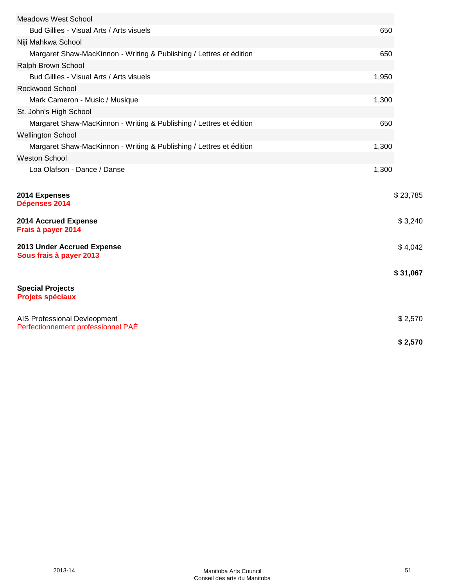| <b>Meadows West School</b>                                          |       |          |
|---------------------------------------------------------------------|-------|----------|
| Bud Gillies - Visual Arts / Arts visuels                            | 650   |          |
| Niji Mahkwa School                                                  |       |          |
| Margaret Shaw-MacKinnon - Writing & Publishing / Lettres et édition | 650   |          |
| Ralph Brown School                                                  |       |          |
| Bud Gillies - Visual Arts / Arts visuels                            | 1,950 |          |
| Rockwood School                                                     |       |          |
| Mark Cameron - Music / Musique                                      | 1,300 |          |
| St. John's High School                                              |       |          |
| Margaret Shaw-MacKinnon - Writing & Publishing / Lettres et édition | 650   |          |
| <b>Wellington School</b>                                            |       |          |
| Margaret Shaw-MacKinnon - Writing & Publishing / Lettres et édition | 1,300 |          |
| <b>Weston School</b>                                                |       |          |
| Loa Olafson - Dance / Danse                                         | 1,300 |          |
|                                                                     |       |          |
| 2014 Expenses<br>Dépenses 2014                                      |       | \$23,785 |
| 2014 Accrued Expense<br>Frais à payer 2014                          |       | \$3,240  |
| 2013 Under Accrued Expense<br>Sous frais à payer 2013               |       | \$4,042  |
|                                                                     |       | \$31,067 |
| <b>Special Projects</b><br><b>Projets spéciaux</b>                  |       |          |
| AIS Professional Devleopment<br>Perfectionnement professionnel PAÉ  |       | \$2,570  |
|                                                                     |       | \$2,570  |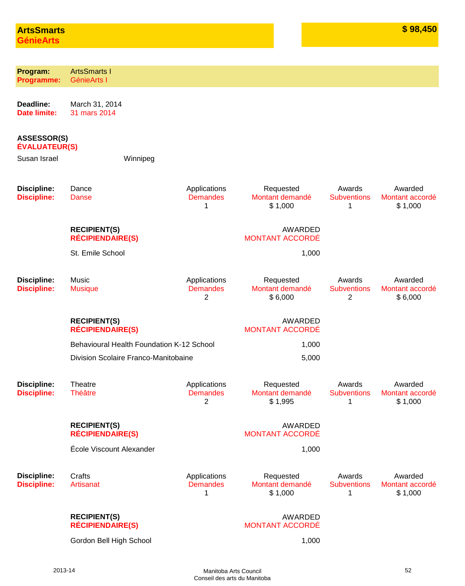| Program:<br><b>Programme:</b>              | <b>ArtsSmarts I</b><br>GénieArts I             |                                                   |                                          |                                   |                                       |
|--------------------------------------------|------------------------------------------------|---------------------------------------------------|------------------------------------------|-----------------------------------|---------------------------------------|
|                                            |                                                |                                                   |                                          |                                   |                                       |
| Deadline:<br><b>Date limite:</b>           | March 31, 2014<br>31 mars 2014                 |                                                   |                                          |                                   |                                       |
| <b>ASSESSOR(S)</b><br><b>ÉVALUATEUR(S)</b> |                                                |                                                   |                                          |                                   |                                       |
| Susan Israel                               | Winnipeg                                       |                                                   |                                          |                                   |                                       |
| <b>Discipline:</b><br><b>Discipline:</b>   | Dance<br>Danse                                 | Applications<br><b>Demandes</b><br>1              | Requested<br>Montant demandé<br>\$1,000  | Awards<br><b>Subventions</b><br>1 | Awarded<br>Montant accordé<br>\$1,000 |
|                                            | <b>RECIPIENT(S)</b><br><b>RÉCIPIENDAIRE(S)</b> |                                                   | <b>AWARDED</b><br><b>MONTANT ACCORDÉ</b> |                                   |                                       |
|                                            | St. Emile School                               |                                                   | 1,000                                    |                                   |                                       |
| <b>Discipline:</b><br><b>Discipline:</b>   | Music<br><b>Musique</b>                        | Applications<br><b>Demandes</b><br>$\overline{c}$ | Requested<br>Montant demandé<br>\$6,000  | Awards<br><b>Subventions</b><br>2 | Awarded<br>Montant accordé<br>\$6,000 |
|                                            | <b>RECIPIENT(S)</b><br><b>RÉCIPIENDAIRE(S)</b> |                                                   | <b>AWARDED</b><br><b>MONTANT ACCORDÉ</b> |                                   |                                       |
|                                            | Behavioural Health Foundation K-12 School      |                                                   | 1,000                                    |                                   |                                       |
|                                            | Division Scolaire Franco-Manitobaine           |                                                   | 5,000                                    |                                   |                                       |
| <b>Discipline:</b><br><b>Discipline:</b>   | Theatre<br><b>Théâtre</b>                      | Applications<br><b>Demandes</b><br>2              | Requested<br>Montant demandé<br>\$1,995  | Awards<br><b>Subventions</b><br>1 | Awarded<br>Montant accordé<br>\$1,000 |
|                                            | <b>RECIPIENT(S)</b><br><b>RÉCIPIENDAIRE(S)</b> |                                                   | <b>AWARDED</b><br><b>MONTANT ACCORDÉ</b> |                                   |                                       |
|                                            | École Viscount Alexander                       |                                                   | 1,000                                    |                                   |                                       |
| <b>Discipline:</b><br><b>Discipline:</b>   | Crafts<br>Artisanat                            | Applications<br><b>Demandes</b><br>1              | Requested<br>Montant demandé<br>\$1,000  | Awards<br><b>Subventions</b><br>1 | Awarded<br>Montant accordé<br>\$1,000 |
|                                            | <b>RECIPIENT(S)</b><br><b>RÉCIPIENDAIRE(S)</b> |                                                   | AWARDED<br><b>MONTANT ACCORDÉ</b>        |                                   |                                       |
|                                            | Gordon Bell High School                        |                                                   | 1,000                                    |                                   |                                       |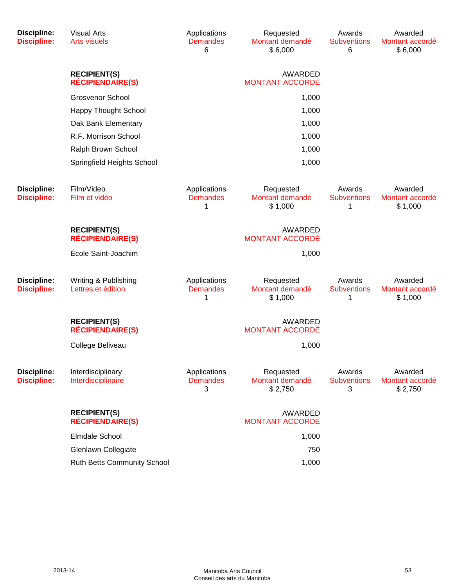| <b>Discipline:</b><br><b>Discipline:</b> | <b>Visual Arts</b><br><b>Arts visuels</b>      | Applications<br><b>Demandes</b><br>6 | Requested<br>Montant demandé<br>\$6,000  | Awards<br><b>Subventions</b><br>6 | Awarded<br>Montant accordé<br>\$6,000 |  |
|------------------------------------------|------------------------------------------------|--------------------------------------|------------------------------------------|-----------------------------------|---------------------------------------|--|
|                                          | <b>RECIPIENT(S)</b><br><b>RÉCIPIENDAIRE(S)</b> |                                      | <b>AWARDED</b><br><b>MONTANT ACCORDÉ</b> |                                   |                                       |  |
|                                          | <b>Grosvenor School</b>                        |                                      | 1,000                                    |                                   |                                       |  |
|                                          | <b>Happy Thought School</b>                    |                                      | 1,000                                    |                                   |                                       |  |
|                                          | Oak Bank Elementary                            | 1,000                                |                                          |                                   |                                       |  |
|                                          | R.F. Morrison School                           | 1,000                                |                                          |                                   |                                       |  |
|                                          | Ralph Brown School                             |                                      | 1,000                                    |                                   |                                       |  |
|                                          | Springfield Heights School                     |                                      | 1,000                                    |                                   |                                       |  |
| <b>Discipline:</b><br><b>Discipline:</b> | Film/Video<br>Film et vidéo                    | Applications<br><b>Demandes</b><br>1 | Requested<br>Montant demandé<br>\$1,000  | Awards<br><b>Subventions</b><br>1 | Awarded<br>Montant accordé<br>\$1,000 |  |
|                                          | <b>RECIPIENT(S)</b><br><b>RÉCIPIENDAIRE(S)</b> |                                      | <b>AWARDED</b><br><b>MONTANT ACCORDÉ</b> |                                   |                                       |  |
|                                          | École Saint-Joachim                            |                                      | 1,000                                    |                                   |                                       |  |
| <b>Discipline:</b><br><b>Discipline:</b> | Writing & Publishing<br>Lettres et édition     | Applications<br><b>Demandes</b><br>1 | Requested<br>Montant demandé<br>\$1,000  | Awards<br><b>Subventions</b><br>1 | Awarded<br>Montant accordé<br>\$1,000 |  |
|                                          | <b>RECIPIENT(S)</b><br><b>RÉCIPIENDAIRE(S)</b> |                                      | <b>AWARDED</b><br><b>MONTANT ACCORDÉ</b> |                                   |                                       |  |
|                                          | College Beliveau                               |                                      | 1,000                                    |                                   |                                       |  |
| <b>Discipline:</b><br><b>Discipline:</b> | Interdisciplinary<br>Interdisciplinaire        | Applications<br><b>Demandes</b><br>3 | Requested<br>Montant demandé<br>\$2,750  | Awards<br><b>Subventions</b><br>3 | Awarded<br>Montant accordé<br>\$2,750 |  |
|                                          | <b>RECIPIENT(S)</b><br><b>RÉCIPIENDAIRE(S)</b> |                                      | <b>AWARDED</b><br><b>MONTANT ACCORDÉ</b> |                                   |                                       |  |
|                                          | <b>Elmdale School</b>                          |                                      | 1,000                                    |                                   |                                       |  |
|                                          | Glenlawn Collegiate                            |                                      | 750                                      |                                   |                                       |  |
|                                          | Ruth Betts Community School                    |                                      | 1,000                                    |                                   |                                       |  |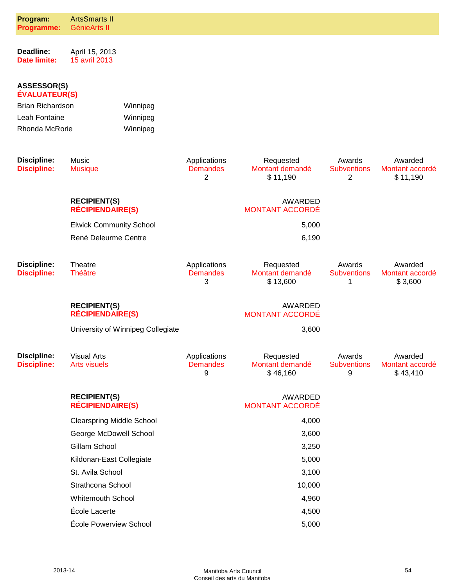| Program:<br>Programme:                     | <b>ArtsSmarts II</b><br>GénieArts II           |                                   |                                      |                                          |                                   |                                        |
|--------------------------------------------|------------------------------------------------|-----------------------------------|--------------------------------------|------------------------------------------|-----------------------------------|----------------------------------------|
| Deadline:<br><b>Date limite:</b>           | April 15, 2013<br>15 avril 2013                |                                   |                                      |                                          |                                   |                                        |
| <b>ASSESSOR(S)</b><br><b>ÉVALUATEUR(S)</b> |                                                |                                   |                                      |                                          |                                   |                                        |
| <b>Brian Richardson</b>                    |                                                | Winnipeg                          |                                      |                                          |                                   |                                        |
| Leah Fontaine                              |                                                | Winnipeg                          |                                      |                                          |                                   |                                        |
| Rhonda McRorie                             |                                                | Winnipeg                          |                                      |                                          |                                   |                                        |
| <b>Discipline:</b><br><b>Discipline:</b>   | Music<br><b>Musique</b>                        |                                   | Applications<br><b>Demandes</b><br>2 | Requested<br>Montant demandé<br>\$11,190 | Awards<br><b>Subventions</b><br>2 | Awarded<br>Montant accordé<br>\$11,190 |
|                                            | <b>RECIPIENT(S)</b><br><b>RÉCIPIENDAIRE(S)</b> |                                   |                                      | <b>AWARDED</b><br><b>MONTANT ACCORDÉ</b> |                                   |                                        |
|                                            | <b>Elwick Community School</b>                 |                                   |                                      | 5,000                                    |                                   |                                        |
|                                            | René Deleurme Centre                           |                                   |                                      | 6,190                                    |                                   |                                        |
| <b>Discipline:</b><br><b>Discipline:</b>   | Theatre<br><b>Théâtre</b>                      |                                   | Applications<br><b>Demandes</b><br>3 | Requested<br>Montant demandé<br>\$13,600 | Awards<br><b>Subventions</b><br>1 | Awarded<br>Montant accordé<br>\$3,600  |
|                                            | <b>RECIPIENT(S)</b><br><b>RÉCIPIENDAIRE(S)</b> |                                   |                                      | <b>AWARDED</b><br><b>MONTANT ACCORDÉ</b> |                                   |                                        |
|                                            |                                                | University of Winnipeg Collegiate |                                      | 3,600                                    |                                   |                                        |
| <b>Discipline:</b><br><b>Discipline:</b>   | <b>Visual Arts</b><br><b>Arts visuels</b>      |                                   | Applications<br><b>Demandes</b><br>9 | Requested<br>Montant demandé<br>\$46,160 | Awards<br><b>Subventions</b><br>9 | Awarded<br>Montant accordé<br>\$43,410 |
|                                            | <b>RECIPIENT(S)</b><br><b>RÉCIPIENDAIRE(S)</b> |                                   |                                      | AWARDED<br><b>MONTANT ACCORDÉ</b>        |                                   |                                        |
|                                            | <b>Clearspring Middle School</b>               |                                   |                                      | 4,000                                    |                                   |                                        |
|                                            | George McDowell School                         |                                   |                                      | 3,600                                    |                                   |                                        |
|                                            | Gillam School                                  |                                   |                                      | 3,250                                    |                                   |                                        |
|                                            | Kildonan-East Collegiate                       |                                   |                                      | 5,000                                    |                                   |                                        |
|                                            | St. Avila School                               |                                   |                                      | 3,100                                    |                                   |                                        |
|                                            | Strathcona School                              |                                   |                                      | 10,000                                   |                                   |                                        |
|                                            | <b>Whitemouth School</b>                       |                                   |                                      | 4,960                                    |                                   |                                        |
|                                            | École Lacerte                                  |                                   |                                      | 4,500                                    |                                   |                                        |
|                                            | École Powerview School                         |                                   |                                      | 5,000                                    |                                   |                                        |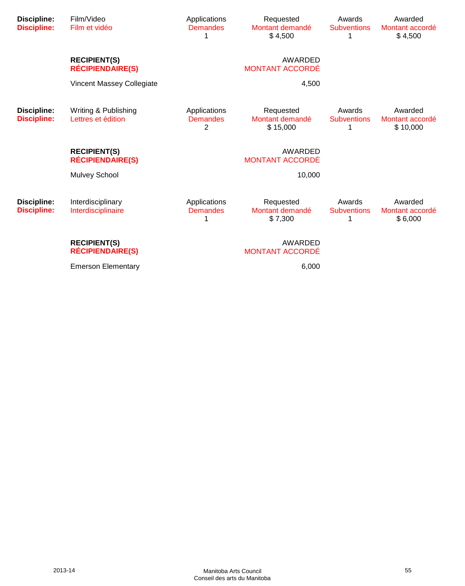| <b>Discipline:</b><br><b>Discipline:</b> | Film/Video<br>Film et vidéo                    | Applications<br><b>Demandes</b><br>1 | Requested<br>Montant demandé<br>\$4,500  | Awards<br><b>Subventions</b><br>1 | Awarded<br>Montant accordé<br>\$4,500  |
|------------------------------------------|------------------------------------------------|--------------------------------------|------------------------------------------|-----------------------------------|----------------------------------------|
|                                          | <b>RECIPIENT(S)</b><br><b>RÉCIPIENDAIRE(S)</b> |                                      | <b>AWARDED</b><br><b>MONTANT ACCORDÉ</b> |                                   |                                        |
|                                          | Vincent Massey Collegiate                      |                                      | 4,500                                    |                                   |                                        |
| <b>Discipline:</b><br><b>Discipline:</b> | Writing & Publishing<br>Lettres et édition     | Applications<br><b>Demandes</b><br>2 | Requested<br>Montant demandé<br>\$15,000 | Awards<br><b>Subventions</b><br>1 | Awarded<br>Montant accordé<br>\$10,000 |
|                                          | <b>RECIPIENT(S)</b><br><b>RÉCIPIENDAIRE(S)</b> |                                      | AWARDED<br><b>MONTANT ACCORDÉ</b>        |                                   |                                        |
|                                          | <b>Mulvey School</b>                           |                                      | 10,000                                   |                                   |                                        |
| <b>Discipline:</b><br><b>Discipline:</b> | Interdisciplinary<br>Interdisciplinaire        | Applications<br><b>Demandes</b><br>1 | Requested<br>Montant demandé<br>\$7,300  | Awards<br><b>Subventions</b><br>1 | Awarded<br>Montant accordé<br>\$6,000  |
|                                          | <b>RECIPIENT(S)</b><br><b>RÉCIPIENDAIRE(S)</b> |                                      | <b>AWARDED</b><br><b>MONTANT ACCORDÉ</b> |                                   |                                        |
|                                          | <b>Emerson Elementary</b>                      |                                      | 6,000                                    |                                   |                                        |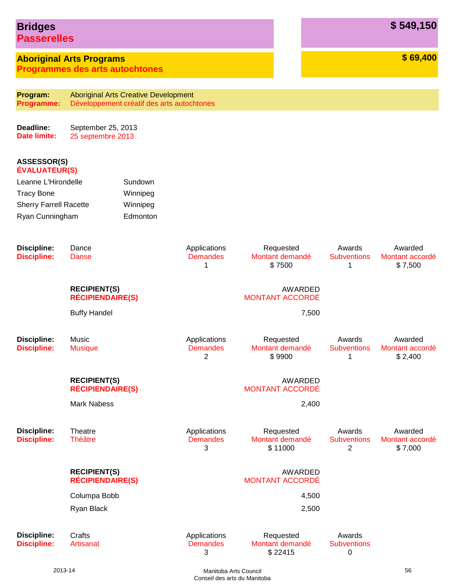# **Bridges \$ 549,150 Passerelles**

**Aboriginal Arts Programs \$ 69,400**

**Programmes des arts autochtones**

| Program:<br><b>Programme:</b>              |                                                | <b>Aboriginal Arts Creative Development</b><br>Développement créatif des arts autochtones |                                      |                                         |                                   |                                       |
|--------------------------------------------|------------------------------------------------|-------------------------------------------------------------------------------------------|--------------------------------------|-----------------------------------------|-----------------------------------|---------------------------------------|
|                                            |                                                |                                                                                           |                                      |                                         |                                   |                                       |
| Deadline:<br><b>Date limite:</b>           |                                                | September 25, 2013<br>25 septembre 2013                                                   |                                      |                                         |                                   |                                       |
| <b>ASSESSOR(S)</b><br><b>ÉVALUATEUR(S)</b> |                                                |                                                                                           |                                      |                                         |                                   |                                       |
| Leanne L'Hirondelle                        |                                                | Sundown                                                                                   |                                      |                                         |                                   |                                       |
| <b>Tracy Bone</b>                          |                                                | Winnipeg                                                                                  |                                      |                                         |                                   |                                       |
| <b>Sherry Farrell Racette</b>              |                                                | Winnipeg                                                                                  |                                      |                                         |                                   |                                       |
| Ryan Cunningham                            |                                                | Edmonton                                                                                  |                                      |                                         |                                   |                                       |
| <b>Discipline:</b><br><b>Discipline:</b>   | Dance<br><b>Danse</b>                          |                                                                                           | Applications<br><b>Demandes</b><br>1 | Requested<br>Montant demandé<br>\$7500  | Awards<br><b>Subventions</b><br>1 | Awarded<br>Montant accordé<br>\$7,500 |
|                                            | <b>RECIPIENT(S)</b><br><b>RÉCIPIENDAIRE(S)</b> |                                                                                           |                                      | AWARDED<br><b>MONTANT ACCORDÉ</b>       |                                   |                                       |
|                                            | <b>Buffy Handel</b>                            |                                                                                           |                                      | 7,500                                   |                                   |                                       |
| <b>Discipline:</b><br><b>Discipline:</b>   | Music<br><b>Musique</b>                        |                                                                                           | Applications<br><b>Demandes</b><br>2 | Requested<br>Montant demandé<br>\$9900  | Awards<br><b>Subventions</b><br>1 | Awarded<br>Montant accordé<br>\$2,400 |
|                                            | <b>RECIPIENT(S)</b><br><b>RÉCIPIENDAIRE(S)</b> |                                                                                           |                                      | AWARDED<br><b>MONTANT ACCORDÉ</b>       |                                   |                                       |
|                                            | <b>Mark Nabess</b>                             |                                                                                           |                                      | 2,400                                   |                                   |                                       |
| <b>Discipline:</b><br><b>Discipline:</b>   | Theatre<br><b>Théâtre</b>                      |                                                                                           | Applications<br><b>Demandes</b><br>3 | Requested<br>Montant demandé<br>\$11000 | Awards<br><b>Subventions</b><br>2 | Awarded<br>Montant accordé<br>\$7,000 |
|                                            | <b>RECIPIENT(S)</b><br><b>RÉCIPIENDAIRE(S)</b> |                                                                                           |                                      | AWARDED<br><b>MONTANT ACCORDÉ</b>       |                                   |                                       |
|                                            | Columpa Bobb                                   |                                                                                           |                                      | 4,500                                   |                                   |                                       |
|                                            | Ryan Black                                     |                                                                                           |                                      | 2,500                                   |                                   |                                       |
| <b>Discipline:</b><br><b>Discipline:</b>   | Crafts<br>Artisanat                            |                                                                                           | Applications<br><b>Demandes</b>      | Requested<br>Montant demandé            | Awards<br><b>Subventions</b>      |                                       |

\$ 22415

3

0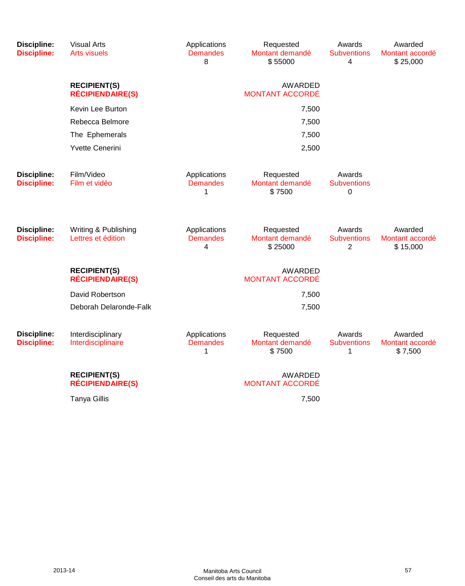| <b>Discipline:</b><br><b>Discipline:</b> | <b>Visual Arts</b><br><b>Arts visuels</b>      | Applications<br><b>Demandes</b><br>8 | Requested<br>Montant demandé<br>\$55000  | Awards<br><b>Subventions</b><br>4              | Awarded<br>Montant accordé<br>\$25,000 |
|------------------------------------------|------------------------------------------------|--------------------------------------|------------------------------------------|------------------------------------------------|----------------------------------------|
|                                          | <b>RECIPIENT(S)</b><br><b>RÉCIPIENDAIRE(S)</b> |                                      | <b>AWARDED</b><br><b>MONTANT ACCORDÉ</b> |                                                |                                        |
|                                          | Kevin Lee Burton                               |                                      | 7,500                                    |                                                |                                        |
|                                          | Rebecca Belmore                                | 7,500                                |                                          |                                                |                                        |
|                                          | The Ephemerals                                 |                                      | 7,500                                    |                                                |                                        |
|                                          | <b>Yvette Cenerini</b>                         |                                      | 2,500                                    |                                                |                                        |
| <b>Discipline:</b><br><b>Discipline:</b> | Film/Video<br>Film et vidéo                    | Applications<br><b>Demandes</b><br>1 | Requested<br>Montant demandé<br>\$7500   | Awards<br><b>Subventions</b><br>0              |                                        |
| <b>Discipline:</b><br><b>Discipline:</b> | Writing & Publishing<br>Lettres et édition     | Applications<br><b>Demandes</b><br>4 | Requested<br>Montant demandé<br>\$25000  | Awards<br><b>Subventions</b><br>$\overline{2}$ | Awarded<br>Montant accordé<br>\$15,000 |
|                                          | <b>RECIPIENT(S)</b><br><b>RÉCIPIENDAIRE(S)</b> |                                      | <b>AWARDED</b><br><b>MONTANT ACCORDÉ</b> |                                                |                                        |
|                                          | David Robertson                                |                                      | 7,500                                    |                                                |                                        |
|                                          | Deborah Delaronde-Falk                         |                                      | 7,500                                    |                                                |                                        |
| <b>Discipline:</b><br><b>Discipline:</b> | Interdisciplinary<br>Interdisciplinaire        | Applications<br><b>Demandes</b><br>1 | Requested<br>Montant demandé<br>\$7500   | Awards<br><b>Subventions</b><br>1              | Awarded<br>Montant accordé<br>\$7,500  |
|                                          | <b>RECIPIENT(S)</b><br><b>RÉCIPIENDAIRE(S)</b> |                                      | <b>AWARDED</b><br><b>MONTANT ACCORDÉ</b> |                                                |                                        |
|                                          | <b>Tanya Gillis</b>                            |                                      | 7,500                                    |                                                |                                        |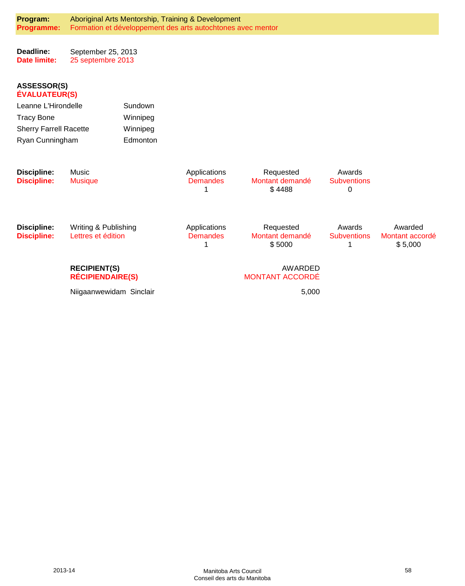| Program:<br>Programme:                     |                                                | Aboriginal Arts Mentorship, Training & Development<br>Formation et développement des arts autochtones avec mentor |                                      |                                          |                                   |                                       |
|--------------------------------------------|------------------------------------------------|-------------------------------------------------------------------------------------------------------------------|--------------------------------------|------------------------------------------|-----------------------------------|---------------------------------------|
| Deadline:<br><b>Date limite:</b>           | September 25, 2013<br>25 septembre 2013        |                                                                                                                   |                                      |                                          |                                   |                                       |
| <b>ASSESSOR(S)</b><br><b>ÉVALUATEUR(S)</b> |                                                |                                                                                                                   |                                      |                                          |                                   |                                       |
| Leanne L'Hirondelle                        |                                                | Sundown                                                                                                           |                                      |                                          |                                   |                                       |
| <b>Tracy Bone</b>                          |                                                | Winnipeg                                                                                                          |                                      |                                          |                                   |                                       |
| <b>Sherry Farrell Racette</b>              |                                                | Winnipeg                                                                                                          |                                      |                                          |                                   |                                       |
| Ryan Cunningham                            |                                                | Edmonton                                                                                                          |                                      |                                          |                                   |                                       |
| <b>Discipline:</b><br><b>Discipline:</b>   | Music<br><b>Musique</b>                        |                                                                                                                   | Applications<br><b>Demandes</b><br>1 | Requested<br>Montant demandé<br>\$4488   | Awards<br><b>Subventions</b><br>0 |                                       |
| Discipline:<br><b>Discipline:</b>          | Writing & Publishing<br>Lettres et édition     |                                                                                                                   | Applications<br><b>Demandes</b><br>1 | Requested<br>Montant demandé<br>\$5000   | Awards<br><b>Subventions</b>      | Awarded<br>Montant accordé<br>\$5,000 |
|                                            | <b>RECIPIENT(S)</b><br><b>RÉCIPIENDAIRE(S)</b> |                                                                                                                   |                                      | <b>AWARDED</b><br><b>MONTANT ACCORDÉ</b> |                                   |                                       |
|                                            | Niigaanwewidam Sinclair                        |                                                                                                                   |                                      | 5,000                                    |                                   |                                       |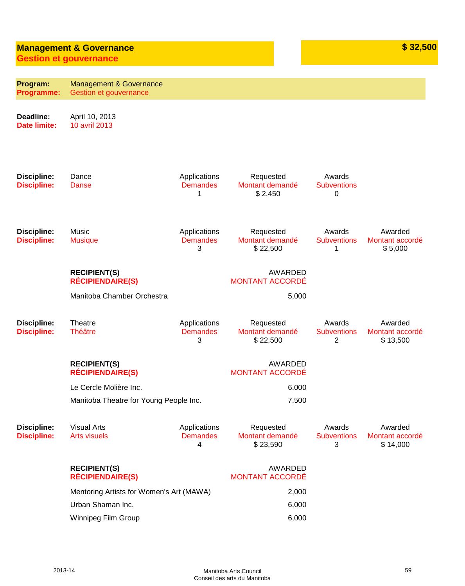# **Management & Governance by the set of the set of the set of the set of the set of the set of the set of the set of the set of the set of the set of the set of the set of the set of the set of the set of the set of the s**

**Gestion et gouvernance**

| Program:<br>Programme:                   | <b>Management &amp; Governance</b><br>Gestion et gouvernance |                                      |                                          |                                   |                                        |
|------------------------------------------|--------------------------------------------------------------|--------------------------------------|------------------------------------------|-----------------------------------|----------------------------------------|
| Deadline:<br><b>Date limite:</b>         | April 10, 2013<br>10 avril 2013                              |                                      |                                          |                                   |                                        |
| <b>Discipline:</b><br><b>Discipline:</b> | Dance<br>Danse                                               | Applications<br><b>Demandes</b><br>1 | Requested<br>Montant demandé<br>\$2,450  | Awards<br><b>Subventions</b><br>0 |                                        |
| <b>Discipline:</b><br><b>Discipline:</b> | Music<br><b>Musique</b>                                      | Applications<br><b>Demandes</b><br>3 | Requested<br>Montant demandé<br>\$22,500 | Awards<br><b>Subventions</b><br>1 | Awarded<br>Montant accordé<br>\$5,000  |
|                                          | <b>RECIPIENT(S)</b><br><b>RÉCIPIENDAIRE(S)</b>               |                                      | AWARDED<br><b>MONTANT ACCORDÉ</b>        |                                   |                                        |
|                                          | Manitoba Chamber Orchestra                                   |                                      | 5,000                                    |                                   |                                        |
| <b>Discipline:</b><br><b>Discipline:</b> | Theatre<br><b>Théâtre</b>                                    | Applications<br><b>Demandes</b><br>3 | Requested<br>Montant demandé<br>\$22,500 | Awards<br><b>Subventions</b><br>2 | Awarded<br>Montant accordé<br>\$13,500 |
|                                          | <b>RECIPIENT(S)</b><br><b>RÉCIPIENDAIRE(S)</b>               |                                      | AWARDED<br><b>MONTANT ACCORDÉ</b>        |                                   |                                        |
|                                          | Le Cercle Molière Inc.                                       |                                      | 6,000                                    |                                   |                                        |
|                                          | Manitoba Theatre for Young People Inc.                       |                                      | 7,500                                    |                                   |                                        |
| <b>Discipline:</b><br><b>Discipline:</b> | <b>Visual Arts</b><br><b>Arts visuels</b>                    | Applications<br><b>Demandes</b><br>4 | Requested<br>Montant demandé<br>\$23,590 | Awards<br><b>Subventions</b><br>3 | Awarded<br>Montant accordé<br>\$14,000 |
|                                          | <b>RECIPIENT(S)</b><br><b>RÉCIPIENDAIRE(S)</b>               |                                      | AWARDED<br><b>MONTANT ACCORDÉ</b>        |                                   |                                        |
|                                          | Mentoring Artists for Women's Art (MAWA)                     |                                      | 2,000                                    |                                   |                                        |
|                                          | Urban Shaman Inc.                                            |                                      | 6,000                                    |                                   |                                        |
|                                          | Winnipeg Film Group                                          |                                      | 6,000                                    |                                   |                                        |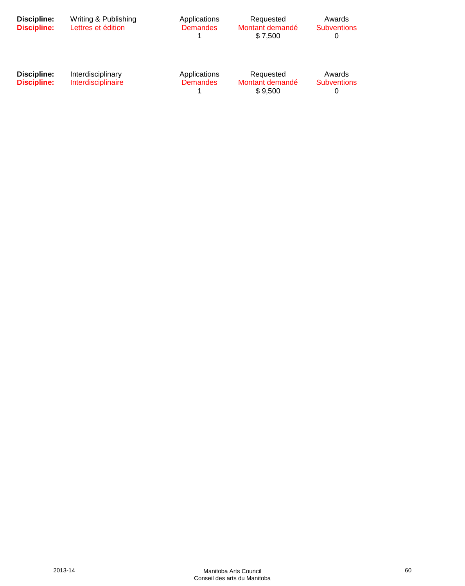| Discipline:<br><b>Discipline:</b> | Writing & Publishing<br>Lettres et édition | Applications<br><b>Demandes</b> | Requested<br>Montant demandé<br>\$7,500 | Awards<br><b>Subventions</b><br>0 |  |
|-----------------------------------|--------------------------------------------|---------------------------------|-----------------------------------------|-----------------------------------|--|
| Discipline:<br><b>Discipline:</b> | Interdisciplinary<br>Interdisciplinaire    | Applications<br><b>Demandes</b> | Requested<br>Montant demandé<br>\$9.500 | Awards<br><b>Subventions</b><br>O |  |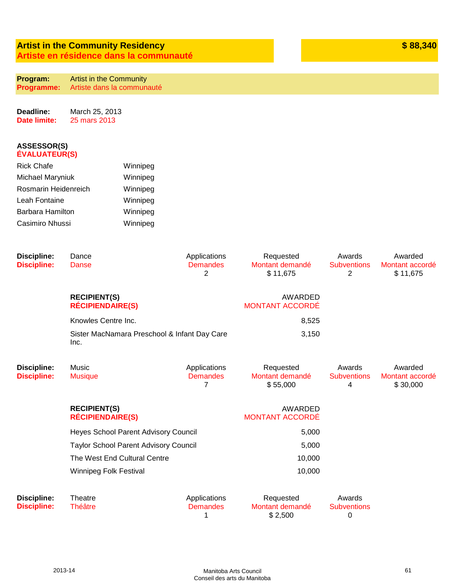### **Artist in the Community Residency Artiste en résidence dans la communauté**

| Program:   | <b>Artist in the Community</b> |
|------------|--------------------------------|
| Programme: | Artiste dans la communauté     |

**Deadline: Date limite:** March 25, 2013 25 mars 2013

| <b>Rick Chafe</b>    | Winnipeg |
|----------------------|----------|
| Michael Maryniuk     | Winnipeg |
| Rosmarin Heidenreich | Winnipeg |
| Leah Fontaine        | Winnipeg |
| Barbara Hamilton     | Winnipeg |
| Casimiro Nhussi      | Winnipeg |

| <b>Discipline:</b><br><b>Discipline:</b> | Dance<br>Danse                                       | Applications<br><b>Demandes</b><br>$\overline{2}$ | Requested<br>Montant demandé<br>\$11,675 | Awards<br><b>Subventions</b><br>2 | Awarded<br>Montant accordé<br>\$11,675 |
|------------------------------------------|------------------------------------------------------|---------------------------------------------------|------------------------------------------|-----------------------------------|----------------------------------------|
|                                          | <b>RECIPIENT(S)</b><br><b>RÉCIPIENDAIRE(S)</b>       |                                                   | AWARDED<br><b>MONTANT ACCORDE</b>        |                                   |                                        |
|                                          | Knowles Centre Inc.                                  |                                                   | 8,525                                    |                                   |                                        |
|                                          | Sister MacNamara Preschool & Infant Day Care<br>Inc. |                                                   | 3,150                                    |                                   |                                        |
| <b>Discipline:</b><br><b>Discipline:</b> | Music<br><b>Musique</b>                              | Applications<br><b>Demandes</b><br>7              | Requested<br>Montant demandé<br>\$55,000 | Awards<br><b>Subventions</b><br>4 | Awarded<br>Montant accordé<br>\$30,000 |
|                                          | <b>RECIPIENT(S)</b><br><b>RÉCIPIENDAIRE(S)</b>       |                                                   | AWARDED<br><b>MONTANT ACCORDE</b>        |                                   |                                        |
|                                          | <b>Heyes School Parent Advisory Council</b>          |                                                   | 5,000                                    |                                   |                                        |
|                                          | <b>Taylor School Parent Advisory Council</b>         |                                                   | 5,000                                    |                                   |                                        |
|                                          | The West End Cultural Centre                         |                                                   | 10,000                                   |                                   |                                        |
|                                          | <b>Winnipeg Folk Festival</b>                        |                                                   | 10,000                                   |                                   |                                        |
| <b>Discipline:</b><br><b>Discipline:</b> | Theatre<br><b>Théâtre</b>                            | Applications<br><b>Demandes</b><br>1              | Requested<br>Montant demandé<br>\$2,500  | Awards<br><b>Subventions</b><br>0 |                                        |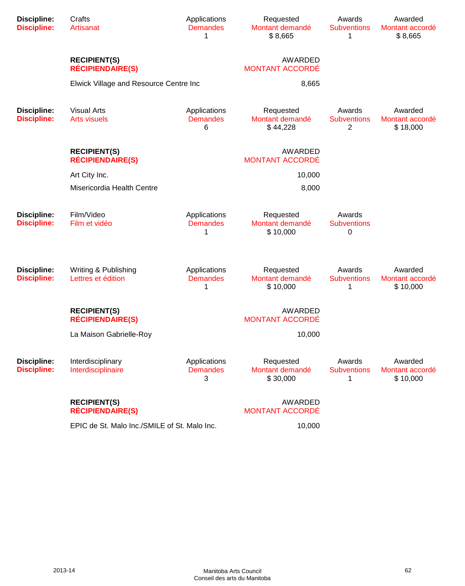| <b>Discipline:</b><br><b>Discipline:</b> | Crafts<br>Artisanat                            | Applications<br><b>Demandes</b><br>1 | Requested<br>Montant demandé<br>\$8,665  | Awards<br><b>Subventions</b><br>1              | Awarded<br>Montant accordé<br>\$8,665  |
|------------------------------------------|------------------------------------------------|--------------------------------------|------------------------------------------|------------------------------------------------|----------------------------------------|
|                                          | <b>RECIPIENT(S)</b><br><b>RÉCIPIENDAIRE(S)</b> |                                      | <b>AWARDED</b><br><b>MONTANT ACCORDÉ</b> |                                                |                                        |
|                                          | Elwick Village and Resource Centre Inc         |                                      | 8,665                                    |                                                |                                        |
| <b>Discipline:</b><br><b>Discipline:</b> | <b>Visual Arts</b><br><b>Arts visuels</b>      | Applications<br><b>Demandes</b><br>6 | Requested<br>Montant demandé<br>\$44,228 | Awards<br><b>Subventions</b><br>$\overline{c}$ | Awarded<br>Montant accordé<br>\$18,000 |
|                                          | <b>RECIPIENT(S)</b><br><b>RÉCIPIENDAIRE(S)</b> |                                      | <b>AWARDED</b><br><b>MONTANT ACCORDÉ</b> |                                                |                                        |
|                                          | Art City Inc.                                  |                                      | 10,000                                   |                                                |                                        |
|                                          | Misericordia Health Centre                     |                                      | 8,000                                    |                                                |                                        |
| <b>Discipline:</b><br><b>Discipline:</b> | Film/Video<br>Film et vidéo                    | Applications<br><b>Demandes</b><br>1 | Requested<br>Montant demandé<br>\$10,000 | Awards<br><b>Subventions</b><br>0              |                                        |
| <b>Discipline:</b><br><b>Discipline:</b> | Writing & Publishing<br>Lettres et édition     | Applications<br><b>Demandes</b><br>1 | Requested<br>Montant demandé<br>\$10,000 | Awards<br><b>Subventions</b><br>1              | Awarded<br>Montant accordé<br>\$10,000 |
|                                          | <b>RECIPIENT(S)</b><br><b>RÉCIPIENDAIRE(S)</b> |                                      | <b>AWARDED</b><br><b>MONTANT ACCORDÉ</b> |                                                |                                        |
|                                          | La Maison Gabrielle-Roy                        |                                      | 10,000                                   |                                                |                                        |
| <b>Discipline:</b><br><b>Discipline:</b> | Interdisciplinary<br>Interdisciplinaire        | Applications<br><b>Demandes</b><br>3 | Requested<br>Montant demandé<br>\$30,000 | Awards<br><b>Subventions</b><br>1              | Awarded<br>Montant accordé<br>\$10,000 |
|                                          | <b>RECIPIENT(S)</b><br><b>RÉCIPIENDAIRE(S)</b> |                                      | <b>AWARDED</b><br><b>MONTANT ACCORDÉ</b> |                                                |                                        |
|                                          | EPIC de St. Malo Inc./SMILE of St. Malo Inc.   |                                      | 10,000                                   |                                                |                                        |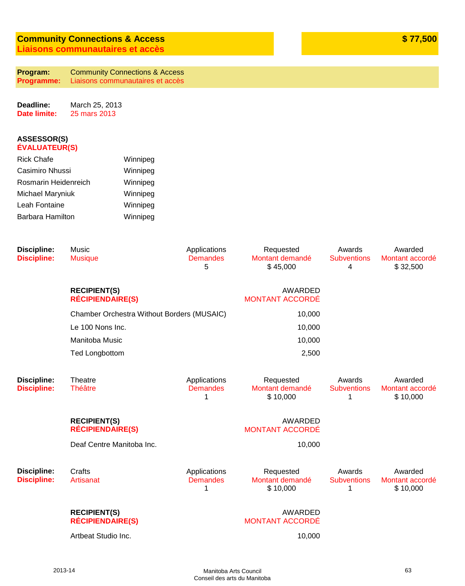# **Community Connections & Access Liaisons communautaires et accès**

**Program: Programme:** Community Connections & Access Liaisons communautaires et accès

**Deadline: Date limite:** March 25, 2013 25 mars 2013

| <b>Rick Chafe</b>       | Winnipeg |
|-------------------------|----------|
| Casimiro Nhussi         | Winnipeg |
| Rosmarin Heidenreich    | Winnipeg |
| <b>Michael Maryniuk</b> | Winnipeg |
| Leah Fontaine           | Winnipeg |
| Barbara Hamilton        | Winnipeg |
|                         |          |

| <b>Discipline:</b><br><b>Discipline:</b> | Music<br><b>Musique</b>                        | Applications<br><b>Demandes</b><br>5 | Requested<br>Montant demandé<br>\$45,000 | Awards<br><b>Subventions</b><br>4 | Awarded<br>Montant accordé<br>\$32,500 |
|------------------------------------------|------------------------------------------------|--------------------------------------|------------------------------------------|-----------------------------------|----------------------------------------|
|                                          | <b>RECIPIENT(S)</b><br><b>RÉCIPIENDAIRE(S)</b> |                                      | AWARDED<br><b>MONTANT ACCORDÉ</b>        |                                   |                                        |
|                                          | Chamber Orchestra Without Borders (MUSAIC)     |                                      | 10,000                                   |                                   |                                        |
|                                          | Le 100 Nons Inc.                               |                                      | 10,000                                   |                                   |                                        |
|                                          | Manitoba Music                                 |                                      | 10,000                                   |                                   |                                        |
|                                          | <b>Ted Longbottom</b>                          |                                      | 2,500                                    |                                   |                                        |
| <b>Discipline:</b><br><b>Discipline:</b> | Theatre<br><b>Théâtre</b>                      | Applications<br><b>Demandes</b><br>1 | Requested<br>Montant demandé<br>\$10,000 | Awards<br><b>Subventions</b><br>1 | Awarded<br>Montant accordé<br>\$10,000 |
|                                          | <b>RECIPIENT(S)</b><br><b>RÉCIPIENDAIRE(S)</b> |                                      | <b>AWARDED</b><br><b>MONTANT ACCORDÉ</b> |                                   |                                        |
|                                          | Deaf Centre Manitoba Inc.                      |                                      | 10,000                                   |                                   |                                        |
| <b>Discipline:</b><br><b>Discipline:</b> | Crafts<br>Artisanat                            | Applications<br><b>Demandes</b><br>1 | Requested<br>Montant demandé<br>\$10,000 | Awards<br><b>Subventions</b><br>1 | Awarded<br>Montant accordé<br>\$10,000 |
|                                          | <b>RECIPIENT(S)</b><br><b>RÉCIPIENDAIRE(S)</b> |                                      | AWARDED<br><b>MONTANT ACCORDÉ</b>        |                                   |                                        |
|                                          | Artbeat Studio Inc.                            |                                      | 10,000                                   |                                   |                                        |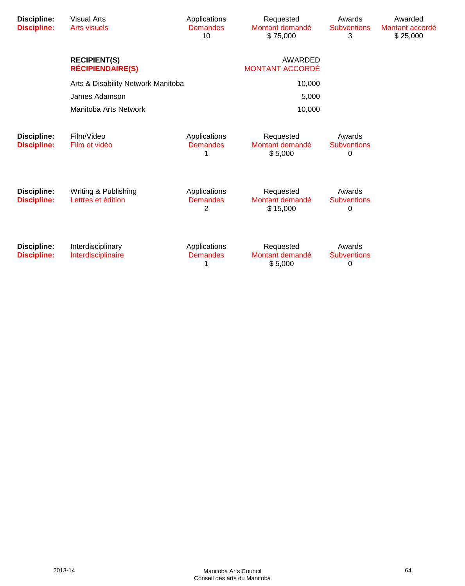| <b>Discipline:</b><br><b>Discipline:</b> | <b>Visual Arts</b><br><b>Arts visuels</b>      | Applications<br><b>Demandes</b><br>10 | Requested<br>Montant demandé<br>\$75,000 | Awards<br><b>Subventions</b><br>3 | Awarded<br>Montant accordé<br>\$25,000 |
|------------------------------------------|------------------------------------------------|---------------------------------------|------------------------------------------|-----------------------------------|----------------------------------------|
|                                          | <b>RECIPIENT(S)</b><br><b>RÉCIPIENDAIRE(S)</b> |                                       | AWARDED<br>MONTANT ACCORDÉ               |                                   |                                        |
|                                          | Arts & Disability Network Manitoba             |                                       | 10,000                                   |                                   |                                        |
|                                          | James Adamson                                  |                                       | 5,000                                    |                                   |                                        |
|                                          | Manitoba Arts Network                          |                                       | 10,000                                   |                                   |                                        |
| <b>Discipline:</b><br><b>Discipline:</b> | Film/Video<br>Film et vidéo                    | Applications<br><b>Demandes</b>       | Requested<br>Montant demandé<br>\$5,000  | Awards<br><b>Subventions</b><br>0 |                                        |
| <b>Discipline:</b><br><b>Discipline:</b> | Writing & Publishing<br>Lettres et édition     | Applications<br><b>Demandes</b><br>2  | Requested<br>Montant demandé<br>\$15,000 | Awards<br><b>Subventions</b><br>0 |                                        |
| Discipline:<br><b>Discipline:</b>        | Interdisciplinary<br>Interdisciplinaire        | Applications<br><b>Demandes</b><br>1  | Requested<br>Montant demandé<br>\$5,000  | Awards<br><b>Subventions</b><br>0 |                                        |